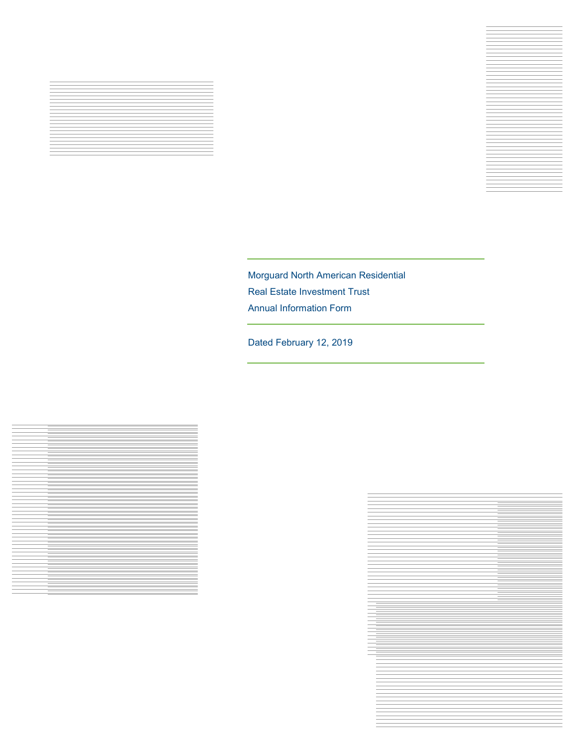



Dated February 12, 2019



Nerder

Real Estate Potential. Realized.

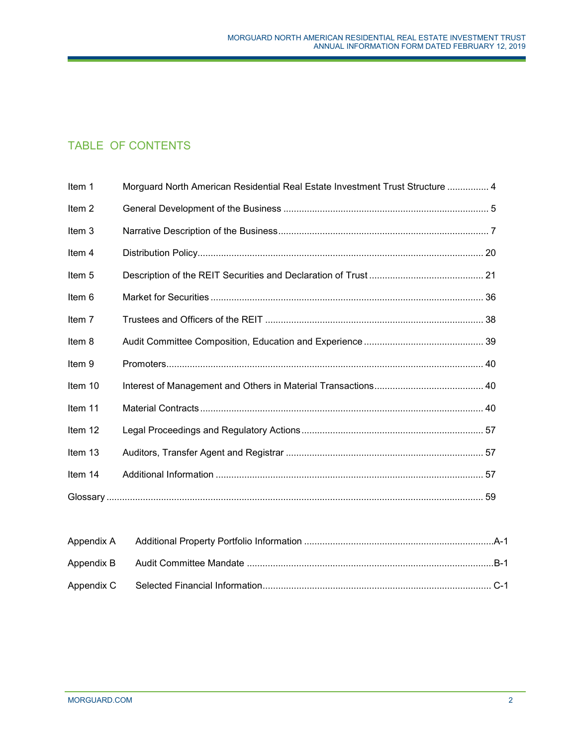# TABLE OF CONTENTS

| Item 1            | Morguard North American Residential Real Estate Investment Trust Structure  4 |
|-------------------|-------------------------------------------------------------------------------|
| Item <sub>2</sub> |                                                                               |
| Item 3            |                                                                               |
| Item 4            |                                                                               |
| Item <sub>5</sub> |                                                                               |
| Item 6            |                                                                               |
| Item 7            |                                                                               |
| Item 8            |                                                                               |
| Item 9            |                                                                               |
| Item 10           |                                                                               |
| Item 11           |                                                                               |
| Item 12           |                                                                               |
| Item 13           |                                                                               |
| Item 14           |                                                                               |
|                   |                                                                               |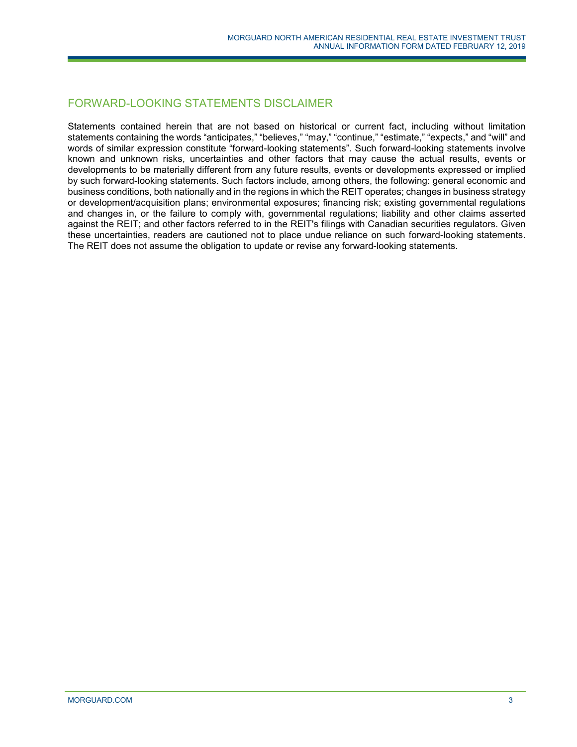# FORWARD-LOOKING STATEMENTS DISCLAIMER

Statements contained herein that are not based on historical or current fact, including without limitation statements containing the words "anticipates," "believes," "may," "continue," "estimate," "expects," and "will" and words of similar expression constitute "forward-looking statements". Such forward-looking statements involve known and unknown risks, uncertainties and other factors that may cause the actual results, events or developments to be materially different from any future results, events or developments expressed or implied by such forward-looking statements. Such factors include, among others, the following: general economic and business conditions, both nationally and in the regions in which the REIT operates; changes in business strategy or development/acquisition plans; environmental exposures; financing risk; existing governmental regulations and changes in, or the failure to comply with, governmental regulations; liability and other claims asserted against the REIT; and other factors referred to in the REIT's filings with Canadian securities regulators. Given these uncertainties, readers are cautioned not to place undue reliance on such forward-looking statements. The REIT does not assume the obligation to update or revise any forward-looking statements.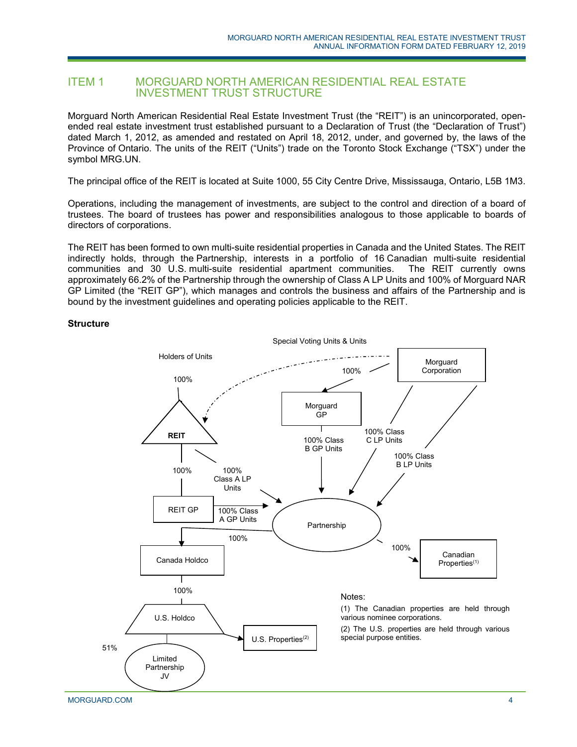# <span id="page-3-0"></span>ITEM 1 MORGUARD NORTH AMERICAN RESIDENTIAL REAL ESTATE INVESTMENT TRUST STRUCTURE

Morguard North American Residential Real Estate Investment Trust (the "REIT") is an unincorporated, openended real estate investment trust established pursuant to a Declaration of Trust (the "Declaration of Trust") dated March 1, 2012, as amended and restated on April 18, 2012, under, and governed by, the laws of the Province of Ontario. The units of the REIT ("Units") trade on the Toronto Stock Exchange ("TSX") under the symbol MRG.UN.

The principal office of the REIT is located at Suite 1000, 55 City Centre Drive, Mississauga, Ontario, L5B 1M3.

Operations, including the management of investments, are subject to the control and direction of a board of trustees. The board of trustees has power and responsibilities analogous to those applicable to boards of directors of corporations.

The REIT has been formed to own multi-suite residential properties in Canada and the United States. The REIT indirectly holds, through the Partnership, interests in a portfolio of 16 Canadian multi-suite residential communities and 30 U.S. multi-suite residential apartment communities. The REIT currently owns approximately 66.2% of the Partnership through the ownership of Class A LP Units and 100% of Morguard NAR GP Limited (the "REIT GP"), which manages and controls the business and affairs of the Partnership and is bound by the investment guidelines and operating policies applicable to the REIT.

### **Structure**

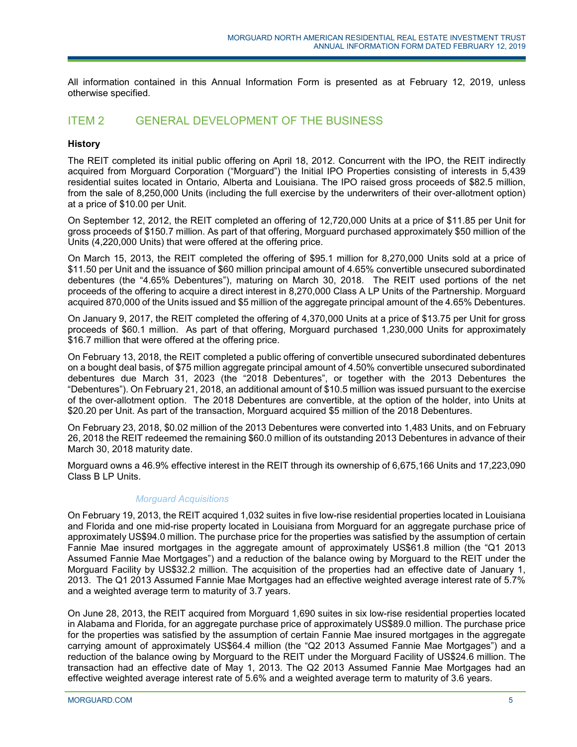All information contained in this Annual Information Form is presented as at February 12, 2019, unless otherwise specified.

# <span id="page-4-0"></span>ITEM 2 GENERAL DEVELOPMENT OF THE BUSINESS

## **History**

The REIT completed its initial public offering on April 18, 2012. Concurrent with the IPO, the REIT indirectly acquired from Morguard Corporation ("Morguard") the Initial IPO Properties consisting of interests in 5,439 residential suites located in Ontario, Alberta and Louisiana. The IPO raised gross proceeds of \$82.5 million, from the sale of 8,250,000 Units (including the full exercise by the underwriters of their over-allotment option) at a price of \$10.00 per Unit.

On September 12, 2012, the REIT completed an offering of 12,720,000 Units at a price of \$11.85 per Unit for gross proceeds of \$150.7 million. As part of that offering, Morguard purchased approximately \$50 million of the Units (4,220,000 Units) that were offered at the offering price.

On March 15, 2013, the REIT completed the offering of \$95.1 million for 8,270,000 Units sold at a price of \$11.50 per Unit and the issuance of \$60 million principal amount of 4.65% convertible unsecured subordinated debentures (the "4.65% Debentures"), maturing on March 30, 2018. The REIT used portions of the net proceeds of the offering to acquire a direct interest in 8,270,000 Class A LP Units of the Partnership. Morguard acquired 870,000 of the Units issued and \$5 million of the aggregate principal amount of the 4.65% Debentures.

On January 9, 2017, the REIT completed the offering of 4,370,000 Units at a price of \$13.75 per Unit for gross proceeds of \$60.1 million. As part of that offering, Morguard purchased 1,230,000 Units for approximately \$16.7 million that were offered at the offering price.

On February 13, 2018, the REIT completed a public offering of convertible unsecured subordinated debentures on a bought deal basis, of \$75 million aggregate principal amount of 4.50% convertible unsecured subordinated debentures due March 31, 2023 (the "2018 Debentures", or together with the 2013 Debentures the "Debentures"). On February 21, 2018, an additional amount of \$10.5 million was issued pursuant to the exercise of the over-allotment option. The 2018 Debentures are convertible, at the option of the holder, into Units at \$20.20 per Unit. As part of the transaction, Morguard acquired \$5 million of the 2018 Debentures.

On February 23, 2018, \$0.02 million of the 2013 Debentures were converted into 1,483 Units, and on February 26, 2018 the REIT redeemed the remaining \$60.0 million of its outstanding 2013 Debentures in advance of their March 30, 2018 maturity date.

Morguard owns a 46.9% effective interest in the REIT through its ownership of 6,675,166 Units and 17,223,090 Class B LP Units.

# *Morguard Acquisitions*

On February 19, 2013, the REIT acquired 1,032 suites in five low-rise residential properties located in Louisiana and Florida and one mid-rise property located in Louisiana from Morguard for an aggregate purchase price of approximately US\$94.0 million. The purchase price for the properties was satisfied by the assumption of certain Fannie Mae insured mortgages in the aggregate amount of approximately US\$61.8 million (the "Q1 2013 Assumed Fannie Mae Mortgages") and a reduction of the balance owing by Morguard to the REIT under the Morguard Facility by US\$32.2 million. The acquisition of the properties had an effective date of January 1, 2013. The Q1 2013 Assumed Fannie Mae Mortgages had an effective weighted average interest rate of 5.7% and a weighted average term to maturity of 3.7 years.

On June 28, 2013, the REIT acquired from Morguard 1,690 suites in six low-rise residential properties located in Alabama and Florida, for an aggregate purchase price of approximately US\$89.0 million. The purchase price for the properties was satisfied by the assumption of certain Fannie Mae insured mortgages in the aggregate carrying amount of approximately US\$64.4 million (the "Q2 2013 Assumed Fannie Mae Mortgages") and a reduction of the balance owing by Morguard to the REIT under the Morguard Facility of US\$24.6 million. The transaction had an effective date of May 1, 2013. The Q2 2013 Assumed Fannie Mae Mortgages had an effective weighted average interest rate of 5.6% and a weighted average term to maturity of 3.6 years.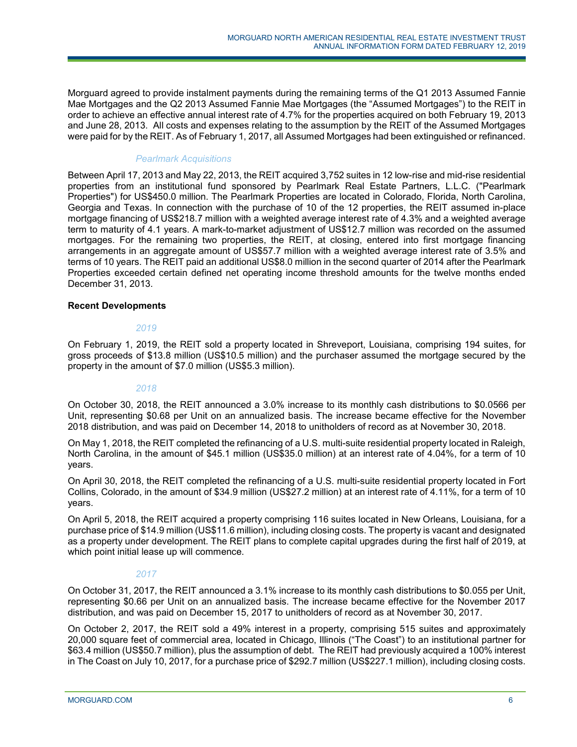Morguard agreed to provide instalment payments during the remaining terms of the Q1 2013 Assumed Fannie Mae Mortgages and the Q2 2013 Assumed Fannie Mae Mortgages (the "Assumed Mortgages") to the REIT in order to achieve an effective annual interest rate of 4.7% for the properties acquired on both February 19, 2013 and June 28, 2013. All costs and expenses relating to the assumption by the REIT of the Assumed Mortgages were paid for by the REIT. As of February 1, 2017, all Assumed Mortgages had been extinguished or refinanced.

# *Pearlmark Acquisitions*

Between April 17, 2013 and May 22, 2013, the REIT acquired 3,752 suites in 12 low-rise and mid-rise residential properties from an institutional fund sponsored by Pearlmark Real Estate Partners, L.L.C. ("Pearlmark Properties") for US\$450.0 million. The Pearlmark Properties are located in Colorado, Florida, North Carolina, Georgia and Texas. In connection with the purchase of 10 of the 12 properties, the REIT assumed in-place mortgage financing of US\$218.7 million with a weighted average interest rate of 4.3% and a weighted average term to maturity of 4.1 years. A mark-to-market adjustment of US\$12.7 million was recorded on the assumed mortgages. For the remaining two properties, the REIT, at closing, entered into first mortgage financing arrangements in an aggregate amount of US\$57.7 million with a weighted average interest rate of 3.5% and terms of 10 years. The REIT paid an additional US\$8.0 million in the second quarter of 2014 after the Pearlmark Properties exceeded certain defined net operating income threshold amounts for the twelve months ended December 31, 2013.

# **Recent Developments**

## *2019*

On February 1, 2019, the REIT sold a property located in Shreveport, Louisiana, comprising 194 suites, for gross proceeds of \$13.8 million (US\$10.5 million) and the purchaser assumed the mortgage secured by the property in the amount of \$7.0 million (US\$5.3 million).

# *2018*

On October 30, 2018, the REIT announced a 3.0% increase to its monthly cash distributions to \$0.0566 per Unit, representing \$0.68 per Unit on an annualized basis. The increase became effective for the November 2018 distribution, and was paid on December 14, 2018 to unitholders of record as at November 30, 2018.

On May 1, 2018, the REIT completed the refinancing of a U.S. multi-suite residential property located in Raleigh, North Carolina, in the amount of \$45.1 million (US\$35.0 million) at an interest rate of 4.04%, for a term of 10 years.

On April 30, 2018, the REIT completed the refinancing of a U.S. multi-suite residential property located in Fort Collins, Colorado, in the amount of \$34.9 million (US\$27.2 million) at an interest rate of 4.11%, for a term of 10 years.

On April 5, 2018, the REIT acquired a property comprising 116 suites located in New Orleans, Louisiana, for a purchase price of \$14.9 million (US\$11.6 million), including closing costs. The property is vacant and designated as a property under development. The REIT plans to complete capital upgrades during the first half of 2019, at which point initial lease up will commence.

# *2017*

On October 31, 2017, the REIT announced a 3.1% increase to its monthly cash distributions to \$0.055 per Unit, representing \$0.66 per Unit on an annualized basis. The increase became effective for the November 2017 distribution, and was paid on December 15, 2017 to unitholders of record as at November 30, 2017.

On October 2, 2017, the REIT sold a 49% interest in a property, comprising 515 suites and approximately 20,000 square feet of commercial area, located in Chicago, Illinois ("The Coast") to an institutional partner for \$63.4 million (US\$50.7 million), plus the assumption of debt. The REIT had previously acquired a 100% interest in The Coast on July 10, 2017, for a purchase price of \$292.7 million (US\$227.1 million), including closing costs.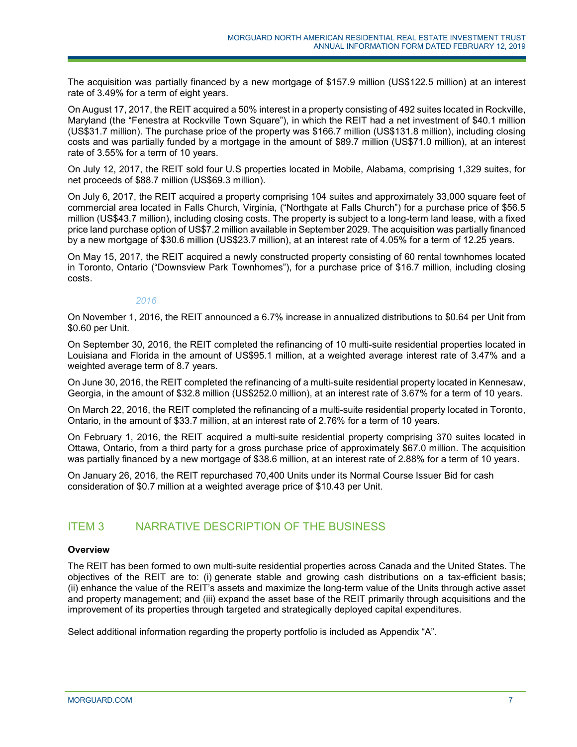The acquisition was partially financed by a new mortgage of \$157.9 million (US\$122.5 million) at an interest rate of 3.49% for a term of eight years.

On August 17, 2017, the REIT acquired a 50% interest in a property consisting of 492 suites located in Rockville, Maryland (the "Fenestra at Rockville Town Square"), in which the REIT had a net investment of \$40.1 million (US\$31.7 million). The purchase price of the property was \$166.7 million (US\$131.8 million), including closing costs and was partially funded by a mortgage in the amount of \$89.7 million (US\$71.0 million), at an interest rate of 3.55% for a term of 10 years.

On July 12, 2017, the REIT sold four U.S properties located in Mobile, Alabama, comprising 1,329 suites, for net proceeds of \$88.7 million (US\$69.3 million).

On July 6, 2017, the REIT acquired a property comprising 104 suites and approximately 33,000 square feet of commercial area located in Falls Church, Virginia, ("Northgate at Falls Church") for a purchase price of \$56.5 million (US\$43.7 million), including closing costs. The property is subject to a long-term land lease, with a fixed price land purchase option of US\$7.2 million available in September 2029. The acquisition was partially financed by a new mortgage of \$30.6 million (US\$23.7 million), at an interest rate of 4.05% for a term of 12.25 years.

On May 15, 2017, the REIT acquired a newly constructed property consisting of 60 rental townhomes located in Toronto, Ontario ("Downsview Park Townhomes"), for a purchase price of \$16.7 million, including closing costs.

### *2016*

On November 1, 2016, the REIT announced a 6.7% increase in annualized distributions to \$0.64 per Unit from \$0.60 per Unit.

On September 30, 2016, the REIT completed the refinancing of 10 multi-suite residential properties located in Louisiana and Florida in the amount of US\$95.1 million, at a weighted average interest rate of 3.47% and a weighted average term of 8.7 years.

On June 30, 2016, the REIT completed the refinancing of a multi-suite residential property located in Kennesaw, Georgia, in the amount of \$32.8 million (US\$252.0 million), at an interest rate of 3.67% for a term of 10 years.

On March 22, 2016, the REIT completed the refinancing of a multi-suite residential property located in Toronto, Ontario, in the amount of \$33.7 million, at an interest rate of 2.76% for a term of 10 years.

On February 1, 2016, the REIT acquired a multi-suite residential property comprising 370 suites located in Ottawa, Ontario, from a third party for a gross purchase price of approximately \$67.0 million. The acquisition was partially financed by a new mortgage of \$38.6 million, at an interest rate of 2.88% for a term of 10 years.

<span id="page-6-0"></span>On January 26, 2016, the REIT repurchased 70,400 Units under its Normal Course Issuer Bid for cash consideration of \$0.7 million at a weighted average price of \$10.43 per Unit.

# ITEM 3 NARRATIVE DESCRIPTION OF THE BUSINESS

### **Overview**

The REIT has been formed to own multi-suite residential properties across Canada and the United States. The objectives of the REIT are to: (i) generate stable and growing cash distributions on a tax-efficient basis; (ii) enhance the value of the REIT's assets and maximize the long-term value of the Units through active asset and property management; and (iii) expand the asset base of the REIT primarily through acquisitions and the improvement of its properties through targeted and strategically deployed capital expenditures.

Select additional information regarding the property portfolio is included as Appendix "A".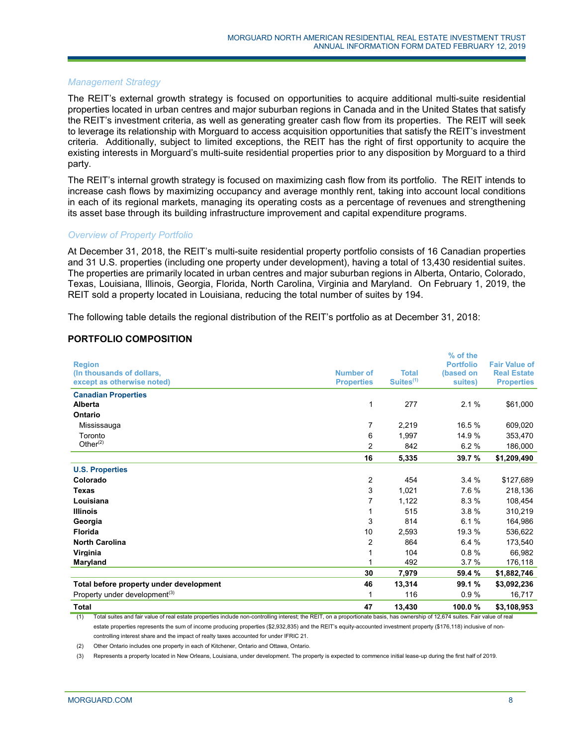### *Management Strategy*

The REIT's external growth strategy is focused on opportunities to acquire additional multi-suite residential properties located in urban centres and major suburban regions in Canada and in the United States that satisfy the REIT's investment criteria, as well as generating greater cash flow from its properties. The REIT will seek to leverage its relationship with Morguard to access acquisition opportunities that satisfy the REIT's investment criteria. Additionally, subject to limited exceptions, the REIT has the right of first opportunity to acquire the existing interests in Morguard's multi-suite residential properties prior to any disposition by Morguard to a third party.

The REIT's internal growth strategy is focused on maximizing cash flow from its portfolio. The REIT intends to increase cash flows by maximizing occupancy and average monthly rent, taking into account local conditions in each of its regional markets, managing its operating costs as a percentage of revenues and strengthening its asset base through its building infrastructure improvement and capital expenditure programs.

### *Overview of Property Portfolio*

At December 31, 2018, the REIT's multi-suite residential property portfolio consists of 16 Canadian properties and 31 U.S. properties (including one property under development), having a total of 13,430 residential suites. The properties are primarily located in urban centres and major suburban regions in Alberta, Ontario, Colorado, Texas, Louisiana, Illinois, Georgia, Florida, North Carolina, Virginia and Maryland. On February 1, 2019, the REIT sold a property located in Louisiana, reducing the total number of suites by 194.

The following table details the regional distribution of the REIT's portfolio as at December 31, 2018:

### **PORTFOLIO COMPOSITION**

|                                           |                   |                       | % of the         |                      |
|-------------------------------------------|-------------------|-----------------------|------------------|----------------------|
| <b>Region</b>                             |                   |                       | <b>Portfolio</b> | <b>Fair Value of</b> |
| (In thousands of dollars,                 | <b>Number of</b>  | <b>Total</b>          | (based on        | <b>Real Estate</b>   |
| except as otherwise noted)                | <b>Properties</b> | Suites <sup>(1)</sup> | suites)          | <b>Properties</b>    |
| <b>Canadian Properties</b>                |                   |                       |                  |                      |
| Alberta                                   | 1                 | 277                   | 2.1%             | \$61,000             |
| Ontario                                   |                   |                       |                  |                      |
| Mississauga                               | 7                 | 2,219                 | 16.5%            | 609,020              |
| Toronto                                   | 6                 | 1,997                 | 14.9%            | 353,470              |
| Other $(2)$                               | 2                 | 842                   | 6.2%             | 186,000              |
|                                           | 16                | 5,335                 | 39.7%            | \$1,209,490          |
| <b>U.S. Properties</b>                    |                   |                       |                  |                      |
| Colorado                                  | 2                 | 454                   | 3.4%             | \$127,689            |
| <b>Texas</b>                              | 3                 | 1,021                 | 7.6%             | 218,136              |
| Louisiana                                 | 7                 | 1,122                 | 8.3%             | 108,454              |
| <b>Illinois</b>                           | 1                 | 515                   | 3.8%             | 310,219              |
| Georgia                                   | 3                 | 814                   | 6.1%             | 164,986              |
| <b>Florida</b>                            | 10                | 2,593                 | 19.3 %           | 536,622              |
| <b>North Carolina</b>                     | 2                 | 864                   | 6.4 %            | 173,540              |
| Virginia                                  | 1                 | 104                   | 0.8%             | 66,982               |
| Maryland                                  |                   | 492                   | 3.7%             | 176,118              |
|                                           | 30                | 7,979                 | 59.4 %           | \$1,882,746          |
| Total before property under development   | 46                | 13,314                | 99.1 %           | \$3,092,236          |
| Property under development <sup>(3)</sup> | 1                 | 116                   | 0.9%             | 16,717               |
| <b>Total</b>                              | 47                | 13,430                | 100.0%           | \$3,108,953          |

(1) Total suites and fair value of real estate properties include non-controlling interest; the REIT, on a proportionate basis, has ownership of 12,674 suites. Fair value of real estate properties represents the sum of income producing properties (\$2,932,835) and the REIT's equity-accounted investment property (\$176,118) inclusive of noncontrolling interest share and the impact of realty taxes accounted for under IFRIC 21.

(2) Other Ontario includes one property in each of Kitchener, Ontario and Ottawa, Ontario.

(3) Represents a property located in New Orleans, Louisiana, under development. The property is expected to commence initial lease-up during the first half of 2019.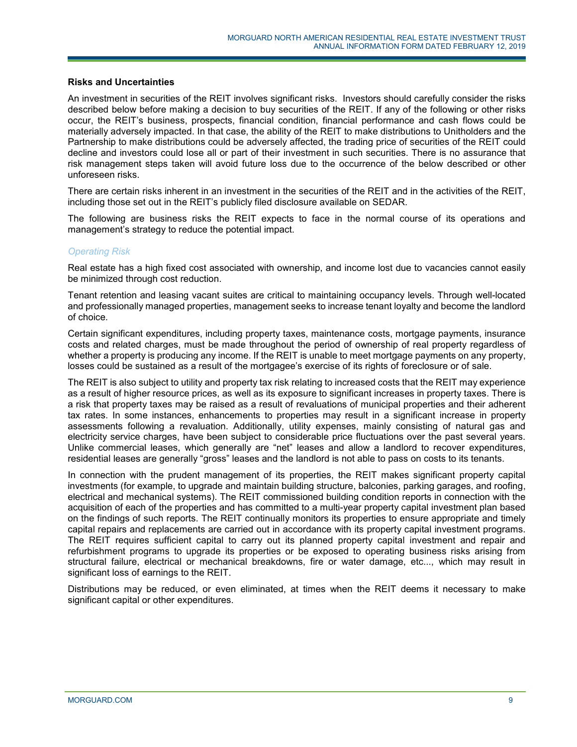### **Risks and Uncertainties**

An investment in securities of the REIT involves significant risks. Investors should carefully consider the risks described below before making a decision to buy securities of the REIT. If any of the following or other risks occur, the REIT's business, prospects, financial condition, financial performance and cash flows could be materially adversely impacted. In that case, the ability of the REIT to make distributions to Unitholders and the Partnership to make distributions could be adversely affected, the trading price of securities of the REIT could decline and investors could lose all or part of their investment in such securities. There is no assurance that risk management steps taken will avoid future loss due to the occurrence of the below described or other unforeseen risks.

There are certain risks inherent in an investment in the securities of the REIT and in the activities of the REIT, including those set out in the REIT's publicly filed disclosure available on SEDAR.

The following are business risks the REIT expects to face in the normal course of its operations and management's strategy to reduce the potential impact.

### *Operating Risk*

Real estate has a high fixed cost associated with ownership, and income lost due to vacancies cannot easily be minimized through cost reduction.

Tenant retention and leasing vacant suites are critical to maintaining occupancy levels. Through well-located and professionally managed properties, management seeks to increase tenant loyalty and become the landlord of choice.

Certain significant expenditures, including property taxes, maintenance costs, mortgage payments, insurance costs and related charges, must be made throughout the period of ownership of real property regardless of whether a property is producing any income. If the REIT is unable to meet mortgage payments on any property, losses could be sustained as a result of the mortgagee's exercise of its rights of foreclosure or of sale.

The REIT is also subject to utility and property tax risk relating to increased costs that the REIT may experience as a result of higher resource prices, as well as its exposure to significant increases in property taxes. There is a risk that property taxes may be raised as a result of revaluations of municipal properties and their adherent tax rates. In some instances, enhancements to properties may result in a significant increase in property assessments following a revaluation. Additionally, utility expenses, mainly consisting of natural gas and electricity service charges, have been subject to considerable price fluctuations over the past several years. Unlike commercial leases, which generally are "net" leases and allow a landlord to recover expenditures, residential leases are generally "gross" leases and the landlord is not able to pass on costs to its tenants.

In connection with the prudent management of its properties, the REIT makes significant property capital investments (for example, to upgrade and maintain building structure, balconies, parking garages, and roofing, electrical and mechanical systems). The REIT commissioned building condition reports in connection with the acquisition of each of the properties and has committed to a multi-year property capital investment plan based on the findings of such reports. The REIT continually monitors its properties to ensure appropriate and timely capital repairs and replacements are carried out in accordance with its property capital investment programs. The REIT requires sufficient capital to carry out its planned property capital investment and repair and refurbishment programs to upgrade its properties or be exposed to operating business risks arising from structural failure, electrical or mechanical breakdowns, fire or water damage, etc..., which may result in significant loss of earnings to the REIT.

Distributions may be reduced, or even eliminated, at times when the REIT deems it necessary to make significant capital or other expenditures.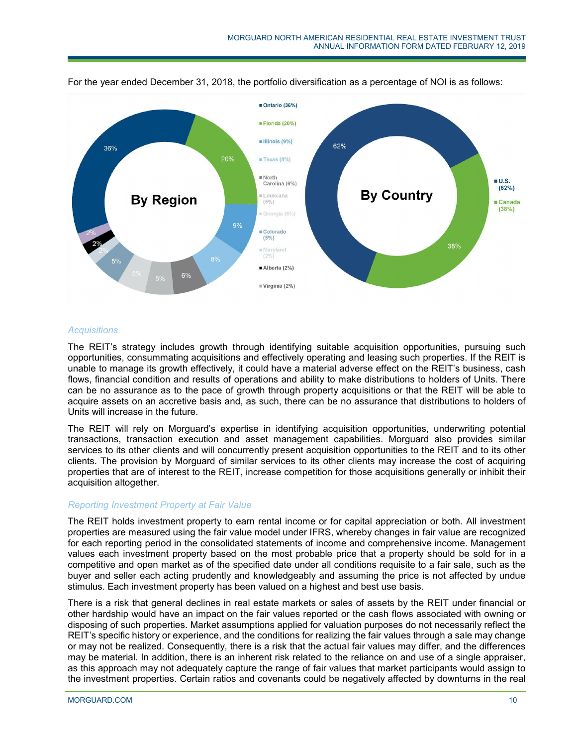

For the year ended December 31, 2018, the portfolio diversification as a percentage of NOI is as follows:

## *Acquisitions*

The REIT's strategy includes growth through identifying suitable acquisition opportunities, pursuing such opportunities, consummating acquisitions and effectively operating and leasing such properties. If the REIT is unable to manage its growth effectively, it could have a material adverse effect on the REIT's business, cash flows, financial condition and results of operations and ability to make distributions to holders of Units. There can be no assurance as to the pace of growth through property acquisitions or that the REIT will be able to acquire assets on an accretive basis and, as such, there can be no assurance that distributions to holders of Units will increase in the future.

The REIT will rely on Morguard's expertise in identifying acquisition opportunities, underwriting potential transactions, transaction execution and asset management capabilities. Morguard also provides similar services to its other clients and will concurrently present acquisition opportunities to the REIT and to its other clients. The provision by Morguard of similar services to its other clients may increase the cost of acquiring properties that are of interest to the REIT, increase competition for those acquisitions generally or inhibit their acquisition altogether.

### *Reporting Investment Property at Fair Value*

The REIT holds investment property to earn rental income or for capital appreciation or both. All investment properties are measured using the fair value model under IFRS, whereby changes in fair value are recognized for each reporting period in the consolidated statements of income and comprehensive income. Management values each investment property based on the most probable price that a property should be sold for in a competitive and open market as of the specified date under all conditions requisite to a fair sale, such as the buyer and seller each acting prudently and knowledgeably and assuming the price is not affected by undue stimulus. Each investment property has been valued on a highest and best use basis.

There is a risk that general declines in real estate markets or sales of assets by the REIT under financial or other hardship would have an impact on the fair values reported or the cash flows associated with owning or disposing of such properties. Market assumptions applied for valuation purposes do not necessarily reflect the REIT's specific history or experience, and the conditions for realizing the fair values through a sale may change or may not be realized. Consequently, there is a risk that the actual fair values may differ, and the differences may be material. In addition, there is an inherent risk related to the reliance on and use of a single appraiser, as this approach may not adequately capture the range of fair values that market participants would assign to the investment properties. Certain ratios and covenants could be negatively affected by downturns in the real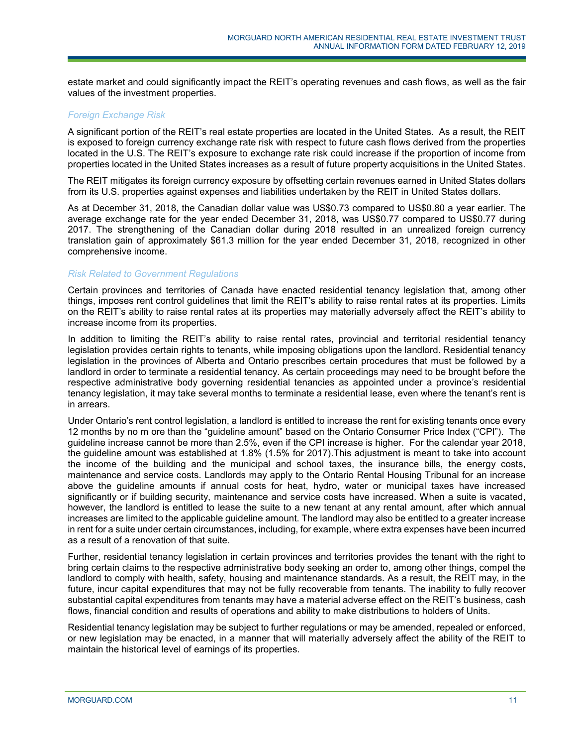estate market and could significantly impact the REIT's operating revenues and cash flows, as well as the fair values of the investment properties.

### *Foreign Exchange Risk*

A significant portion of the REIT's real estate properties are located in the United States. As a result, the REIT is exposed to foreign currency exchange rate risk with respect to future cash flows derived from the properties located in the U.S. The REIT's exposure to exchange rate risk could increase if the proportion of income from properties located in the United States increases as a result of future property acquisitions in the United States.

The REIT mitigates its foreign currency exposure by offsetting certain revenues earned in United States dollars from its U.S. properties against expenses and liabilities undertaken by the REIT in United States dollars.

As at December 31, 2018, the Canadian dollar value was US\$0.73 compared to US\$0.80 a year earlier. The average exchange rate for the year ended December 31, 2018, was US\$0.77 compared to US\$0.77 during 2017. The strengthening of the Canadian dollar during 2018 resulted in an unrealized foreign currency translation gain of approximately \$61.3 million for the year ended December 31, 2018, recognized in other comprehensive income.

### *Risk Related to Government Regulations*

Certain provinces and territories of Canada have enacted residential tenancy legislation that, among other things, imposes rent control guidelines that limit the REIT's ability to raise rental rates at its properties. Limits on the REIT's ability to raise rental rates at its properties may materially adversely affect the REIT's ability to increase income from its properties.

In addition to limiting the REIT's ability to raise rental rates, provincial and territorial residential tenancy legislation provides certain rights to tenants, while imposing obligations upon the landlord. Residential tenancy legislation in the provinces of Alberta and Ontario prescribes certain procedures that must be followed by a landlord in order to terminate a residential tenancy. As certain proceedings may need to be brought before the respective administrative body governing residential tenancies as appointed under a province's residential tenancy legislation, it may take several months to terminate a residential lease, even where the tenant's rent is in arrears.

Under Ontario's rent control legislation, a landlord is entitled to increase the rent for existing tenants once every 12 months by no m ore than the "guideline amount" based on the Ontario Consumer Price Index ("CPI"). The guideline increase cannot be more than 2.5%, even if the CPI increase is higher. For the calendar year 2018, the guideline amount was established at 1.8% (1.5% for 2017).This adjustment is meant to take into account the income of the building and the municipal and school taxes, the insurance bills, the energy costs, maintenance and service costs. Landlords may apply to the Ontario Rental Housing Tribunal for an increase above the guideline amounts if annual costs for heat, hydro, water or municipal taxes have increased significantly or if building security, maintenance and service costs have increased. When a suite is vacated, however, the landlord is entitled to lease the suite to a new tenant at any rental amount, after which annual increases are limited to the applicable guideline amount. The landlord may also be entitled to a greater increase in rent for a suite under certain circumstances, including, for example, where extra expenses have been incurred as a result of a renovation of that suite.

Further, residential tenancy legislation in certain provinces and territories provides the tenant with the right to bring certain claims to the respective administrative body seeking an order to, among other things, compel the landlord to comply with health, safety, housing and maintenance standards. As a result, the REIT may, in the future, incur capital expenditures that may not be fully recoverable from tenants. The inability to fully recover substantial capital expenditures from tenants may have a material adverse effect on the REIT's business, cash flows, financial condition and results of operations and ability to make distributions to holders of Units.

Residential tenancy legislation may be subject to further regulations or may be amended, repealed or enforced, or new legislation may be enacted, in a manner that will materially adversely affect the ability of the REIT to maintain the historical level of earnings of its properties.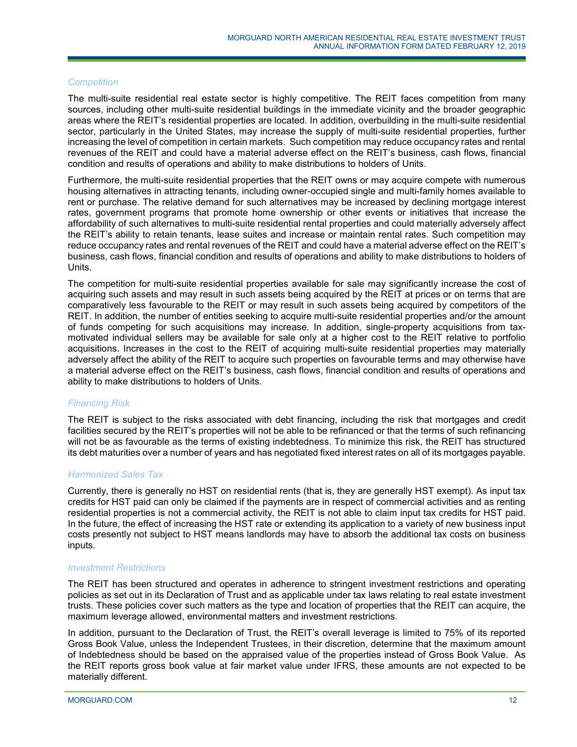### *Competition*

The multi-suite residential real estate sector is highly competitive. The REIT faces competition from many sources, including other multi-suite residential buildings in the immediate vicinity and the broader geographic areas where the REIT's residential properties are located. In addition, overbuilding in the multi-suite residential sector, particularly in the United States, may increase the supply of multi-suite residential properties, further increasing the level of competition in certain markets. Such competition may reduce occupancy rates and rental revenues of the REIT and could have a material adverse effect on the REIT's business, cash flows, financial condition and results of operations and ability to make distributions to holders of Units.

Furthermore, the multi-suite residential properties that the REIT owns or may acquire compete with numerous housing alternatives in attracting tenants, including owner-occupied single and multi-family homes available to rent or purchase. The relative demand for such alternatives may be increased by declining mortgage interest rates, government programs that promote home ownership or other events or initiatives that increase the affordability of such alternatives to multi-suite residential rental properties and could materially adversely affect the REIT's ability to retain tenants, lease suites and increase or maintain rental rates. Such competition may reduce occupancy rates and rental revenues of the REIT and could have a material adverse effect on the REIT's business, cash flows, financial condition and results of operations and ability to make distributions to holders of **Units** 

The competition for multi-suite residential properties available for sale may significantly increase the cost of acquiring such assets and may result in such assets being acquired by the REIT at prices or on terms that are comparatively less favourable to the REIT or may result in such assets being acquired by competitors of the REIT. In addition, the number of entities seeking to acquire multi-suite residential properties and/or the amount of funds competing for such acquisitions may increase. In addition, single-property acquisitions from taxmotivated individual sellers may be available for sale only at a higher cost to the REIT relative to portfolio acquisitions. Increases in the cost to the REIT of acquiring multi-suite residential properties may materially adversely affect the ability of the REIT to acquire such properties on favourable terms and may otherwise have a material adverse effect on the REIT's business, cash flows, financial condition and results of operations and ability to make distributions to holders of Units.

### *Financing Risk*

The REIT is subject to the risks associated with debt financing, including the risk that mortgages and credit facilities secured by the REIT's properties will not be able to be refinanced or that the terms of such refinancing will not be as favourable as the terms of existing indebtedness. To minimize this risk, the REIT has structured its debt maturities over a number of years and has negotiated fixed interest rates on all of its mortgages payable.

### *Harmonized Sales Tax*

Currently, there is generally no HST on residential rents (that is, they are generally HST exempt). As input tax credits for HST paid can only be claimed if the payments are in respect of commercial activities and as renting residential properties is not a commercial activity, the REIT is not able to claim input tax credits for HST paid. In the future, the effect of increasing the HST rate or extending its application to a variety of new business input costs presently not subject to HST means landlords may have to absorb the additional tax costs on business inputs.

### *Investment Restrictions*

The REIT has been structured and operates in adherence to stringent investment restrictions and operating policies as set out in its Declaration of Trust and as applicable under tax laws relating to real estate investment trusts. These policies cover such matters as the type and location of properties that the REIT can acquire, the maximum leverage allowed, environmental matters and investment restrictions.

In addition, pursuant to the Declaration of Trust, the REIT's overall leverage is limited to 75% of its reported Gross Book Value, unless the Independent Trustees, in their discretion, determine that the maximum amount of Indebtedness should be based on the appraised value of the properties instead of Gross Book Value. As the REIT reports gross book value at fair market value under IFRS, these amounts are not expected to be materially different.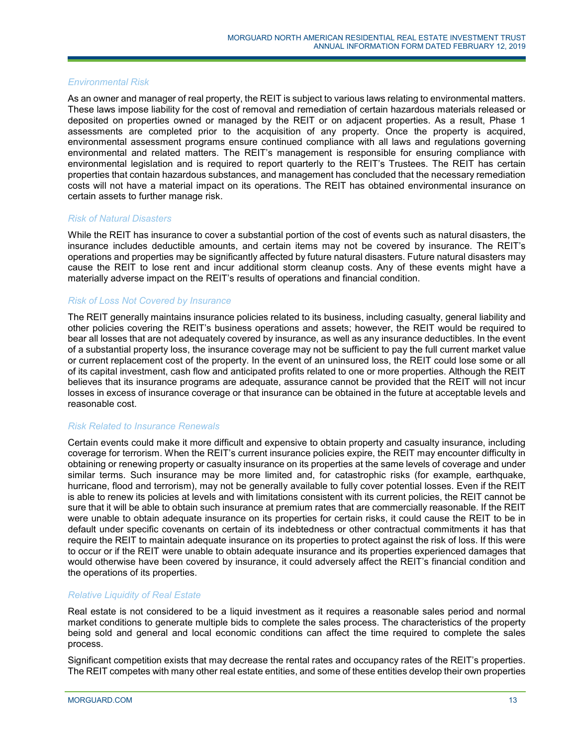### *Environmental Risk*

As an owner and manager of real property, the REIT is subject to various laws relating to environmental matters. These laws impose liability for the cost of removal and remediation of certain hazardous materials released or deposited on properties owned or managed by the REIT or on adjacent properties. As a result, Phase 1 assessments are completed prior to the acquisition of any property. Once the property is acquired, environmental assessment programs ensure continued compliance with all laws and regulations governing environmental and related matters. The REIT's management is responsible for ensuring compliance with environmental legislation and is required to report quarterly to the REIT's Trustees. The REIT has certain properties that contain hazardous substances, and management has concluded that the necessary remediation costs will not have a material impact on its operations. The REIT has obtained environmental insurance on certain assets to further manage risk.

### *Risk of Natural Disasters*

While the REIT has insurance to cover a substantial portion of the cost of events such as natural disasters, the insurance includes deductible amounts, and certain items may not be covered by insurance. The REIT's operations and properties may be significantly affected by future natural disasters. Future natural disasters may cause the REIT to lose rent and incur additional storm cleanup costs. Any of these events might have a materially adverse impact on the REIT's results of operations and financial condition.

### *Risk of Loss Not Covered by Insurance*

The REIT generally maintains insurance policies related to its business, including casualty, general liability and other policies covering the REIT's business operations and assets; however, the REIT would be required to bear all losses that are not adequately covered by insurance, as well as any insurance deductibles. In the event of a substantial property loss, the insurance coverage may not be sufficient to pay the full current market value or current replacement cost of the property. In the event of an uninsured loss, the REIT could lose some or all of its capital investment, cash flow and anticipated profits related to one or more properties. Although the REIT believes that its insurance programs are adequate, assurance cannot be provided that the REIT will not incur losses in excess of insurance coverage or that insurance can be obtained in the future at acceptable levels and reasonable cost.

### *Risk Related to Insurance Renewals*

Certain events could make it more difficult and expensive to obtain property and casualty insurance, including coverage for terrorism. When the REIT's current insurance policies expire, the REIT may encounter difficulty in obtaining or renewing property or casualty insurance on its properties at the same levels of coverage and under similar terms. Such insurance may be more limited and, for catastrophic risks (for example, earthquake, hurricane, flood and terrorism), may not be generally available to fully cover potential losses. Even if the REIT is able to renew its policies at levels and with limitations consistent with its current policies, the REIT cannot be sure that it will be able to obtain such insurance at premium rates that are commercially reasonable. If the REIT were unable to obtain adequate insurance on its properties for certain risks, it could cause the REIT to be in default under specific covenants on certain of its indebtedness or other contractual commitments it has that require the REIT to maintain adequate insurance on its properties to protect against the risk of loss. If this were to occur or if the REIT were unable to obtain adequate insurance and its properties experienced damages that would otherwise have been covered by insurance, it could adversely affect the REIT's financial condition and the operations of its properties.

### *Relative Liquidity of Real Estate*

Real estate is not considered to be a liquid investment as it requires a reasonable sales period and normal market conditions to generate multiple bids to complete the sales process. The characteristics of the property being sold and general and local economic conditions can affect the time required to complete the sales process.

Significant competition exists that may decrease the rental rates and occupancy rates of the REIT's properties. The REIT competes with many other real estate entities, and some of these entities develop their own properties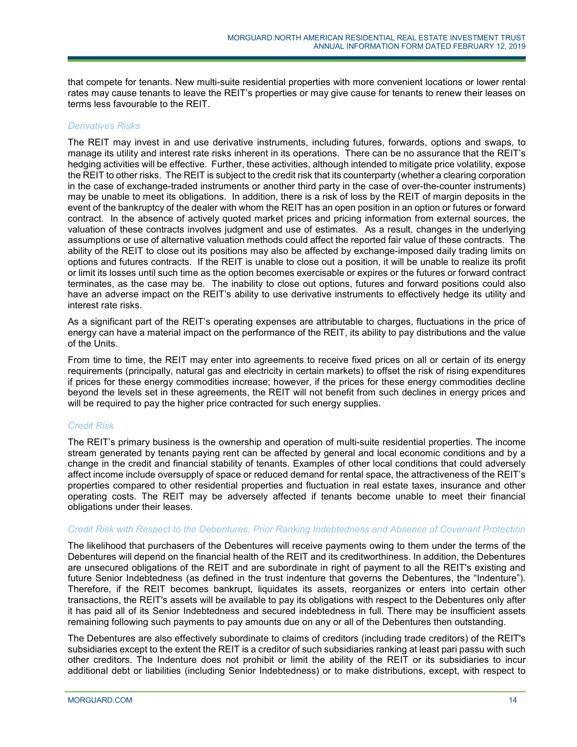that compete for tenants. New multi-suite residential properties with more convenient locations or lower rental rates may cause tenants to leave the REIT's properties or may give cause for tenants to renew their leases on terms less favourable to the REIT.

### *Derivatives Risks*

The REIT may invest in and use derivative instruments, including futures, forwards, options and swaps, to manage its utility and interest rate risks inherent in its operations. There can be no assurance that the REIT's hedging activities will be effective. Further, these activities, although intended to mitigate price volatility, expose the REIT to other risks. The REIT is subject to the credit risk that its counterparty (whether a clearing corporation in the case of exchange-traded instruments or another third party in the case of over-the-counter instruments) may be unable to meet its obligations. In addition, there is a risk of loss by the REIT of margin deposits in the event of the bankruptcy of the dealer with whom the REIT has an open position in an option or futures or forward contract. In the absence of actively quoted market prices and pricing information from external sources, the valuation of these contracts involves judgment and use of estimates. As a result, changes in the underlying assumptions or use of alternative valuation methods could affect the reported fair value of these contracts. The ability of the REIT to close out its positions may also be affected by exchange-imposed daily trading limits on options and futures contracts. If the REIT is unable to close out a position, it will be unable to realize its profit or limit its losses until such time as the option becomes exercisable or expires or the futures or forward contract terminates, as the case may be. The inability to close out options, futures and forward positions could also have an adverse impact on the REIT's ability to use derivative instruments to effectively hedge its utility and interest rate risks.

As a significant part of the REIT's operating expenses are attributable to charges, fluctuations in the price of energy can have a material impact on the performance of the REIT, its ability to pay distributions and the value of the Units.

From time to time, the REIT may enter into agreements to receive fixed prices on all or certain of its energy requirements (principally, natural gas and electricity in certain markets) to offset the risk of rising expenditures if prices for these energy commodities increase; however, if the prices for these energy commodities decline beyond the levels set in these agreements, the REIT will not benefit from such declines in energy prices and will be required to pay the higher price contracted for such energy supplies.

### *Credit Risk*

The REIT's primary business is the ownership and operation of multi-suite residential properties. The income stream generated by tenants paying rent can be affected by general and local economic conditions and by a change in the credit and financial stability of tenants. Examples of other local conditions that could adversely affect income include oversupply of space or reduced demand for rental space, the attractiveness of the REIT's properties compared to other residential properties and fluctuation in real estate taxes, insurance and other operating costs. The REIT may be adversely affected if tenants become unable to meet their financial obligations under their leases.

### *Credit Risk with Respect to the Debentures, Prior Ranking Indebtedness and Absence of Covenant Protection*

The likelihood that purchasers of the Debentures will receive payments owing to them under the terms of the Debentures will depend on the financial health of the REIT and its creditworthiness. In addition, the Debentures are unsecured obligations of the REIT and are subordinate in right of payment to all the REIT's existing and future Senior Indebtedness (as defined in the trust indenture that governs the Debentures, the "Indenture"). Therefore, if the REIT becomes bankrupt, liquidates its assets, reorganizes or enters into certain other transactions, the REIT's assets will be available to pay its obligations with respect to the Debentures only after it has paid all of its Senior Indebtedness and secured indebtedness in full. There may be insufficient assets remaining following such payments to pay amounts due on any or all of the Debentures then outstanding.

The Debentures are also effectively subordinate to claims of creditors (including trade creditors) of the REIT's subsidiaries except to the extent the REIT is a creditor of such subsidiaries ranking at least pari passu with such other creditors. The Indenture does not prohibit or limit the ability of the REIT or its subsidiaries to incur additional debt or liabilities (including Senior Indebtedness) or to make distributions, except, with respect to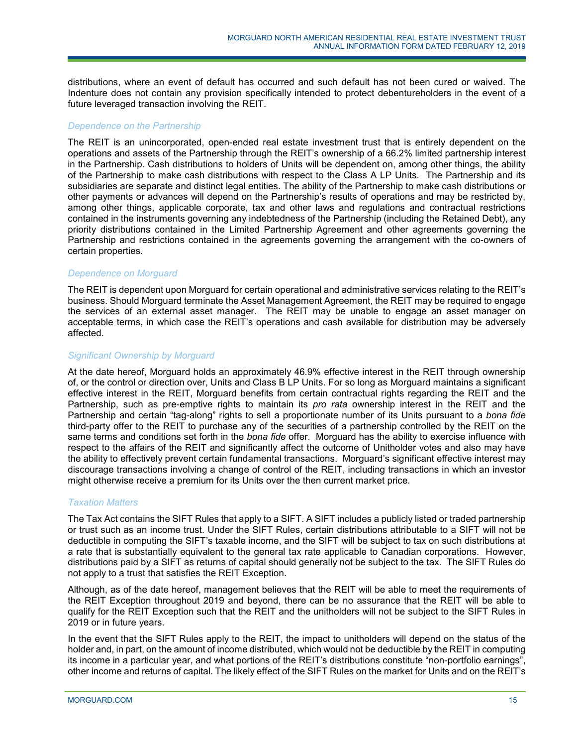distributions, where an event of default has occurred and such default has not been cured or waived. The Indenture does not contain any provision specifically intended to protect debentureholders in the event of a future leveraged transaction involving the REIT.

### *Dependence on the Partnership*

The REIT is an unincorporated, open-ended real estate investment trust that is entirely dependent on the operations and assets of the Partnership through the REIT's ownership of a 66.2% limited partnership interest in the Partnership. Cash distributions to holders of Units will be dependent on, among other things, the ability of the Partnership to make cash distributions with respect to the Class A LP Units. The Partnership and its subsidiaries are separate and distinct legal entities. The ability of the Partnership to make cash distributions or other payments or advances will depend on the Partnership's results of operations and may be restricted by, among other things, applicable corporate, tax and other laws and regulations and contractual restrictions contained in the instruments governing any indebtedness of the Partnership (including the Retained Debt), any priority distributions contained in the Limited Partnership Agreement and other agreements governing the Partnership and restrictions contained in the agreements governing the arrangement with the co-owners of certain properties.

### *Dependence on Morguard*

The REIT is dependent upon Morguard for certain operational and administrative services relating to the REIT's business. Should Morguard terminate the Asset Management Agreement, the REIT may be required to engage the services of an external asset manager. The REIT may be unable to engage an asset manager on acceptable terms, in which case the REIT's operations and cash available for distribution may be adversely affected.

### *Significant Ownership by Morguard*

At the date hereof, Morguard holds an approximately 46.9% effective interest in the REIT through ownership of, or the control or direction over, Units and Class B LP Units. For so long as Morguard maintains a significant effective interest in the REIT, Morguard benefits from certain contractual rights regarding the REIT and the Partnership, such as pre-emptive rights to maintain its *pro rata* ownership interest in the REIT and the Partnership and certain "tag-along" rights to sell a proportionate number of its Units pursuant to a *bona fide* third-party offer to the REIT to purchase any of the securities of a partnership controlled by the REIT on the same terms and conditions set forth in the *bona fide* offer. Morguard has the ability to exercise influence with respect to the affairs of the REIT and significantly affect the outcome of Unitholder votes and also may have the ability to effectively prevent certain fundamental transactions. Morguard's significant effective interest may discourage transactions involving a change of control of the REIT, including transactions in which an investor might otherwise receive a premium for its Units over the then current market price.

### *Taxation Matters*

The Tax Act contains the SIFT Rules that apply to a SIFT. A SIFT includes a publicly listed or traded partnership or trust such as an income trust. Under the SIFT Rules, certain distributions attributable to a SIFT will not be deductible in computing the SIFT's taxable income, and the SIFT will be subject to tax on such distributions at a rate that is substantially equivalent to the general tax rate applicable to Canadian corporations. However, distributions paid by a SIFT as returns of capital should generally not be subject to the tax. The SIFT Rules do not apply to a trust that satisfies the REIT Exception.

Although, as of the date hereof, management believes that the REIT will be able to meet the requirements of the REIT Exception throughout 2019 and beyond, there can be no assurance that the REIT will be able to qualify for the REIT Exception such that the REIT and the unitholders will not be subject to the SIFT Rules in 2019 or in future years.

In the event that the SIFT Rules apply to the REIT, the impact to unitholders will depend on the status of the holder and, in part, on the amount of income distributed, which would not be deductible by the REIT in computing its income in a particular year, and what portions of the REIT's distributions constitute "non-portfolio earnings", other income and returns of capital. The likely effect of the SIFT Rules on the market for Units and on the REIT's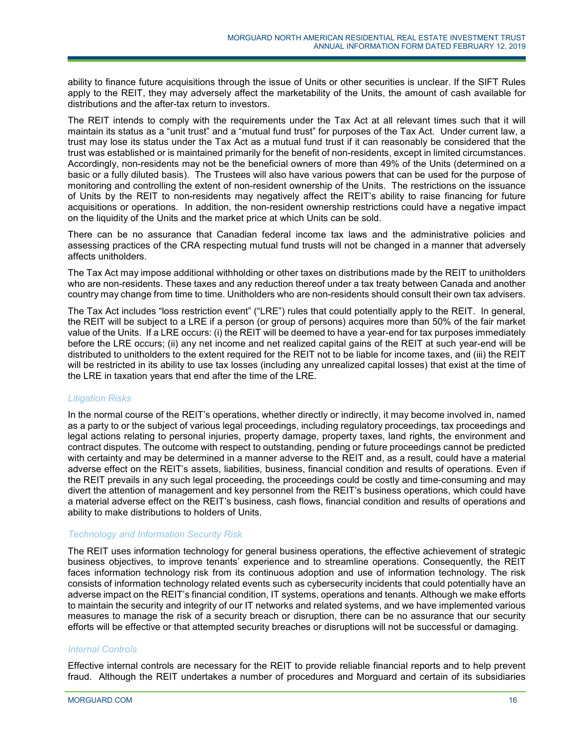ability to finance future acquisitions through the issue of Units or other securities is unclear. If the SIFT Rules apply to the REIT, they may adversely affect the marketability of the Units, the amount of cash available for distributions and the after-tax return to investors.

The REIT intends to comply with the requirements under the Tax Act at all relevant times such that it will maintain its status as a "unit trust" and a "mutual fund trust" for purposes of the Tax Act. Under current law, a trust may lose its status under the Tax Act as a mutual fund trust if it can reasonably be considered that the trust was established or is maintained primarily for the benefit of non-residents, except in limited circumstances. Accordingly, non-residents may not be the beneficial owners of more than 49% of the Units (determined on a basic or a fully diluted basis). The Trustees will also have various powers that can be used for the purpose of monitoring and controlling the extent of non-resident ownership of the Units. The restrictions on the issuance of Units by the REIT to non-residents may negatively affect the REIT's ability to raise financing for future acquisitions or operations. In addition, the non-resident ownership restrictions could have a negative impact on the liquidity of the Units and the market price at which Units can be sold.

There can be no assurance that Canadian federal income tax laws and the administrative policies and assessing practices of the CRA respecting mutual fund trusts will not be changed in a manner that adversely affects unitholders.

The Tax Act may impose additional withholding or other taxes on distributions made by the REIT to unitholders who are non-residents. These taxes and any reduction thereof under a tax treaty between Canada and another country may change from time to time. Unitholders who are non-residents should consult their own tax advisers.

The Tax Act includes "loss restriction event" ("LRE") rules that could potentially apply to the REIT. In general, the REIT will be subject to a LRE if a person (or group of persons) acquires more than 50% of the fair market value of the Units. If a LRE occurs: (i) the REIT will be deemed to have a year-end for tax purposes immediately before the LRE occurs; (ii) any net income and net realized capital gains of the REIT at such year-end will be distributed to unitholders to the extent required for the REIT not to be liable for income taxes, and (iii) the REIT will be restricted in its ability to use tax losses (including any unrealized capital losses) that exist at the time of the LRE in taxation years that end after the time of the LRE.

### *Litigation Risks*

In the normal course of the REIT's operations, whether directly or indirectly, it may become involved in, named as a party to or the subject of various legal proceedings, including regulatory proceedings, tax proceedings and legal actions relating to personal injuries, property damage, property taxes, land rights, the environment and contract disputes. The outcome with respect to outstanding, pending or future proceedings cannot be predicted with certainty and may be determined in a manner adverse to the REIT and, as a result, could have a material adverse effect on the REIT's assets, liabilities, business, financial condition and results of operations. Even if the REIT prevails in any such legal proceeding, the proceedings could be costly and time-consuming and may divert the attention of management and key personnel from the REIT's business operations, which could have a material adverse effect on the REIT's business, cash flows, financial condition and results of operations and ability to make distributions to holders of Units.

### *Technology and Information Security Risk*

The REIT uses information technology for general business operations, the effective achievement of strategic business objectives, to improve tenants' experience and to streamline operations. Consequently, the REIT faces information technology risk from its continuous adoption and use of information technology. The risk consists of information technology related events such as cybersecurity incidents that could potentially have an adverse impact on the REIT's financial condition, IT systems, operations and tenants. Although we make efforts to maintain the security and integrity of our IT networks and related systems, and we have implemented various measures to manage the risk of a security breach or disruption, there can be no assurance that our security efforts will be effective or that attempted security breaches or disruptions will not be successful or damaging.

### *Internal Controls*

Effective internal controls are necessary for the REIT to provide reliable financial reports and to help prevent fraud. Although the REIT undertakes a number of procedures and Morguard and certain of its subsidiaries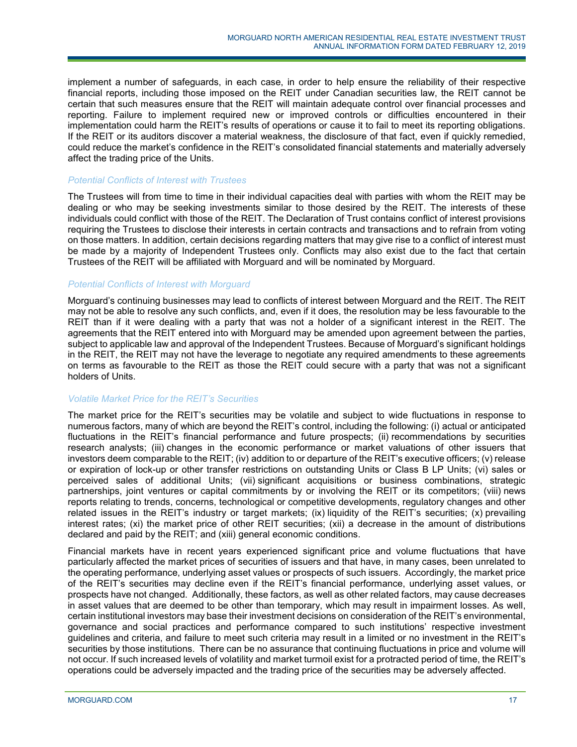implement a number of safeguards, in each case, in order to help ensure the reliability of their respective financial reports, including those imposed on the REIT under Canadian securities law, the REIT cannot be certain that such measures ensure that the REIT will maintain adequate control over financial processes and reporting. Failure to implement required new or improved controls or difficulties encountered in their implementation could harm the REIT's results of operations or cause it to fail to meet its reporting obligations. If the REIT or its auditors discover a material weakness, the disclosure of that fact, even if quickly remedied, could reduce the market's confidence in the REIT's consolidated financial statements and materially adversely affect the trading price of the Units.

### *Potential Conflicts of Interest with Trustees*

The Trustees will from time to time in their individual capacities deal with parties with whom the REIT may be dealing or who may be seeking investments similar to those desired by the REIT. The interests of these individuals could conflict with those of the REIT. The Declaration of Trust contains conflict of interest provisions requiring the Trustees to disclose their interests in certain contracts and transactions and to refrain from voting on those matters. In addition, certain decisions regarding matters that may give rise to a conflict of interest must be made by a majority of Independent Trustees only. Conflicts may also exist due to the fact that certain Trustees of the REIT will be affiliated with Morguard and will be nominated by Morguard.

### *Potential Conflicts of Interest with Morguard*

Morguard's continuing businesses may lead to conflicts of interest between Morguard and the REIT. The REIT may not be able to resolve any such conflicts, and, even if it does, the resolution may be less favourable to the REIT than if it were dealing with a party that was not a holder of a significant interest in the REIT. The agreements that the REIT entered into with Morguard may be amended upon agreement between the parties, subject to applicable law and approval of the Independent Trustees. Because of Morguard's significant holdings in the REIT, the REIT may not have the leverage to negotiate any required amendments to these agreements on terms as favourable to the REIT as those the REIT could secure with a party that was not a significant holders of Units.

### *Volatile Market Price for the REIT's Securities*

The market price for the REIT's securities may be volatile and subject to wide fluctuations in response to numerous factors, many of which are beyond the REIT's control, including the following: (i) actual or anticipated fluctuations in the REIT's financial performance and future prospects; (ii) recommendations by securities research analysts; (iii) changes in the economic performance or market valuations of other issuers that investors deem comparable to the REIT; (iv) addition to or departure of the REIT's executive officers; (v) release or expiration of lock-up or other transfer restrictions on outstanding Units or Class B LP Units; (vi) sales or perceived sales of additional Units; (vii) significant acquisitions or business combinations, strategic partnerships, joint ventures or capital commitments by or involving the REIT or its competitors; (viii) news reports relating to trends, concerns, technological or competitive developments, regulatory changes and other related issues in the REIT's industry or target markets; (ix) liquidity of the REIT's securities; (x) prevailing interest rates; (xi) the market price of other REIT securities; (xii) a decrease in the amount of distributions declared and paid by the REIT; and (xiii) general economic conditions.

Financial markets have in recent years experienced significant price and volume fluctuations that have particularly affected the market prices of securities of issuers and that have, in many cases, been unrelated to the operating performance, underlying asset values or prospects of such issuers. Accordingly, the market price of the REIT's securities may decline even if the REIT's financial performance, underlying asset values, or prospects have not changed. Additionally, these factors, as well as other related factors, may cause decreases in asset values that are deemed to be other than temporary, which may result in impairment losses. As well, certain institutional investors may base their investment decisions on consideration of the REIT's environmental, governance and social practices and performance compared to such institutions' respective investment guidelines and criteria, and failure to meet such criteria may result in a limited or no investment in the REIT's securities by those institutions. There can be no assurance that continuing fluctuations in price and volume will not occur. If such increased levels of volatility and market turmoil exist for a protracted period of time, the REIT's operations could be adversely impacted and the trading price of the securities may be adversely affected.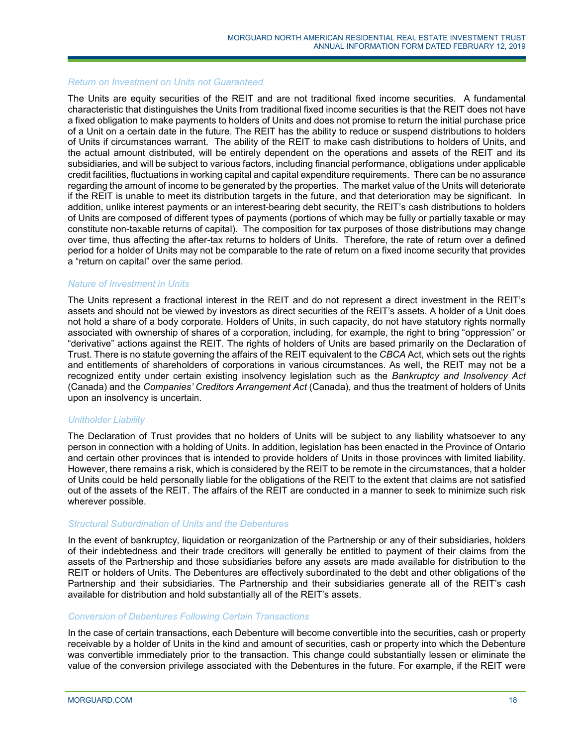### *Return on Investment on Units not Guaranteed*

The Units are equity securities of the REIT and are not traditional fixed income securities. A fundamental characteristic that distinguishes the Units from traditional fixed income securities is that the REIT does not have a fixed obligation to make payments to holders of Units and does not promise to return the initial purchase price of a Unit on a certain date in the future. The REIT has the ability to reduce or suspend distributions to holders of Units if circumstances warrant. The ability of the REIT to make cash distributions to holders of Units, and the actual amount distributed, will be entirely dependent on the operations and assets of the REIT and its subsidiaries, and will be subject to various factors, including financial performance, obligations under applicable credit facilities, fluctuations in working capital and capital expenditure requirements. There can be no assurance regarding the amount of income to be generated by the properties. The market value of the Units will deteriorate if the REIT is unable to meet its distribution targets in the future, and that deterioration may be significant. In addition, unlike interest payments or an interest-bearing debt security, the REIT's cash distributions to holders of Units are composed of different types of payments (portions of which may be fully or partially taxable or may constitute non-taxable returns of capital). The composition for tax purposes of those distributions may change over time, thus affecting the after-tax returns to holders of Units. Therefore, the rate of return over a defined period for a holder of Units may not be comparable to the rate of return on a fixed income security that provides a "return on capital" over the same period.

### *Nature of Investment in Units*

The Units represent a fractional interest in the REIT and do not represent a direct investment in the REIT's assets and should not be viewed by investors as direct securities of the REIT's assets. A holder of a Unit does not hold a share of a body corporate. Holders of Units, in such capacity, do not have statutory rights normally associated with ownership of shares of a corporation, including, for example, the right to bring "oppression" or "derivative" actions against the REIT. The rights of holders of Units are based primarily on the Declaration of Trust. There is no statute governing the affairs of the REIT equivalent to the *CBCA* Act, which sets out the rights and entitlements of shareholders of corporations in various circumstances. As well, the REIT may not be a recognized entity under certain existing insolvency legislation such as the *Bankruptcy and Insolvency Act* (Canada) and the *Companies' Creditors Arrangement Act* (Canada), and thus the treatment of holders of Units upon an insolvency is uncertain.

### *Unitholder Liability*

The Declaration of Trust provides that no holders of Units will be subject to any liability whatsoever to any person in connection with a holding of Units. In addition, legislation has been enacted in the Province of Ontario and certain other provinces that is intended to provide holders of Units in those provinces with limited liability. However, there remains a risk, which is considered by the REIT to be remote in the circumstances, that a holder of Units could be held personally liable for the obligations of the REIT to the extent that claims are not satisfied out of the assets of the REIT. The affairs of the REIT are conducted in a manner to seek to minimize such risk wherever possible.

### *Structural Subordination of Units and the Debentures*

In the event of bankruptcy, liquidation or reorganization of the Partnership or any of their subsidiaries, holders of their indebtedness and their trade creditors will generally be entitled to payment of their claims from the assets of the Partnership and those subsidiaries before any assets are made available for distribution to the REIT or holders of Units. The Debentures are effectively subordinated to the debt and other obligations of the Partnership and their subsidiaries. The Partnership and their subsidiaries generate all of the REIT's cash available for distribution and hold substantially all of the REIT's assets.

#### *Conversion of Debentures Following Certain Transactions*

In the case of certain transactions, each Debenture will become convertible into the securities, cash or property receivable by a holder of Units in the kind and amount of securities, cash or property into which the Debenture was convertible immediately prior to the transaction. This change could substantially lessen or eliminate the value of the conversion privilege associated with the Debentures in the future. For example, if the REIT were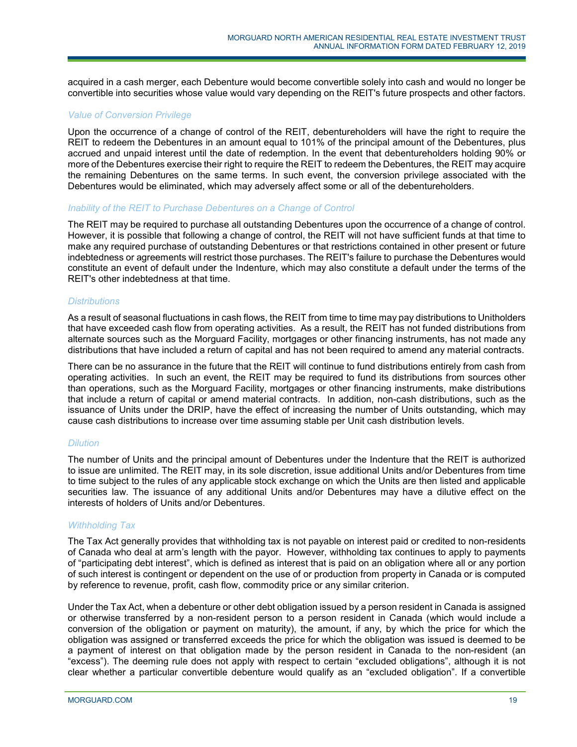acquired in a cash merger, each Debenture would become convertible solely into cash and would no longer be convertible into securities whose value would vary depending on the REIT's future prospects and other factors.

### *Value of Conversion Privilege*

Upon the occurrence of a change of control of the REIT, debentureholders will have the right to require the REIT to redeem the Debentures in an amount equal to 101% of the principal amount of the Debentures, plus accrued and unpaid interest until the date of redemption. In the event that debentureholders holding 90% or more of the Debentures exercise their right to require the REIT to redeem the Debentures, the REIT may acquire the remaining Debentures on the same terms. In such event, the conversion privilege associated with the Debentures would be eliminated, which may adversely affect some or all of the debentureholders.

### *Inability of the REIT to Purchase Debentures on a Change of Control*

The REIT may be required to purchase all outstanding Debentures upon the occurrence of a change of control. However, it is possible that following a change of control, the REIT will not have sufficient funds at that time to make any required purchase of outstanding Debentures or that restrictions contained in other present or future indebtedness or agreements will restrict those purchases. The REIT's failure to purchase the Debentures would constitute an event of default under the Indenture, which may also constitute a default under the terms of the REIT's other indebtedness at that time.

### *Distributions*

As a result of seasonal fluctuations in cash flows, the REIT from time to time may pay distributions to Unitholders that have exceeded cash flow from operating activities. As a result, the REIT has not funded distributions from alternate sources such as the Morguard Facility, mortgages or other financing instruments, has not made any distributions that have included a return of capital and has not been required to amend any material contracts.

There can be no assurance in the future that the REIT will continue to fund distributions entirely from cash from operating activities. In such an event, the REIT may be required to fund its distributions from sources other than operations, such as the Morguard Facility, mortgages or other financing instruments, make distributions that include a return of capital or amend material contracts. In addition, non-cash distributions, such as the issuance of Units under the DRIP, have the effect of increasing the number of Units outstanding, which may cause cash distributions to increase over time assuming stable per Unit cash distribution levels.

### *Dilution*

The number of Units and the principal amount of Debentures under the Indenture that the REIT is authorized to issue are unlimited. The REIT may, in its sole discretion, issue additional Units and/or Debentures from time to time subject to the rules of any applicable stock exchange on which the Units are then listed and applicable securities law. The issuance of any additional Units and/or Debentures may have a dilutive effect on the interests of holders of Units and/or Debentures.

### *Withholding Tax*

The Tax Act generally provides that withholding tax is not payable on interest paid or credited to non-residents of Canada who deal at arm's length with the payor. However, withholding tax continues to apply to payments of "participating debt interest", which is defined as interest that is paid on an obligation where all or any portion of such interest is contingent or dependent on the use of or production from property in Canada or is computed by reference to revenue, profit, cash flow, commodity price or any similar criterion.

Under the Tax Act, when a debenture or other debt obligation issued by a person resident in Canada is assigned or otherwise transferred by a non-resident person to a person resident in Canada (which would include a conversion of the obligation or payment on maturity), the amount, if any, by which the price for which the obligation was assigned or transferred exceeds the price for which the obligation was issued is deemed to be a payment of interest on that obligation made by the person resident in Canada to the non-resident (an "excess"). The deeming rule does not apply with respect to certain "excluded obligations", although it is not clear whether a particular convertible debenture would qualify as an "excluded obligation". If a convertible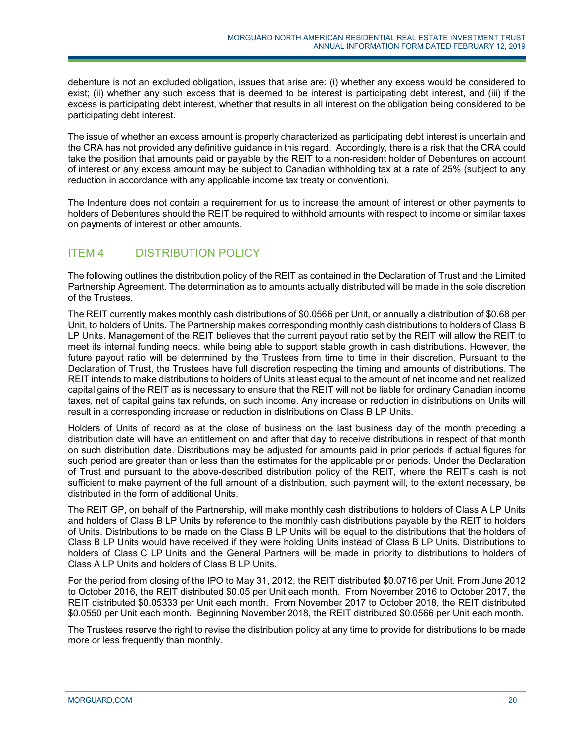debenture is not an excluded obligation, issues that arise are: (i) whether any excess would be considered to exist; (ii) whether any such excess that is deemed to be interest is participating debt interest, and (iii) if the excess is participating debt interest, whether that results in all interest on the obligation being considered to be participating debt interest.

The issue of whether an excess amount is properly characterized as participating debt interest is uncertain and the CRA has not provided any definitive guidance in this regard. Accordingly, there is a risk that the CRA could take the position that amounts paid or payable by the REIT to a non-resident holder of Debentures on account of interest or any excess amount may be subject to Canadian withholding tax at a rate of 25% (subject to any reduction in accordance with any applicable income tax treaty or convention).

The Indenture does not contain a requirement for us to increase the amount of interest or other payments to holders of Debentures should the REIT be required to withhold amounts with respect to income or similar taxes on payments of interest or other amounts.

# <span id="page-19-0"></span>ITEM 4 DISTRIBUTION POLICY

The following outlines the distribution policy of the REIT as contained in the Declaration of Trust and the Limited Partnership Agreement. The determination as to amounts actually distributed will be made in the sole discretion of the Trustees.

The REIT currently makes monthly cash distributions of \$0.0566 per Unit, or annually a distribution of \$0.68 per Unit, to holders of Units**.** The Partnership makes corresponding monthly cash distributions to holders of Class B LP Units. Management of the REIT believes that the current payout ratio set by the REIT will allow the REIT to meet its internal funding needs, while being able to support stable growth in cash distributions. However, the future payout ratio will be determined by the Trustees from time to time in their discretion. Pursuant to the Declaration of Trust, the Trustees have full discretion respecting the timing and amounts of distributions. The REIT intends to make distributions to holders of Units at least equal to the amount of net income and net realized capital gains of the REIT as is necessary to ensure that the REIT will not be liable for ordinary Canadian income taxes, net of capital gains tax refunds, on such income. Any increase or reduction in distributions on Units will result in a corresponding increase or reduction in distributions on Class B LP Units.

Holders of Units of record as at the close of business on the last business day of the month preceding a distribution date will have an entitlement on and after that day to receive distributions in respect of that month on such distribution date. Distributions may be adjusted for amounts paid in prior periods if actual figures for such period are greater than or less than the estimates for the applicable prior periods. Under the Declaration of Trust and pursuant to the above-described distribution policy of the REIT, where the REIT's cash is not sufficient to make payment of the full amount of a distribution, such payment will, to the extent necessary, be distributed in the form of additional Units.

The REIT GP, on behalf of the Partnership, will make monthly cash distributions to holders of Class A LP Units and holders of Class B LP Units by reference to the monthly cash distributions payable by the REIT to holders of Units. Distributions to be made on the Class B LP Units will be equal to the distributions that the holders of Class B LP Units would have received if they were holding Units instead of Class B LP Units. Distributions to holders of Class C LP Units and the General Partners will be made in priority to distributions to holders of Class A LP Units and holders of Class B LP Units.

For the period from closing of the IPO to May 31, 2012, the REIT distributed \$0.0716 per Unit. From June 2012 to October 2016, the REIT distributed \$0.05 per Unit each month. From November 2016 to October 2017, the REIT distributed \$0.05333 per Unit each month. From November 2017 to October 2018, the REIT distributed \$0.0550 per Unit each month. Beginning November 2018, the REIT distributed \$0.0566 per Unit each month.

The Trustees reserve the right to revise the distribution policy at any time to provide for distributions to be made more or less frequently than monthly.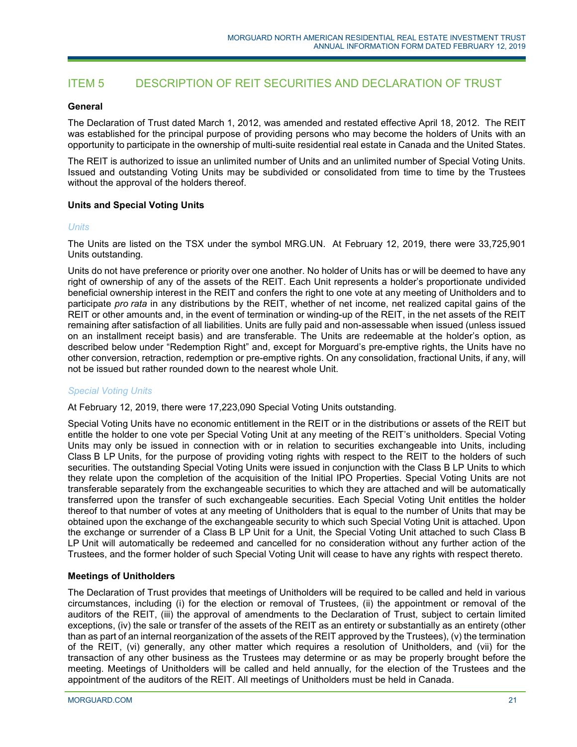# <span id="page-20-0"></span>ITEM 5 DESCRIPTION OF REIT SECURITIES AND DECLARATION OF TRUST

## **General**

The Declaration of Trust dated March 1, 2012, was amended and restated effective April 18, 2012. The REIT was established for the principal purpose of providing persons who may become the holders of Units with an opportunity to participate in the ownership of multi-suite residential real estate in Canada and the United States.

The REIT is authorized to issue an unlimited number of Units and an unlimited number of Special Voting Units. Issued and outstanding Voting Units may be subdivided or consolidated from time to time by the Trustees without the approval of the holders thereof.

## **Units and Special Voting Units**

### *Units*

The Units are listed on the TSX under the symbol MRG.UN. At February 12, 2019, there were 33,725,901 Units outstanding.

Units do not have preference or priority over one another. No holder of Units has or will be deemed to have any right of ownership of any of the assets of the REIT. Each Unit represents a holder's proportionate undivided beneficial ownership interest in the REIT and confers the right to one vote at any meeting of Unitholders and to participate *pro rata* in any distributions by the REIT, whether of net income, net realized capital gains of the REIT or other amounts and, in the event of termination or winding-up of the REIT, in the net assets of the REIT remaining after satisfaction of all liabilities. Units are fully paid and non-assessable when issued (unless issued on an installment receipt basis) and are transferable. The Units are redeemable at the holder's option, as described below under "Redemption Right" and, except for Morguard's pre-emptive rights, the Units have no other conversion, retraction, redemption or pre-emptive rights. On any consolidation, fractional Units, if any, will not be issued but rather rounded down to the nearest whole Unit.

### *Special Voting Units*

At February 12, 2019, there were 17,223,090 Special Voting Units outstanding.

Special Voting Units have no economic entitlement in the REIT or in the distributions or assets of the REIT but entitle the holder to one vote per Special Voting Unit at any meeting of the REIT's unitholders. Special Voting Units may only be issued in connection with or in relation to securities exchangeable into Units, including Class B LP Units, for the purpose of providing voting rights with respect to the REIT to the holders of such securities. The outstanding Special Voting Units were issued in conjunction with the Class B LP Units to which they relate upon the completion of the acquisition of the Initial IPO Properties. Special Voting Units are not transferable separately from the exchangeable securities to which they are attached and will be automatically transferred upon the transfer of such exchangeable securities. Each Special Voting Unit entitles the holder thereof to that number of votes at any meeting of Unitholders that is equal to the number of Units that may be obtained upon the exchange of the exchangeable security to which such Special Voting Unit is attached. Upon the exchange or surrender of a Class B LP Unit for a Unit, the Special Voting Unit attached to such Class B LP Unit will automatically be redeemed and cancelled for no consideration without any further action of the Trustees, and the former holder of such Special Voting Unit will cease to have any rights with respect thereto.

### **Meetings of Unitholders**

The Declaration of Trust provides that meetings of Unitholders will be required to be called and held in various circumstances, including (i) for the election or removal of Trustees, (ii) the appointment or removal of the auditors of the REIT, (iii) the approval of amendments to the Declaration of Trust, subject to certain limited exceptions, (iv) the sale or transfer of the assets of the REIT as an entirety or substantially as an entirety (other than as part of an internal reorganization of the assets of the REIT approved by the Trustees), (v) the termination of the REIT, (vi) generally, any other matter which requires a resolution of Unitholders, and (vii) for the transaction of any other business as the Trustees may determine or as may be properly brought before the meeting. Meetings of Unitholders will be called and held annually, for the election of the Trustees and the appointment of the auditors of the REIT. All meetings of Unitholders must be held in Canada.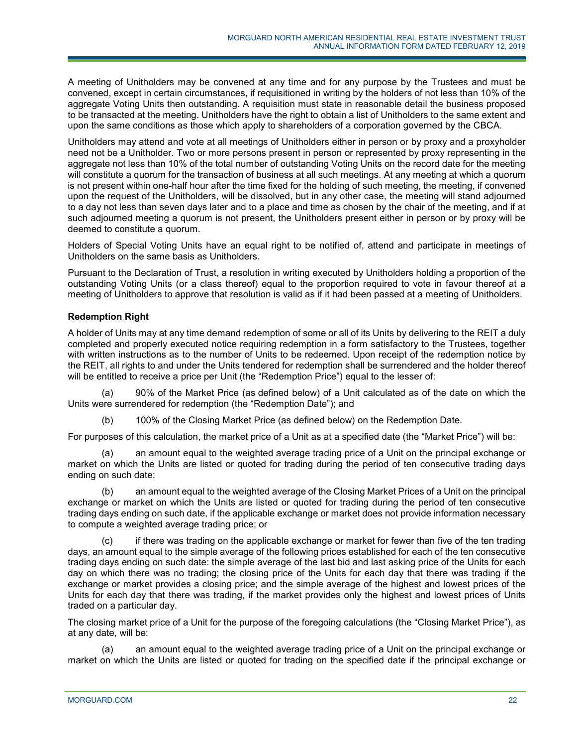A meeting of Unitholders may be convened at any time and for any purpose by the Trustees and must be convened, except in certain circumstances, if requisitioned in writing by the holders of not less than 10% of the aggregate Voting Units then outstanding. A requisition must state in reasonable detail the business proposed to be transacted at the meeting. Unitholders have the right to obtain a list of Unitholders to the same extent and upon the same conditions as those which apply to shareholders of a corporation governed by the CBCA.

Unitholders may attend and vote at all meetings of Unitholders either in person or by proxy and a proxyholder need not be a Unitholder. Two or more persons present in person or represented by proxy representing in the aggregate not less than 10% of the total number of outstanding Voting Units on the record date for the meeting will constitute a quorum for the transaction of business at all such meetings. At any meeting at which a quorum is not present within one-half hour after the time fixed for the holding of such meeting, the meeting, if convened upon the request of the Unitholders, will be dissolved, but in any other case, the meeting will stand adjourned to a day not less than seven days later and to a place and time as chosen by the chair of the meeting, and if at such adjourned meeting a quorum is not present, the Unitholders present either in person or by proxy will be deemed to constitute a quorum.

Holders of Special Voting Units have an equal right to be notified of, attend and participate in meetings of Unitholders on the same basis as Unitholders.

Pursuant to the Declaration of Trust, a resolution in writing executed by Unitholders holding a proportion of the outstanding Voting Units (or a class thereof) equal to the proportion required to vote in favour thereof at a meeting of Unitholders to approve that resolution is valid as if it had been passed at a meeting of Unitholders.

# **Redemption Right**

A holder of Units may at any time demand redemption of some or all of its Units by delivering to the REIT a duly completed and properly executed notice requiring redemption in a form satisfactory to the Trustees, together with written instructions as to the number of Units to be redeemed. Upon receipt of the redemption notice by the REIT, all rights to and under the Units tendered for redemption shall be surrendered and the holder thereof will be entitled to receive a price per Unit (the "Redemption Price") equal to the lesser of:

90% of the Market Price (as defined below) of a Unit calculated as of the date on which the Units were surrendered for redemption (the "Redemption Date"); and

(b) 100% of the Closing Market Price (as defined below) on the Redemption Date.

For purposes of this calculation, the market price of a Unit as at a specified date (the "Market Price") will be:

an amount equal to the weighted average trading price of a Unit on the principal exchange or market on which the Units are listed or quoted for trading during the period of ten consecutive trading days ending on such date;

(b) an amount equal to the weighted average of the Closing Market Prices of a Unit on the principal exchange or market on which the Units are listed or quoted for trading during the period of ten consecutive trading days ending on such date, if the applicable exchange or market does not provide information necessary to compute a weighted average trading price; or

(c) if there was trading on the applicable exchange or market for fewer than five of the ten trading days, an amount equal to the simple average of the following prices established for each of the ten consecutive trading days ending on such date: the simple average of the last bid and last asking price of the Units for each day on which there was no trading; the closing price of the Units for each day that there was trading if the exchange or market provides a closing price; and the simple average of the highest and lowest prices of the Units for each day that there was trading, if the market provides only the highest and lowest prices of Units traded on a particular day.

The closing market price of a Unit for the purpose of the foregoing calculations (the "Closing Market Price"), as at any date, will be:

(a) an amount equal to the weighted average trading price of a Unit on the principal exchange or market on which the Units are listed or quoted for trading on the specified date if the principal exchange or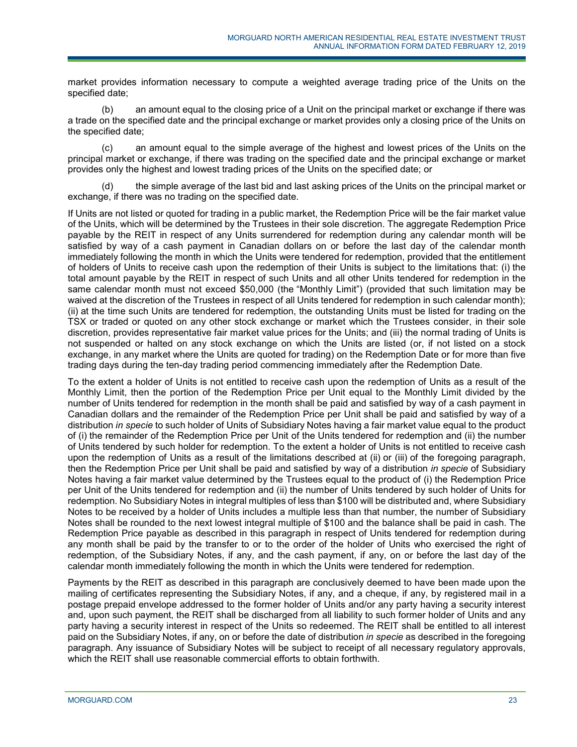market provides information necessary to compute a weighted average trading price of the Units on the specified date;

(b) an amount equal to the closing price of a Unit on the principal market or exchange if there was a trade on the specified date and the principal exchange or market provides only a closing price of the Units on the specified date;

(c) an amount equal to the simple average of the highest and lowest prices of the Units on the principal market or exchange, if there was trading on the specified date and the principal exchange or market provides only the highest and lowest trading prices of the Units on the specified date; or

(d) the simple average of the last bid and last asking prices of the Units on the principal market or exchange, if there was no trading on the specified date.

If Units are not listed or quoted for trading in a public market, the Redemption Price will be the fair market value of the Units, which will be determined by the Trustees in their sole discretion. The aggregate Redemption Price payable by the REIT in respect of any Units surrendered for redemption during any calendar month will be satisfied by way of a cash payment in Canadian dollars on or before the last day of the calendar month immediately following the month in which the Units were tendered for redemption, provided that the entitlement of holders of Units to receive cash upon the redemption of their Units is subject to the limitations that: (i) the total amount payable by the REIT in respect of such Units and all other Units tendered for redemption in the same calendar month must not exceed \$50,000 (the "Monthly Limit") (provided that such limitation may be waived at the discretion of the Trustees in respect of all Units tendered for redemption in such calendar month); (ii) at the time such Units are tendered for redemption, the outstanding Units must be listed for trading on the TSX or traded or quoted on any other stock exchange or market which the Trustees consider, in their sole discretion, provides representative fair market value prices for the Units; and (iii) the normal trading of Units is not suspended or halted on any stock exchange on which the Units are listed (or, if not listed on a stock exchange, in any market where the Units are quoted for trading) on the Redemption Date or for more than five trading days during the ten-day trading period commencing immediately after the Redemption Date.

To the extent a holder of Units is not entitled to receive cash upon the redemption of Units as a result of the Monthly Limit, then the portion of the Redemption Price per Unit equal to the Monthly Limit divided by the number of Units tendered for redemption in the month shall be paid and satisfied by way of a cash payment in Canadian dollars and the remainder of the Redemption Price per Unit shall be paid and satisfied by way of a distribution *in specie* to such holder of Units of Subsidiary Notes having a fair market value equal to the product of (i) the remainder of the Redemption Price per Unit of the Units tendered for redemption and (ii) the number of Units tendered by such holder for redemption. To the extent a holder of Units is not entitled to receive cash upon the redemption of Units as a result of the limitations described at (ii) or (iii) of the foregoing paragraph, then the Redemption Price per Unit shall be paid and satisfied by way of a distribution *in specie* of Subsidiary Notes having a fair market value determined by the Trustees equal to the product of (i) the Redemption Price per Unit of the Units tendered for redemption and (ii) the number of Units tendered by such holder of Units for redemption. No Subsidiary Notes in integral multiples of less than \$100 will be distributed and, where Subsidiary Notes to be received by a holder of Units includes a multiple less than that number, the number of Subsidiary Notes shall be rounded to the next lowest integral multiple of \$100 and the balance shall be paid in cash. The Redemption Price payable as described in this paragraph in respect of Units tendered for redemption during any month shall be paid by the transfer to or to the order of the holder of Units who exercised the right of redemption, of the Subsidiary Notes, if any, and the cash payment, if any, on or before the last day of the calendar month immediately following the month in which the Units were tendered for redemption.

Payments by the REIT as described in this paragraph are conclusively deemed to have been made upon the mailing of certificates representing the Subsidiary Notes, if any, and a cheque, if any, by registered mail in a postage prepaid envelope addressed to the former holder of Units and/or any party having a security interest and, upon such payment, the REIT shall be discharged from all liability to such former holder of Units and any party having a security interest in respect of the Units so redeemed. The REIT shall be entitled to all interest paid on the Subsidiary Notes, if any, on or before the date of distribution *in specie* as described in the foregoing paragraph. Any issuance of Subsidiary Notes will be subject to receipt of all necessary regulatory approvals, which the REIT shall use reasonable commercial efforts to obtain forthwith.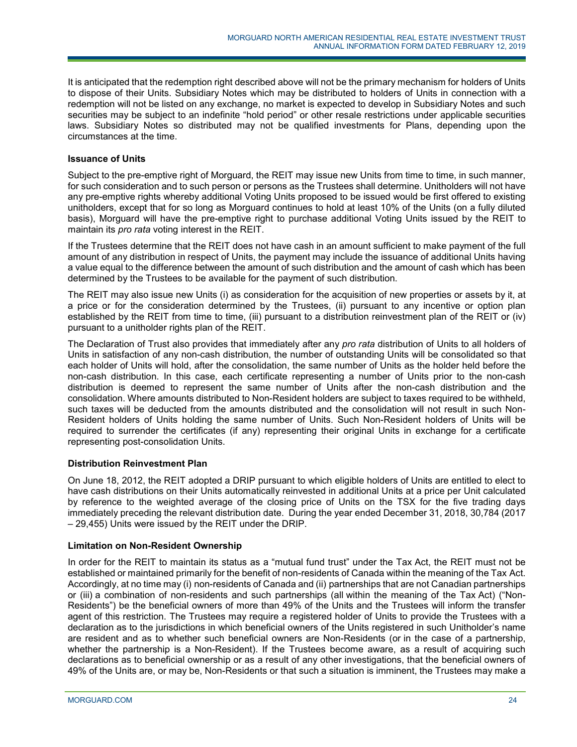It is anticipated that the redemption right described above will not be the primary mechanism for holders of Units to dispose of their Units. Subsidiary Notes which may be distributed to holders of Units in connection with a redemption will not be listed on any exchange, no market is expected to develop in Subsidiary Notes and such securities may be subject to an indefinite "hold period" or other resale restrictions under applicable securities laws. Subsidiary Notes so distributed may not be qualified investments for Plans, depending upon the circumstances at the time.

## **Issuance of Units**

Subject to the pre-emptive right of Morguard, the REIT may issue new Units from time to time, in such manner, for such consideration and to such person or persons as the Trustees shall determine. Unitholders will not have any pre-emptive rights whereby additional Voting Units proposed to be issued would be first offered to existing unitholders, except that for so long as Morguard continues to hold at least 10% of the Units (on a fully diluted basis), Morguard will have the pre-emptive right to purchase additional Voting Units issued by the REIT to maintain its *pro rata* voting interest in the REIT.

If the Trustees determine that the REIT does not have cash in an amount sufficient to make payment of the full amount of any distribution in respect of Units, the payment may include the issuance of additional Units having a value equal to the difference between the amount of such distribution and the amount of cash which has been determined by the Trustees to be available for the payment of such distribution.

The REIT may also issue new Units (i) as consideration for the acquisition of new properties or assets by it, at a price or for the consideration determined by the Trustees, (ii) pursuant to any incentive or option plan established by the REIT from time to time, (iii) pursuant to a distribution reinvestment plan of the REIT or (iv) pursuant to a unitholder rights plan of the REIT.

The Declaration of Trust also provides that immediately after any *pro rata* distribution of Units to all holders of Units in satisfaction of any non-cash distribution, the number of outstanding Units will be consolidated so that each holder of Units will hold, after the consolidation, the same number of Units as the holder held before the non-cash distribution. In this case, each certificate representing a number of Units prior to the non-cash distribution is deemed to represent the same number of Units after the non-cash distribution and the consolidation. Where amounts distributed to Non-Resident holders are subject to taxes required to be withheld, such taxes will be deducted from the amounts distributed and the consolidation will not result in such Non-Resident holders of Units holding the same number of Units. Such Non-Resident holders of Units will be required to surrender the certificates (if any) representing their original Units in exchange for a certificate representing post-consolidation Units.

# **Distribution Reinvestment Plan**

On June 18, 2012, the REIT adopted a DRIP pursuant to which eligible holders of Units are entitled to elect to have cash distributions on their Units automatically reinvested in additional Units at a price per Unit calculated by reference to the weighted average of the closing price of Units on the TSX for the five trading days immediately preceding the relevant distribution date. During the year ended December 31, 2018, 30,784 (2017 – 29,455) Units were issued by the REIT under the DRIP.

# **Limitation on Non-Resident Ownership**

In order for the REIT to maintain its status as a "mutual fund trust" under the Tax Act, the REIT must not be established or maintained primarily for the benefit of non-residents of Canada within the meaning of the Tax Act. Accordingly, at no time may (i) non-residents of Canada and (ii) partnerships that are not Canadian partnerships or (iii) a combination of non-residents and such partnerships (all within the meaning of the Tax Act) ("Non-Residents") be the beneficial owners of more than 49% of the Units and the Trustees will inform the transfer agent of this restriction. The Trustees may require a registered holder of Units to provide the Trustees with a declaration as to the jurisdictions in which beneficial owners of the Units registered in such Unitholder's name are resident and as to whether such beneficial owners are Non-Residents (or in the case of a partnership, whether the partnership is a Non-Resident). If the Trustees become aware, as a result of acquiring such declarations as to beneficial ownership or as a result of any other investigations, that the beneficial owners of 49% of the Units are, or may be, Non-Residents or that such a situation is imminent, the Trustees may make a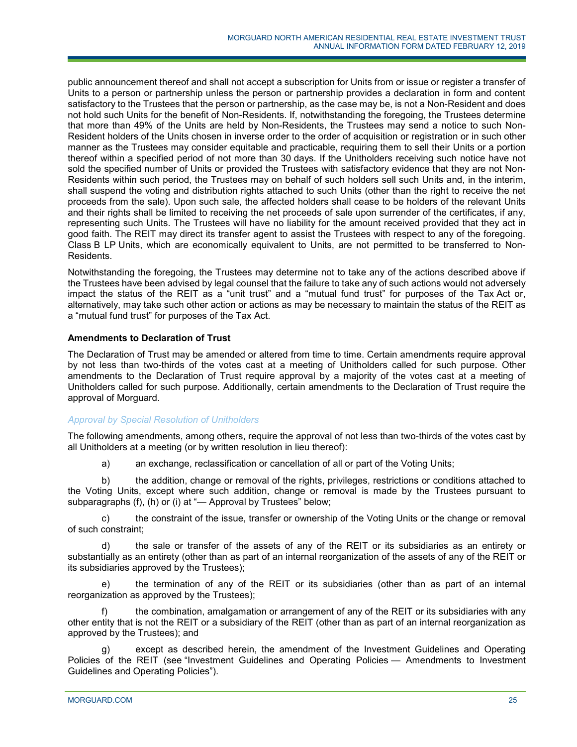public announcement thereof and shall not accept a subscription for Units from or issue or register a transfer of Units to a person or partnership unless the person or partnership provides a declaration in form and content satisfactory to the Trustees that the person or partnership, as the case may be, is not a Non-Resident and does not hold such Units for the benefit of Non-Residents. If, notwithstanding the foregoing, the Trustees determine that more than 49% of the Units are held by Non-Residents, the Trustees may send a notice to such Non-Resident holders of the Units chosen in inverse order to the order of acquisition or registration or in such other manner as the Trustees may consider equitable and practicable, requiring them to sell their Units or a portion thereof within a specified period of not more than 30 days. If the Unitholders receiving such notice have not sold the specified number of Units or provided the Trustees with satisfactory evidence that they are not Non-Residents within such period, the Trustees may on behalf of such holders sell such Units and, in the interim, shall suspend the voting and distribution rights attached to such Units (other than the right to receive the net proceeds from the sale). Upon such sale, the affected holders shall cease to be holders of the relevant Units and their rights shall be limited to receiving the net proceeds of sale upon surrender of the certificates, if any, representing such Units. The Trustees will have no liability for the amount received provided that they act in good faith. The REIT may direct its transfer agent to assist the Trustees with respect to any of the foregoing. Class B LP Units, which are economically equivalent to Units, are not permitted to be transferred to Non-Residents.

Notwithstanding the foregoing, the Trustees may determine not to take any of the actions described above if the Trustees have been advised by legal counsel that the failure to take any of such actions would not adversely impact the status of the REIT as a "unit trust" and a "mutual fund trust" for purposes of the Tax Act or, alternatively, may take such other action or actions as may be necessary to maintain the status of the REIT as a "mutual fund trust" for purposes of the Tax Act.

## **Amendments to Declaration of Trust**

The Declaration of Trust may be amended or altered from time to time. Certain amendments require approval by not less than two-thirds of the votes cast at a meeting of Unitholders called for such purpose. Other amendments to the Declaration of Trust require approval by a majority of the votes cast at a meeting of Unitholders called for such purpose. Additionally, certain amendments to the Declaration of Trust require the approval of Morguard.

# *Approval by Special Resolution of Unitholders*

The following amendments, among others, require the approval of not less than two-thirds of the votes cast by all Unitholders at a meeting (or by written resolution in lieu thereof):

a) an exchange, reclassification or cancellation of all or part of the Voting Units;

b) the addition, change or removal of the rights, privileges, restrictions or conditions attached to the Voting Units, except where such addition, change or removal is made by the Trustees pursuant to subparagraphs (f), (h) or (i) at "— Approval by Trustees" below;

c) the constraint of the issue, transfer or ownership of the Voting Units or the change or removal of such constraint;

d) the sale or transfer of the assets of any of the REIT or its subsidiaries as an entirety or substantially as an entirety (other than as part of an internal reorganization of the assets of any of the REIT or its subsidiaries approved by the Trustees);

e) the termination of any of the REIT or its subsidiaries (other than as part of an internal reorganization as approved by the Trustees);

the combination, amalgamation or arrangement of any of the REIT or its subsidiaries with any other entity that is not the REIT or a subsidiary of the REIT (other than as part of an internal reorganization as approved by the Trustees); and

except as described herein, the amendment of the Investment Guidelines and Operating Policies of the REIT (see "Investment Guidelines and Operating Policies — Amendments to Investment Guidelines and Operating Policies").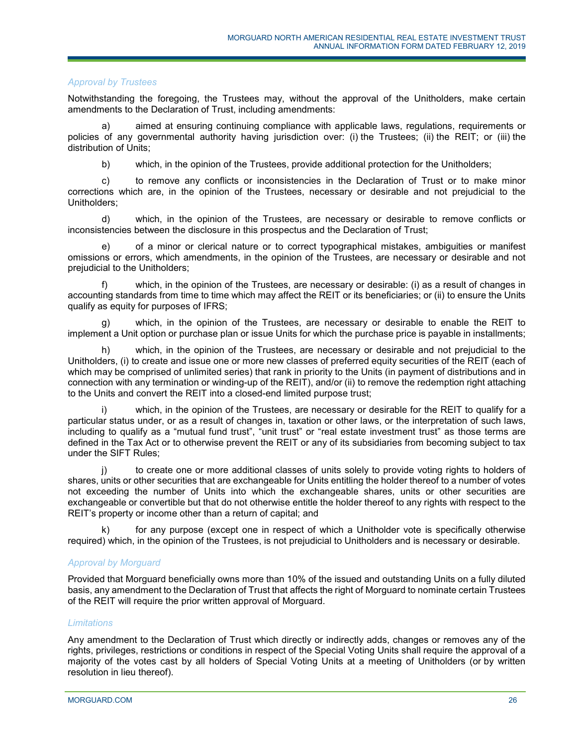## *Approval by Trustees*

Notwithstanding the foregoing, the Trustees may, without the approval of the Unitholders, make certain amendments to the Declaration of Trust, including amendments:

a) aimed at ensuring continuing compliance with applicable laws, regulations, requirements or policies of any governmental authority having jurisdiction over: (i) the Trustees; (ii) the REIT; or (iii) the distribution of Units;

b) which, in the opinion of the Trustees, provide additional protection for the Unitholders;

c) to remove any conflicts or inconsistencies in the Declaration of Trust or to make minor corrections which are, in the opinion of the Trustees, necessary or desirable and not prejudicial to the Unitholders;

d) which, in the opinion of the Trustees, are necessary or desirable to remove conflicts or inconsistencies between the disclosure in this prospectus and the Declaration of Trust;

e) of a minor or clerical nature or to correct typographical mistakes, ambiguities or manifest omissions or errors, which amendments, in the opinion of the Trustees, are necessary or desirable and not prejudicial to the Unitholders;

f) which, in the opinion of the Trustees, are necessary or desirable: (i) as a result of changes in accounting standards from time to time which may affect the REIT or its beneficiaries; or (ii) to ensure the Units qualify as equity for purposes of IFRS;

g) which, in the opinion of the Trustees, are necessary or desirable to enable the REIT to implement a Unit option or purchase plan or issue Units for which the purchase price is payable in installments;

h) which, in the opinion of the Trustees, are necessary or desirable and not prejudicial to the Unitholders, (i) to create and issue one or more new classes of preferred equity securities of the REIT (each of which may be comprised of unlimited series) that rank in priority to the Units (in payment of distributions and in connection with any termination or winding-up of the REIT), and/or (ii) to remove the redemption right attaching to the Units and convert the REIT into a closed-end limited purpose trust;

which, in the opinion of the Trustees, are necessary or desirable for the REIT to qualify for a particular status under, or as a result of changes in, taxation or other laws, or the interpretation of such laws, including to qualify as a "mutual fund trust", "unit trust" or "real estate investment trust" as those terms are defined in the Tax Act or to otherwise prevent the REIT or any of its subsidiaries from becoming subject to tax under the SIFT Rules;

to create one or more additional classes of units solely to provide voting rights to holders of shares, units or other securities that are exchangeable for Units entitling the holder thereof to a number of votes not exceeding the number of Units into which the exchangeable shares, units or other securities are exchangeable or convertible but that do not otherwise entitle the holder thereof to any rights with respect to the REIT's property or income other than a return of capital; and

for any purpose (except one in respect of which a Unitholder vote is specifically otherwise required) which, in the opinion of the Trustees, is not prejudicial to Unitholders and is necessary or desirable.

# *Approval by Morguard*

Provided that Morguard beneficially owns more than 10% of the issued and outstanding Units on a fully diluted basis, any amendment to the Declaration of Trust that affects the right of Morguard to nominate certain Trustees of the REIT will require the prior written approval of Morguard.

### *Limitations*

Any amendment to the Declaration of Trust which directly or indirectly adds, changes or removes any of the rights, privileges, restrictions or conditions in respect of the Special Voting Units shall require the approval of a majority of the votes cast by all holders of Special Voting Units at a meeting of Unitholders (or by written resolution in lieu thereof).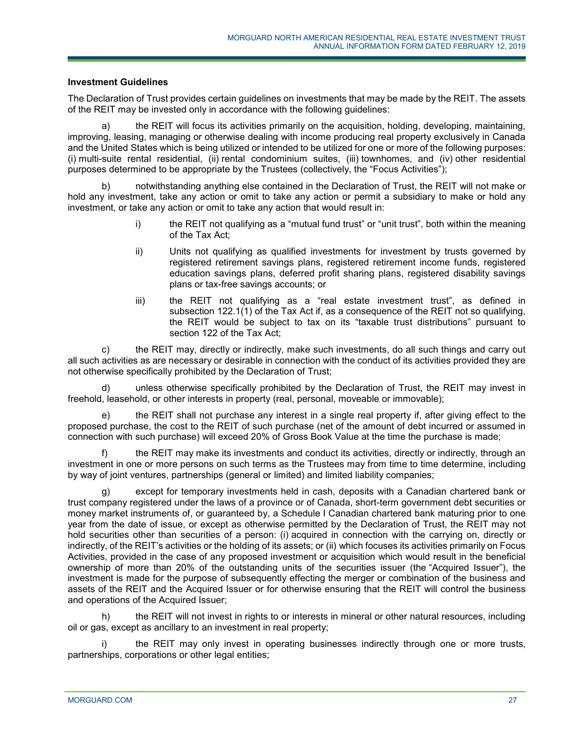## **Investment Guidelines**

The Declaration of Trust provides certain guidelines on investments that may be made by the REIT. The assets of the REIT may be invested only in accordance with the following guidelines:

a) the REIT will focus its activities primarily on the acquisition, holding, developing, maintaining, improving, leasing, managing or otherwise dealing with income producing real property exclusively in Canada and the United States which is being utilized or intended to be utilized for one or more of the following purposes: (i) multi-suite rental residential, (ii) rental condominium suites, (iii) townhomes, and (iv) other residential purposes determined to be appropriate by the Trustees (collectively, the "Focus Activities");

b) notwithstanding anything else contained in the Declaration of Trust, the REIT will not make or hold any investment, take any action or omit to take any action or permit a subsidiary to make or hold any investment, or take any action or omit to take any action that would result in:

- i) the REIT not qualifying as a "mutual fund trust" or "unit trust", both within the meaning of the Tax Act;
- ii) Units not qualifying as qualified investments for investment by trusts governed by registered retirement savings plans, registered retirement income funds, registered education savings plans, deferred profit sharing plans, registered disability savings plans or tax-free savings accounts; or
- iii) the REIT not qualifying as a "real estate investment trust", as defined in subsection 122.1(1) of the Tax Act if, as a consequence of the REIT not so qualifying, the REIT would be subject to tax on its "taxable trust distributions" pursuant to section 122 of the Tax Act;

c) the REIT may, directly or indirectly, make such investments, do all such things and carry out all such activities as are necessary or desirable in connection with the conduct of its activities provided they are not otherwise specifically prohibited by the Declaration of Trust;

d) unless otherwise specifically prohibited by the Declaration of Trust, the REIT may invest in freehold, leasehold, or other interests in property (real, personal, moveable or immovable);

the REIT shall not purchase any interest in a single real property if, after giving effect to the proposed purchase, the cost to the REIT of such purchase (net of the amount of debt incurred or assumed in connection with such purchase) will exceed 20% of Gross Book Value at the time the purchase is made;

f) the REIT may make its investments and conduct its activities, directly or indirectly, through an investment in one or more persons on such terms as the Trustees may from time to time determine, including by way of joint ventures, partnerships (general or limited) and limited liability companies;

g) except for temporary investments held in cash, deposits with a Canadian chartered bank or trust company registered under the laws of a province or of Canada, short-term government debt securities or money market instruments of, or guaranteed by, a Schedule I Canadian chartered bank maturing prior to one year from the date of issue, or except as otherwise permitted by the Declaration of Trust, the REIT may not hold securities other than securities of a person: (i) acquired in connection with the carrying on, directly or indirectly, of the REIT's activities or the holding of its assets; or (ii) which focuses its activities primarily on Focus Activities, provided in the case of any proposed investment or acquisition which would result in the beneficial ownership of more than 20% of the outstanding units of the securities issuer (the "Acquired Issuer"), the investment is made for the purpose of subsequently effecting the merger or combination of the business and assets of the REIT and the Acquired Issuer or for otherwise ensuring that the REIT will control the business and operations of the Acquired Issuer;

h) the REIT will not invest in rights to or interests in mineral or other natural resources, including oil or gas, except as ancillary to an investment in real property;

i) the REIT may only invest in operating businesses indirectly through one or more trusts, partnerships, corporations or other legal entities;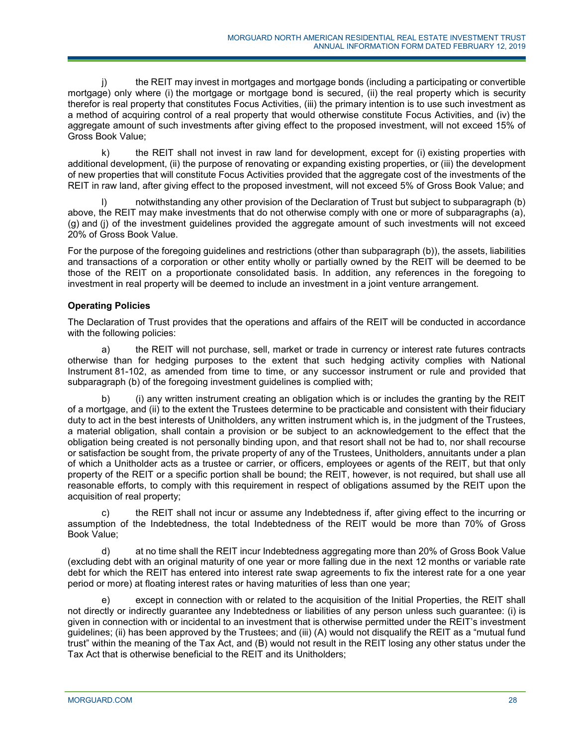j) the REIT may invest in mortgages and mortgage bonds (including a participating or convertible mortgage) only where (i) the mortgage or mortgage bond is secured, (ii) the real property which is security therefor is real property that constitutes Focus Activities, (iii) the primary intention is to use such investment as a method of acquiring control of a real property that would otherwise constitute Focus Activities, and (iv) the aggregate amount of such investments after giving effect to the proposed investment, will not exceed 15% of Gross Book Value;

k) the REIT shall not invest in raw land for development, except for (i) existing properties with additional development, (ii) the purpose of renovating or expanding existing properties, or (iii) the development of new properties that will constitute Focus Activities provided that the aggregate cost of the investments of the REIT in raw land, after giving effect to the proposed investment, will not exceed 5% of Gross Book Value; and

notwithstanding any other provision of the Declaration of Trust but subject to subparagraph (b) above, the REIT may make investments that do not otherwise comply with one or more of subparagraphs (a), (g) and (j) of the investment guidelines provided the aggregate amount of such investments will not exceed 20% of Gross Book Value.

For the purpose of the foregoing guidelines and restrictions (other than subparagraph (b)), the assets, liabilities and transactions of a corporation or other entity wholly or partially owned by the REIT will be deemed to be those of the REIT on a proportionate consolidated basis. In addition, any references in the foregoing to investment in real property will be deemed to include an investment in a joint venture arrangement.

# **Operating Policies**

The Declaration of Trust provides that the operations and affairs of the REIT will be conducted in accordance with the following policies:

a) the REIT will not purchase, sell, market or trade in currency or interest rate futures contracts otherwise than for hedging purposes to the extent that such hedging activity complies with National Instrument 81-102, as amended from time to time, or any successor instrument or rule and provided that subparagraph (b) of the foregoing investment guidelines is complied with;

b) (i) any written instrument creating an obligation which is or includes the granting by the REIT of a mortgage, and (ii) to the extent the Trustees determine to be practicable and consistent with their fiduciary duty to act in the best interests of Unitholders, any written instrument which is, in the judgment of the Trustees, a material obligation, shall contain a provision or be subject to an acknowledgement to the effect that the obligation being created is not personally binding upon, and that resort shall not be had to, nor shall recourse or satisfaction be sought from, the private property of any of the Trustees, Unitholders, annuitants under a plan of which a Unitholder acts as a trustee or carrier, or officers, employees or agents of the REIT, but that only property of the REIT or a specific portion shall be bound; the REIT, however, is not required, but shall use all reasonable efforts, to comply with this requirement in respect of obligations assumed by the REIT upon the acquisition of real property;

c) the REIT shall not incur or assume any Indebtedness if, after giving effect to the incurring or assumption of the Indebtedness, the total Indebtedness of the REIT would be more than 70% of Gross Book Value;

d) at no time shall the REIT incur Indebtedness aggregating more than 20% of Gross Book Value (excluding debt with an original maturity of one year or more falling due in the next 12 months or variable rate debt for which the REIT has entered into interest rate swap agreements to fix the interest rate for a one year period or more) at floating interest rates or having maturities of less than one year;

e) except in connection with or related to the acquisition of the Initial Properties, the REIT shall not directly or indirectly guarantee any Indebtedness or liabilities of any person unless such guarantee: (i) is given in connection with or incidental to an investment that is otherwise permitted under the REIT's investment guidelines; (ii) has been approved by the Trustees; and (iii) (A) would not disqualify the REIT as a "mutual fund trust" within the meaning of the Tax Act, and (B) would not result in the REIT losing any other status under the Tax Act that is otherwise beneficial to the REIT and its Unitholders;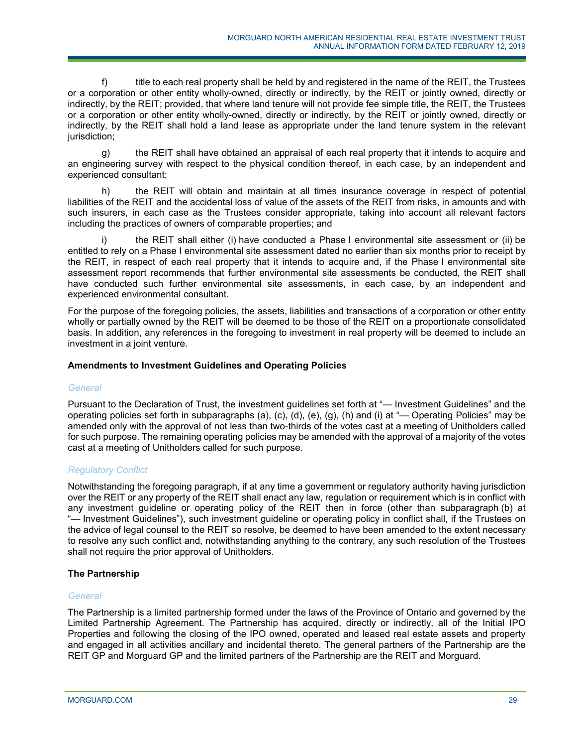f) title to each real property shall be held by and registered in the name of the REIT, the Trustees or a corporation or other entity wholly-owned, directly or indirectly, by the REIT or jointly owned, directly or indirectly, by the REIT; provided, that where land tenure will not provide fee simple title, the REIT, the Trustees or a corporation or other entity wholly-owned, directly or indirectly, by the REIT or jointly owned, directly or indirectly, by the REIT shall hold a land lease as appropriate under the land tenure system in the relevant jurisdiction;

g) the REIT shall have obtained an appraisal of each real property that it intends to acquire and an engineering survey with respect to the physical condition thereof, in each case, by an independent and experienced consultant;

h) the REIT will obtain and maintain at all times insurance coverage in respect of potential liabilities of the REIT and the accidental loss of value of the assets of the REIT from risks, in amounts and with such insurers, in each case as the Trustees consider appropriate, taking into account all relevant factors including the practices of owners of comparable properties; and

i) the REIT shall either (i) have conducted a Phase I environmental site assessment or (ii) be entitled to rely on a Phase I environmental site assessment dated no earlier than six months prior to receipt by the REIT, in respect of each real property that it intends to acquire and, if the Phase I environmental site assessment report recommends that further environmental site assessments be conducted, the REIT shall have conducted such further environmental site assessments, in each case, by an independent and experienced environmental consultant.

For the purpose of the foregoing policies, the assets, liabilities and transactions of a corporation or other entity wholly or partially owned by the REIT will be deemed to be those of the REIT on a proportionate consolidated basis. In addition, any references in the foregoing to investment in real property will be deemed to include an investment in a joint venture.

## **Amendments to Investment Guidelines and Operating Policies**

### *General*

Pursuant to the Declaration of Trust, the investment guidelines set forth at "— Investment Guidelines" and the operating policies set forth in subparagraphs (a), (c), (d), (e), (g), (h) and (i) at "— Operating Policies" may be amended only with the approval of not less than two-thirds of the votes cast at a meeting of Unitholders called for such purpose. The remaining operating policies may be amended with the approval of a majority of the votes cast at a meeting of Unitholders called for such purpose.

# *Regulatory Conflict*

Notwithstanding the foregoing paragraph, if at any time a government or regulatory authority having jurisdiction over the REIT or any property of the REIT shall enact any law, regulation or requirement which is in conflict with any investment guideline or operating policy of the REIT then in force (other than subparagraph (b) at "— Investment Guidelines"), such investment guideline or operating policy in conflict shall, if the Trustees on the advice of legal counsel to the REIT so resolve, be deemed to have been amended to the extent necessary to resolve any such conflict and, notwithstanding anything to the contrary, any such resolution of the Trustees shall not require the prior approval of Unitholders.

# **The Partnership**

### *General*

The Partnership is a limited partnership formed under the laws of the Province of Ontario and governed by the Limited Partnership Agreement. The Partnership has acquired, directly or indirectly, all of the Initial IPO Properties and following the closing of the IPO owned, operated and leased real estate assets and property and engaged in all activities ancillary and incidental thereto. The general partners of the Partnership are the REIT GP and Morguard GP and the limited partners of the Partnership are the REIT and Morguard.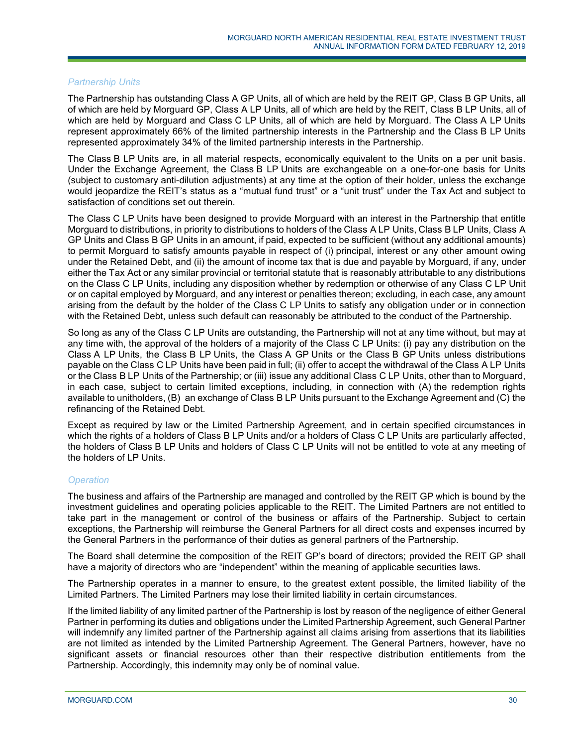### *Partnership Units*

The Partnership has outstanding Class A GP Units, all of which are held by the REIT GP, Class B GP Units, all of which are held by Morguard GP, Class A LP Units, all of which are held by the REIT, Class B LP Units, all of which are held by Morguard and Class C LP Units, all of which are held by Morguard. The Class A LP Units represent approximately 66% of the limited partnership interests in the Partnership and the Class B LP Units represented approximately 34% of the limited partnership interests in the Partnership.

The Class B LP Units are, in all material respects, economically equivalent to the Units on a per unit basis. Under the Exchange Agreement, the Class B LP Units are exchangeable on a one-for-one basis for Units (subject to customary anti-dilution adjustments) at any time at the option of their holder, unless the exchange would jeopardize the REIT's status as a "mutual fund trust" or a "unit trust" under the Tax Act and subject to satisfaction of conditions set out therein.

The Class C LP Units have been designed to provide Morguard with an interest in the Partnership that entitle Morguard to distributions, in priority to distributions to holders of the Class A LP Units, Class B LP Units, Class A GP Units and Class B GP Units in an amount, if paid, expected to be sufficient (without any additional amounts) to permit Morguard to satisfy amounts payable in respect of (i) principal, interest or any other amount owing under the Retained Debt, and (ii) the amount of income tax that is due and payable by Morguard, if any, under either the Tax Act or any similar provincial or territorial statute that is reasonably attributable to any distributions on the Class C LP Units, including any disposition whether by redemption or otherwise of any Class C LP Unit or on capital employed by Morguard, and any interest or penalties thereon; excluding, in each case, any amount arising from the default by the holder of the Class C LP Units to satisfy any obligation under or in connection with the Retained Debt, unless such default can reasonably be attributed to the conduct of the Partnership.

So long as any of the Class C LP Units are outstanding, the Partnership will not at any time without, but may at any time with, the approval of the holders of a majority of the Class C LP Units: (i) pay any distribution on the Class A LP Units, the Class B LP Units, the Class A GP Units or the Class B GP Units unless distributions payable on the Class C LP Units have been paid in full; (ii) offer to accept the withdrawal of the Class A LP Units or the Class B LP Units of the Partnership; or (iii) issue any additional Class C LP Units, other than to Morguard, in each case, subject to certain limited exceptions, including, in connection with (A) the redemption rights available to unitholders, (B) an exchange of Class B LP Units pursuant to the Exchange Agreement and (C) the refinancing of the Retained Debt.

Except as required by law or the Limited Partnership Agreement, and in certain specified circumstances in which the rights of a holders of Class B LP Units and/or a holders of Class C LP Units are particularly affected, the holders of Class B LP Units and holders of Class C LP Units will not be entitled to vote at any meeting of the holders of LP Units.

### *Operation*

The business and affairs of the Partnership are managed and controlled by the REIT GP which is bound by the investment guidelines and operating policies applicable to the REIT. The Limited Partners are not entitled to take part in the management or control of the business or affairs of the Partnership. Subject to certain exceptions, the Partnership will reimburse the General Partners for all direct costs and expenses incurred by the General Partners in the performance of their duties as general partners of the Partnership.

The Board shall determine the composition of the REIT GP's board of directors; provided the REIT GP shall have a majority of directors who are "independent" within the meaning of applicable securities laws.

The Partnership operates in a manner to ensure, to the greatest extent possible, the limited liability of the Limited Partners. The Limited Partners may lose their limited liability in certain circumstances.

If the limited liability of any limited partner of the Partnership is lost by reason of the negligence of either General Partner in performing its duties and obligations under the Limited Partnership Agreement, such General Partner will indemnify any limited partner of the Partnership against all claims arising from assertions that its liabilities are not limited as intended by the Limited Partnership Agreement. The General Partners, however, have no significant assets or financial resources other than their respective distribution entitlements from the Partnership. Accordingly, this indemnity may only be of nominal value.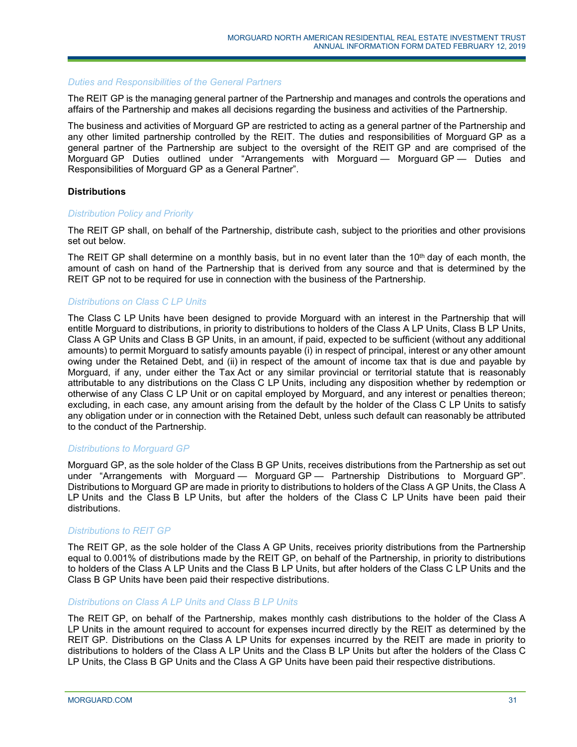### *Duties and Responsibilities of the General Partners*

The REIT GP is the managing general partner of the Partnership and manages and controls the operations and affairs of the Partnership and makes all decisions regarding the business and activities of the Partnership.

The business and activities of Morguard GP are restricted to acting as a general partner of the Partnership and any other limited partnership controlled by the REIT. The duties and responsibilities of Morguard GP as a general partner of the Partnership are subject to the oversight of the REIT GP and are comprised of the Morguard GP Duties outlined under "Arrangements with Morguard — Morguard GP — Duties and Responsibilities of Morguard GP as a General Partner".

### **Distributions**

#### *Distribution Policy and Priority*

The REIT GP shall, on behalf of the Partnership, distribute cash, subject to the priorities and other provisions set out below.

The REIT GP shall determine on a monthly basis, but in no event later than the  $10<sup>th</sup>$  day of each month, the amount of cash on hand of the Partnership that is derived from any source and that is determined by the REIT GP not to be required for use in connection with the business of the Partnership.

#### *Distributions on Class C LP Units*

The Class C LP Units have been designed to provide Morguard with an interest in the Partnership that will entitle Morguard to distributions, in priority to distributions to holders of the Class A LP Units, Class B LP Units, Class A GP Units and Class B GP Units, in an amount, if paid, expected to be sufficient (without any additional amounts) to permit Morguard to satisfy amounts payable (i) in respect of principal, interest or any other amount owing under the Retained Debt, and (ii) in respect of the amount of income tax that is due and payable by Morguard, if any, under either the Tax Act or any similar provincial or territorial statute that is reasonably attributable to any distributions on the Class C LP Units, including any disposition whether by redemption or otherwise of any Class C LP Unit or on capital employed by Morguard, and any interest or penalties thereon; excluding, in each case, any amount arising from the default by the holder of the Class C LP Units to satisfy any obligation under or in connection with the Retained Debt, unless such default can reasonably be attributed to the conduct of the Partnership.

### *Distributions to Morguard GP*

Morguard GP, as the sole holder of the Class B GP Units, receives distributions from the Partnership as set out under "Arrangements with Morguard — Morguard GP — Partnership Distributions to Morguard GP". Distributions to Morguard GP are made in priority to distributions to holders of the Class A GP Units, the Class A LP Units and the Class B LP Units, but after the holders of the Class C LP Units have been paid their distributions.

#### *Distributions to REIT GP*

The REIT GP, as the sole holder of the Class A GP Units, receives priority distributions from the Partnership equal to 0.001% of distributions made by the REIT GP, on behalf of the Partnership, in priority to distributions to holders of the Class A LP Units and the Class B LP Units, but after holders of the Class C LP Units and the Class B GP Units have been paid their respective distributions.

### *Distributions on Class A LP Units and Class B LP Units*

The REIT GP, on behalf of the Partnership, makes monthly cash distributions to the holder of the Class A LP Units in the amount required to account for expenses incurred directly by the REIT as determined by the REIT GP. Distributions on the Class A LP Units for expenses incurred by the REIT are made in priority to distributions to holders of the Class A LP Units and the Class B LP Units but after the holders of the Class C LP Units, the Class B GP Units and the Class A GP Units have been paid their respective distributions.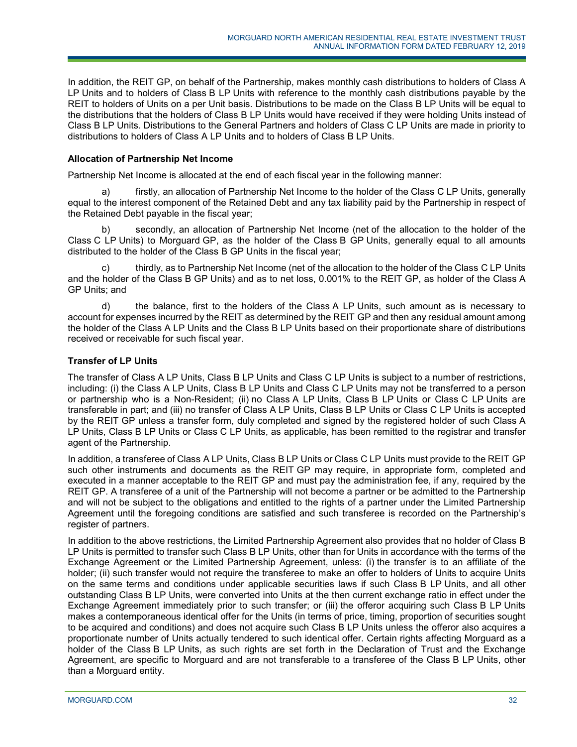In addition, the REIT GP, on behalf of the Partnership, makes monthly cash distributions to holders of Class A LP Units and to holders of Class B LP Units with reference to the monthly cash distributions payable by the REIT to holders of Units on a per Unit basis. Distributions to be made on the Class B LP Units will be equal to the distributions that the holders of Class B LP Units would have received if they were holding Units instead of Class B LP Units. Distributions to the General Partners and holders of Class C LP Units are made in priority to distributions to holders of Class A LP Units and to holders of Class B LP Units.

# **Allocation of Partnership Net Income**

Partnership Net Income is allocated at the end of each fiscal year in the following manner:

firstly, an allocation of Partnership Net Income to the holder of the Class C LP Units, generally equal to the interest component of the Retained Debt and any tax liability paid by the Partnership in respect of the Retained Debt payable in the fiscal year;

b) secondly, an allocation of Partnership Net Income (net of the allocation to the holder of the Class C LP Units) to Morguard GP, as the holder of the Class B GP Units, generally equal to all amounts distributed to the holder of the Class B GP Units in the fiscal year;

c) thirdly, as to Partnership Net Income (net of the allocation to the holder of the Class C LP Units and the holder of the Class B GP Units) and as to net loss, 0.001% to the REIT GP, as holder of the Class A GP Units; and

d) the balance, first to the holders of the Class A LP Units, such amount as is necessary to account for expenses incurred by the REIT as determined by the REIT GP and then any residual amount among the holder of the Class A LP Units and the Class B LP Units based on their proportionate share of distributions received or receivable for such fiscal year.

# **Transfer of LP Units**

The transfer of Class A LP Units, Class B LP Units and Class C LP Units is subject to a number of restrictions, including: (i) the Class A LP Units, Class B LP Units and Class C LP Units may not be transferred to a person or partnership who is a Non-Resident; (ii) no Class A LP Units, Class B LP Units or Class C LP Units are transferable in part; and (iii) no transfer of Class A LP Units, Class B LP Units or Class C LP Units is accepted by the REIT GP unless a transfer form, duly completed and signed by the registered holder of such Class A LP Units, Class B LP Units or Class C LP Units, as applicable, has been remitted to the registrar and transfer agent of the Partnership.

In addition, a transferee of Class A LP Units, Class B LP Units or Class C LP Units must provide to the REIT GP such other instruments and documents as the REIT GP may require, in appropriate form, completed and executed in a manner acceptable to the REIT GP and must pay the administration fee, if any, required by the REIT GP. A transferee of a unit of the Partnership will not become a partner or be admitted to the Partnership and will not be subject to the obligations and entitled to the rights of a partner under the Limited Partnership Agreement until the foregoing conditions are satisfied and such transferee is recorded on the Partnership's register of partners.

In addition to the above restrictions, the Limited Partnership Agreement also provides that no holder of Class B LP Units is permitted to transfer such Class B LP Units, other than for Units in accordance with the terms of the Exchange Agreement or the Limited Partnership Agreement, unless: (i) the transfer is to an affiliate of the holder; (ii) such transfer would not require the transferee to make an offer to holders of Units to acquire Units on the same terms and conditions under applicable securities laws if such Class B LP Units, and all other outstanding Class B LP Units, were converted into Units at the then current exchange ratio in effect under the Exchange Agreement immediately prior to such transfer; or (iii) the offeror acquiring such Class B LP Units makes a contemporaneous identical offer for the Units (in terms of price, timing, proportion of securities sought to be acquired and conditions) and does not acquire such Class B LP Units unless the offeror also acquires a proportionate number of Units actually tendered to such identical offer. Certain rights affecting Morguard as a holder of the Class B LP Units, as such rights are set forth in the Declaration of Trust and the Exchange Agreement, are specific to Morguard and are not transferable to a transferee of the Class B LP Units, other than a Morguard entity.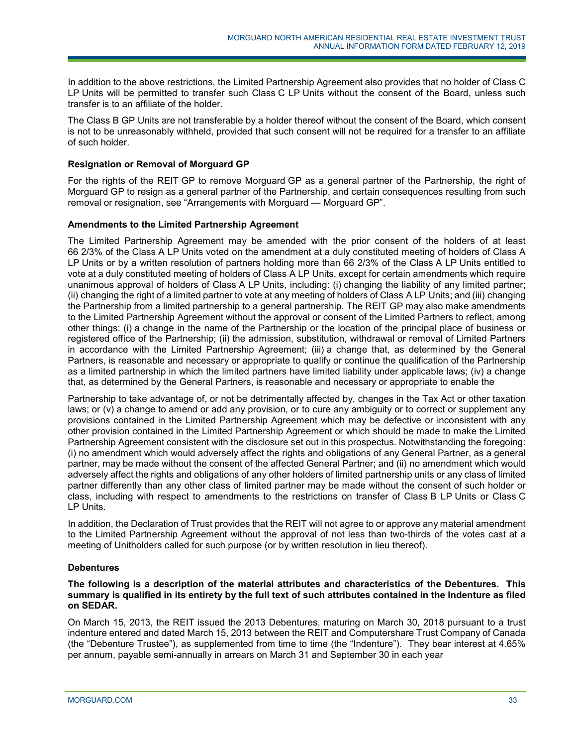In addition to the above restrictions, the Limited Partnership Agreement also provides that no holder of Class C LP Units will be permitted to transfer such Class C LP Units without the consent of the Board, unless such transfer is to an affiliate of the holder.

The Class B GP Units are not transferable by a holder thereof without the consent of the Board, which consent is not to be unreasonably withheld, provided that such consent will not be required for a transfer to an affiliate of such holder.

## **Resignation or Removal of Morguard GP**

For the rights of the REIT GP to remove Morguard GP as a general partner of the Partnership, the right of Morguard GP to resign as a general partner of the Partnership, and certain consequences resulting from such removal or resignation, see "Arrangements with Morguard — Morguard GP".

### **Amendments to the Limited Partnership Agreement**

The Limited Partnership Agreement may be amended with the prior consent of the holders of at least 66 2/3% of the Class A LP Units voted on the amendment at a duly constituted meeting of holders of Class A LP Units or by a written resolution of partners holding more than 66 2/3% of the Class A LP Units entitled to vote at a duly constituted meeting of holders of Class A LP Units, except for certain amendments which require unanimous approval of holders of Class A LP Units, including: (i) changing the liability of any limited partner; (ii) changing the right of a limited partner to vote at any meeting of holders of Class A LP Units; and (iii) changing the Partnership from a limited partnership to a general partnership. The REIT GP may also make amendments to the Limited Partnership Agreement without the approval or consent of the Limited Partners to reflect, among other things: (i) a change in the name of the Partnership or the location of the principal place of business or registered office of the Partnership; (ii) the admission, substitution, withdrawal or removal of Limited Partners in accordance with the Limited Partnership Agreement; (iii) a change that, as determined by the General Partners, is reasonable and necessary or appropriate to qualify or continue the qualification of the Partnership as a limited partnership in which the limited partners have limited liability under applicable laws; (iv) a change that, as determined by the General Partners, is reasonable and necessary or appropriate to enable the

Partnership to take advantage of, or not be detrimentally affected by, changes in the Tax Act or other taxation laws; or (v) a change to amend or add any provision, or to cure any ambiguity or to correct or supplement any provisions contained in the Limited Partnership Agreement which may be defective or inconsistent with any other provision contained in the Limited Partnership Agreement or which should be made to make the Limited Partnership Agreement consistent with the disclosure set out in this prospectus. Notwithstanding the foregoing: (i) no amendment which would adversely affect the rights and obligations of any General Partner, as a general partner, may be made without the consent of the affected General Partner; and (ii) no amendment which would adversely affect the rights and obligations of any other holders of limited partnership units or any class of limited partner differently than any other class of limited partner may be made without the consent of such holder or class, including with respect to amendments to the restrictions on transfer of Class B LP Units or Class C LP Units.

In addition, the Declaration of Trust provides that the REIT will not agree to or approve any material amendment to the Limited Partnership Agreement without the approval of not less than two-thirds of the votes cast at a meeting of Unitholders called for such purpose (or by written resolution in lieu thereof).

# **Debentures**

### **The following is a description of the material attributes and characteristics of the Debentures. This summary is qualified in its entirety by the full text of such attributes contained in the Indenture as filed on SEDAR.**

On March 15, 2013, the REIT issued the 2013 Debentures, maturing on March 30, 2018 pursuant to a trust indenture entered and dated March 15, 2013 between the REIT and Computershare Trust Company of Canada (the "Debenture Trustee"), as supplemented from time to time (the "Indenture"). They bear interest at 4.65% per annum, payable semi-annually in arrears on March 31 and September 30 in each year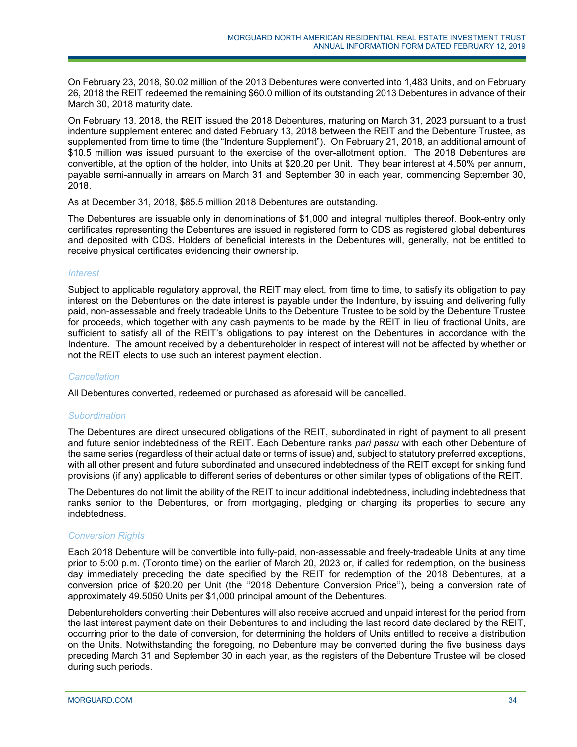On February 23, 2018, \$0.02 million of the 2013 Debentures were converted into 1,483 Units, and on February 26, 2018 the REIT redeemed the remaining \$60.0 million of its outstanding 2013 Debentures in advance of their March 30, 2018 maturity date.

On February 13, 2018, the REIT issued the 2018 Debentures, maturing on March 31, 2023 pursuant to a trust indenture supplement entered and dated February 13, 2018 between the REIT and the Debenture Trustee, as supplemented from time to time (the "Indenture Supplement"). On February 21, 2018, an additional amount of \$10.5 million was issued pursuant to the exercise of the over-allotment option. The 2018 Debentures are convertible, at the option of the holder, into Units at \$20.20 per Unit. They bear interest at 4.50% per annum, payable semi-annually in arrears on March 31 and September 30 in each year, commencing September 30, 2018.

As at December 31, 2018, \$85.5 million 2018 Debentures are outstanding.

The Debentures are issuable only in denominations of \$1,000 and integral multiples thereof. Book-entry only certificates representing the Debentures are issued in registered form to CDS as registered global debentures and deposited with CDS. Holders of beneficial interests in the Debentures will, generally, not be entitled to receive physical certificates evidencing their ownership.

## *Interest*

Subject to applicable regulatory approval, the REIT may elect, from time to time, to satisfy its obligation to pay interest on the Debentures on the date interest is payable under the Indenture, by issuing and delivering fully paid, non-assessable and freely tradeable Units to the Debenture Trustee to be sold by the Debenture Trustee for proceeds, which together with any cash payments to be made by the REIT in lieu of fractional Units, are sufficient to satisfy all of the REIT's obligations to pay interest on the Debentures in accordance with the Indenture. The amount received by a debentureholder in respect of interest will not be affected by whether or not the REIT elects to use such an interest payment election.

### *Cancellation*

All Debentures converted, redeemed or purchased as aforesaid will be cancelled.

### *Subordination*

The Debentures are direct unsecured obligations of the REIT, subordinated in right of payment to all present and future senior indebtedness of the REIT. Each Debenture ranks *pari passu* with each other Debenture of the same series (regardless of their actual date or terms of issue) and, subject to statutory preferred exceptions, with all other present and future subordinated and unsecured indebtedness of the REIT except for sinking fund provisions (if any) applicable to different series of debentures or other similar types of obligations of the REIT.

The Debentures do not limit the ability of the REIT to incur additional indebtedness, including indebtedness that ranks senior to the Debentures, or from mortgaging, pledging or charging its properties to secure any indebtedness.

### *Conversion Rights*

Each 2018 Debenture will be convertible into fully-paid, non-assessable and freely-tradeable Units at any time prior to 5:00 p.m. (Toronto time) on the earlier of March 20, 2023 or, if called for redemption, on the business day immediately preceding the date specified by the REIT for redemption of the 2018 Debentures, at a conversion price of \$20.20 per Unit (the ''2018 Debenture Conversion Price''), being a conversion rate of approximately 49.5050 Units per \$1,000 principal amount of the Debentures.

Debentureholders converting their Debentures will also receive accrued and unpaid interest for the period from the last interest payment date on their Debentures to and including the last record date declared by the REIT, occurring prior to the date of conversion, for determining the holders of Units entitled to receive a distribution on the Units. Notwithstanding the foregoing, no Debenture may be converted during the five business days preceding March 31 and September 30 in each year, as the registers of the Debenture Trustee will be closed during such periods.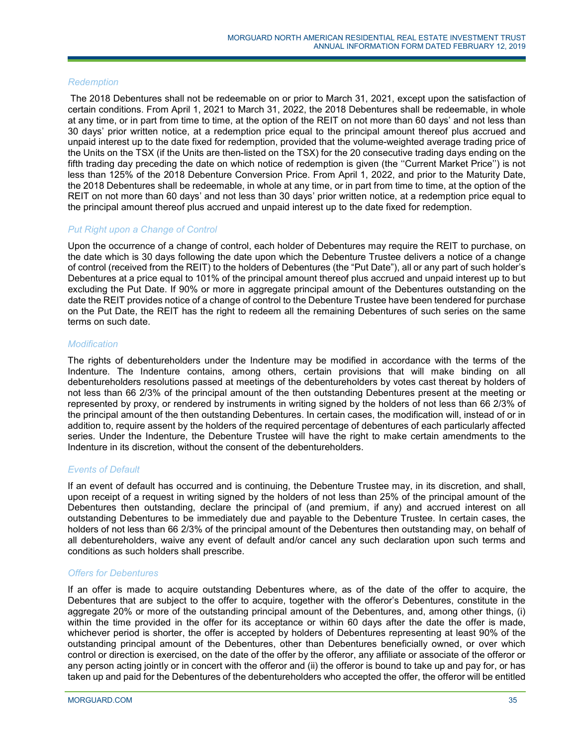### *Redemption*

The 2018 Debentures shall not be redeemable on or prior to March 31, 2021, except upon the satisfaction of certain conditions. From April 1, 2021 to March 31, 2022, the 2018 Debentures shall be redeemable, in whole at any time, or in part from time to time, at the option of the REIT on not more than 60 days' and not less than 30 days' prior written notice, at a redemption price equal to the principal amount thereof plus accrued and unpaid interest up to the date fixed for redemption, provided that the volume-weighted average trading price of the Units on the TSX (if the Units are then-listed on the TSX) for the 20 consecutive trading days ending on the fifth trading day preceding the date on which notice of redemption is given (the ''Current Market Price'') is not less than 125% of the 2018 Debenture Conversion Price. From April 1, 2022, and prior to the Maturity Date, the 2018 Debentures shall be redeemable, in whole at any time, or in part from time to time, at the option of the REIT on not more than 60 days' and not less than 30 days' prior written notice, at a redemption price equal to the principal amount thereof plus accrued and unpaid interest up to the date fixed for redemption.

### *Put Right upon a Change of Control*

Upon the occurrence of a change of control, each holder of Debentures may require the REIT to purchase, on the date which is 30 days following the date upon which the Debenture Trustee delivers a notice of a change of control (received from the REIT) to the holders of Debentures (the "Put Date"), all or any part of such holder's Debentures at a price equal to 101% of the principal amount thereof plus accrued and unpaid interest up to but excluding the Put Date. If 90% or more in aggregate principal amount of the Debentures outstanding on the date the REIT provides notice of a change of control to the Debenture Trustee have been tendered for purchase on the Put Date, the REIT has the right to redeem all the remaining Debentures of such series on the same terms on such date.

### *Modification*

The rights of debentureholders under the Indenture may be modified in accordance with the terms of the Indenture. The Indenture contains, among others, certain provisions that will make binding on all debentureholders resolutions passed at meetings of the debentureholders by votes cast thereat by holders of not less than 66 2/3% of the principal amount of the then outstanding Debentures present at the meeting or represented by proxy, or rendered by instruments in writing signed by the holders of not less than 66 2/3% of the principal amount of the then outstanding Debentures. In certain cases, the modification will, instead of or in addition to, require assent by the holders of the required percentage of debentures of each particularly affected series. Under the Indenture, the Debenture Trustee will have the right to make certain amendments to the Indenture in its discretion, without the consent of the debentureholders.

### *Events of Default*

If an event of default has occurred and is continuing, the Debenture Trustee may, in its discretion, and shall, upon receipt of a request in writing signed by the holders of not less than 25% of the principal amount of the Debentures then outstanding, declare the principal of (and premium, if any) and accrued interest on all outstanding Debentures to be immediately due and payable to the Debenture Trustee. In certain cases, the holders of not less than 66 2/3% of the principal amount of the Debentures then outstanding may, on behalf of all debentureholders, waive any event of default and/or cancel any such declaration upon such terms and conditions as such holders shall prescribe.

### *Offers for Debentures*

If an offer is made to acquire outstanding Debentures where, as of the date of the offer to acquire, the Debentures that are subject to the offer to acquire, together with the offeror's Debentures, constitute in the aggregate 20% or more of the outstanding principal amount of the Debentures, and, among other things, (i) within the time provided in the offer for its acceptance or within 60 days after the date the offer is made, whichever period is shorter, the offer is accepted by holders of Debentures representing at least 90% of the outstanding principal amount of the Debentures, other than Debentures beneficially owned, or over which control or direction is exercised, on the date of the offer by the offeror, any affiliate or associate of the offeror or any person acting jointly or in concert with the offeror and (ii) the offeror is bound to take up and pay for, or has taken up and paid for the Debentures of the debentureholders who accepted the offer, the offeror will be entitled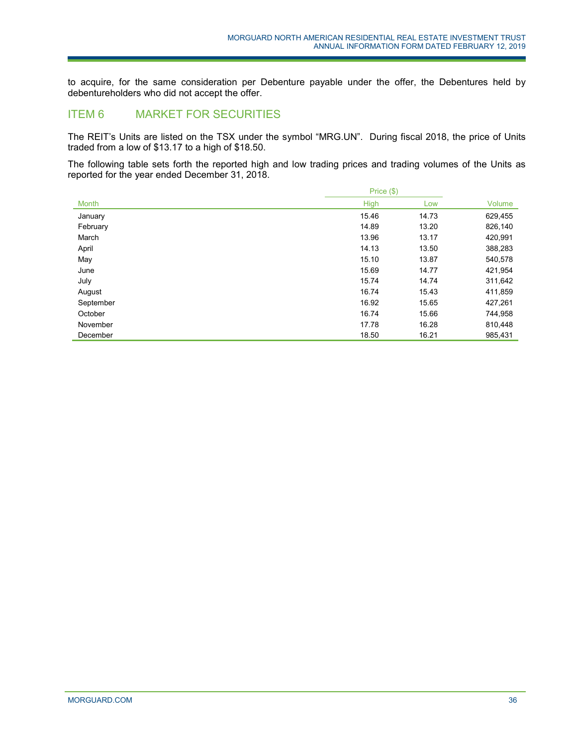to acquire, for the same consideration per Debenture payable under the offer, the Debentures held by debentureholders who did not accept the offer.

# <span id="page-35-0"></span>ITEM 6 MARKET FOR SECURITIES

The REIT's Units are listed on the TSX under the symbol "MRG.UN". During fiscal 2018, the price of Units traded from a low of \$13.17 to a high of \$18.50.

The following table sets forth the reported high and low trading prices and trading volumes of the Units as reported for the year ended December 31, 2018.

|           | Price (\$)  |       |         |
|-----------|-------------|-------|---------|
| Month     | <b>High</b> | Low   | Volume  |
| January   | 15.46       | 14.73 | 629,455 |
| February  | 14.89       | 13.20 | 826,140 |
| March     | 13.96       | 13.17 | 420,991 |
| April     | 14.13       | 13.50 | 388,283 |
| May       | 15.10       | 13.87 | 540,578 |
| June      | 15.69       | 14.77 | 421,954 |
| July      | 15.74       | 14.74 | 311,642 |
| August    | 16.74       | 15.43 | 411,859 |
| September | 16.92       | 15.65 | 427,261 |
| October   | 16.74       | 15.66 | 744,958 |
| November  | 17.78       | 16.28 | 810,448 |
| December  | 18.50       | 16.21 | 985.431 |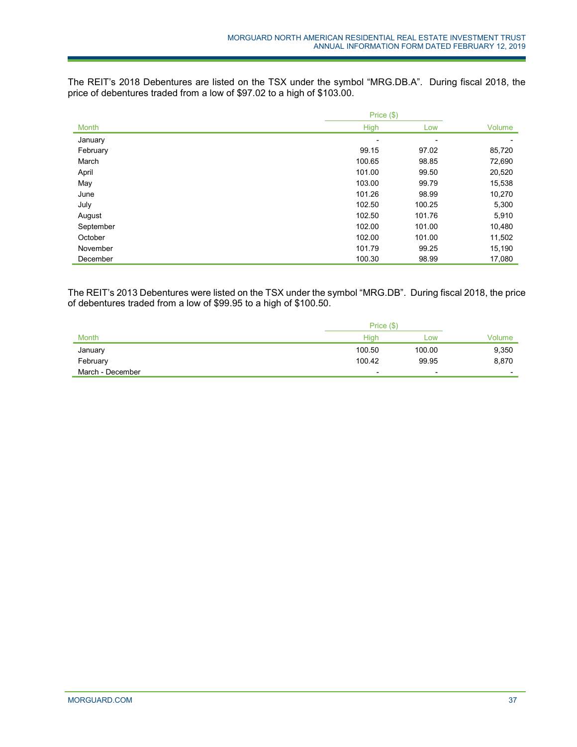The REIT's 2018 Debentures are listed on the TSX under the symbol "MRG.DB.A". During fiscal 2018, the price of debentures traded from a low of \$97.02 to a high of \$103.00.

|           | Price (\$) |                          |        |
|-----------|------------|--------------------------|--------|
| Month     | High       | Low                      | Volume |
| January   | -          | $\overline{\phantom{a}}$ | -      |
| February  | 99.15      | 97.02                    | 85,720 |
| March     | 100.65     | 98.85                    | 72,690 |
| April     | 101.00     | 99.50                    | 20,520 |
| May       | 103.00     | 99.79                    | 15,538 |
| June      | 101.26     | 98.99                    | 10,270 |
| July      | 102.50     | 100.25                   | 5,300  |
| August    | 102.50     | 101.76                   | 5,910  |
| September | 102.00     | 101.00                   | 10,480 |
| October   | 102.00     | 101.00                   | 11,502 |
| November  | 101.79     | 99.25                    | 15,190 |
| December  | 100.30     | 98.99                    | 17,080 |

The REIT's 2013 Debentures were listed on the TSX under the symbol "MRG.DB". During fiscal 2018, the price of debentures traded from a low of \$99.95 to a high of \$100.50.

|                  | Price (\$)               |        |                          |
|------------------|--------------------------|--------|--------------------------|
| <b>Month</b>     | High                     | LOW    | Volume                   |
| January          | 100.50                   | 100.00 | 9,350                    |
| February         | 100.42                   | 99.95  | 8,870                    |
| March - December | $\overline{\phantom{0}}$ | -      | $\overline{\phantom{0}}$ |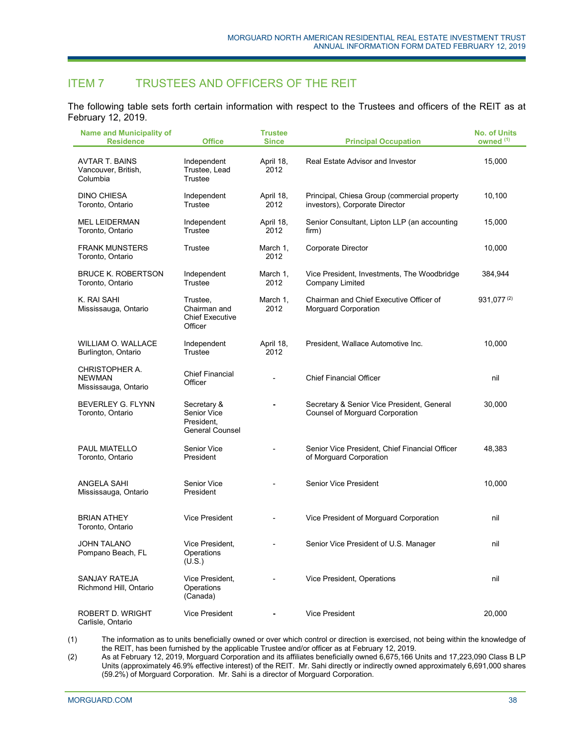# ITEM 7 TRUSTEES AND OFFICERS OF THE REIT

The following table sets forth certain information with respect to the Trustees and officers of the REIT as at February 12, 2019.

| <b>Name and Municipality of</b><br><b>Residence</b>      | <b>Office</b>                                                      | <b>Trustee</b><br><b>Since</b> | <b>Principal Occupation</b>                                                          | <b>No. of Units</b><br>owned <sup>(1)</sup> |
|----------------------------------------------------------|--------------------------------------------------------------------|--------------------------------|--------------------------------------------------------------------------------------|---------------------------------------------|
| <b>AVTAR T. BAINS</b><br>Vancouver, British,<br>Columbia | Independent<br>Trustee, Lead<br>Trustee                            | April 18,<br>2012              | Real Estate Advisor and Investor                                                     | 15,000                                      |
| <b>DINO CHIESA</b><br>Toronto, Ontario                   | Independent<br>Trustee                                             | April 18,<br>2012              | Principal, Chiesa Group (commercial property<br>investors), Corporate Director       | 10,100                                      |
| <b>MEL LEIDERMAN</b><br>Toronto, Ontario                 | Independent<br>Trustee                                             | April 18,<br>2012              | Senior Consultant, Lipton LLP (an accounting<br>firm)                                | 15,000                                      |
| <b>FRANK MUNSTERS</b><br>Toronto, Ontario                | Trustee                                                            | March 1,<br>2012               | Corporate Director                                                                   | 10,000                                      |
| <b>BRUCE K. ROBERTSON</b><br>Toronto, Ontario            | Independent<br>Trustee                                             | March 1,<br>2012               | Vice President, Investments, The Woodbridge<br>Company Limited                       | 384,944                                     |
| K. RAI SAHI<br>Mississauga, Ontario                      | Trustee,<br>Chairman and<br><b>Chief Executive</b><br>Officer      | March 1,<br>2012               | Chairman and Chief Executive Officer of<br>Morguard Corporation                      | 931,077(2)                                  |
| WILLIAM O. WALLACE<br>Burlington, Ontario                | Independent<br>Trustee                                             | April 18,<br>2012              | President, Wallace Automotive Inc.                                                   | 10,000                                      |
| CHRISTOPHER A.<br><b>NEWMAN</b><br>Mississauga, Ontario  | <b>Chief Financial</b><br>Officer                                  | $\overline{\phantom{0}}$       | <b>Chief Financial Officer</b>                                                       | nil                                         |
| BEVERLEY G. FLYNN<br>Toronto, Ontario                    | Secretary &<br>Senior Vice<br>President,<br><b>General Counsel</b> |                                | Secretary & Senior Vice President, General<br><b>Counsel of Morguard Corporation</b> | 30,000                                      |
| <b>PAUL MIATELLO</b><br>Toronto, Ontario                 | Senior Vice<br>President                                           |                                | Senior Vice President, Chief Financial Officer<br>of Morguard Corporation            | 48,383                                      |
| ANGELA SAHI<br>Mississauga, Ontario                      | <b>Senior Vice</b><br>President                                    |                                | <b>Senior Vice President</b>                                                         | 10,000                                      |
| <b>BRIAN ATHEY</b><br>Toronto, Ontario                   | <b>Vice President</b>                                              |                                | Vice President of Morguard Corporation                                               | nil                                         |
| <b>JOHN TALANO</b><br>Pompano Beach, FL                  | Vice President,<br>Operations<br>(U.S.)                            | $\overline{\phantom{0}}$       | Senior Vice President of U.S. Manager                                                | nil                                         |
| <b>SANJAY RATEJA</b><br>Richmond Hill, Ontario           | Vice President,<br>Operations<br>(Canada)                          |                                | Vice President, Operations                                                           | nil                                         |
| <b>ROBERT D. WRIGHT</b><br>Carlisle, Ontario             | <b>Vice President</b>                                              |                                | <b>Vice President</b>                                                                | 20,000                                      |

(1) The information as to units beneficially owned or over which control or direction is exercised, not being within the knowledge of the REIT, has been furnished by the applicable Trustee and/or officer as at February 12, 2019.

(2) As at February 12, 2019, Morguard Corporation and its affiliates beneficially owned 6,675,166 Units and 17,223,090 Class B LP Units (approximately 46.9% effective interest) of the REIT. Mr. Sahi directly or indirectly owned approximately 6,691,000 shares (59.2%) of Morguard Corporation. Mr. Sahi is a director of Morguard Corporation.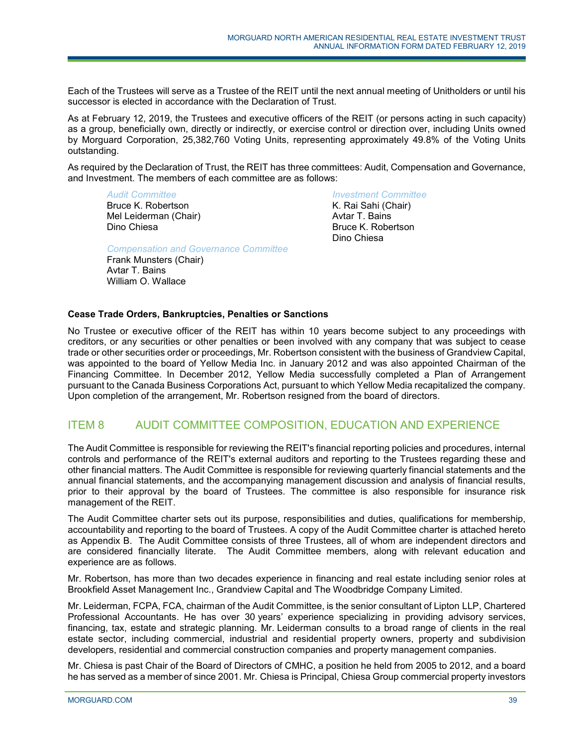Each of the Trustees will serve as a Trustee of the REIT until the next annual meeting of Unitholders or until his successor is elected in accordance with the Declaration of Trust.

As at February 12, 2019, the Trustees and executive officers of the REIT (or persons acting in such capacity) as a group, beneficially own, directly or indirectly, or exercise control or direction over, including Units owned by Morguard Corporation, 25,382,760 Voting Units, representing approximately 49.8% of the Voting Units outstanding.

As required by the Declaration of Trust, the REIT has three committees: Audit, Compensation and Governance, and Investment. The members of each committee are as follows:

*Audit Committee*

Bruce K. Robertson Mel Leiderman (Chair) Dino Chiesa

*Investment Committee*

K. Rai Sahi (Chair) Avtar T. Bains Bruce K. Robertson Dino Chiesa

*Compensation and Governance Committee*

Frank Munsters (Chair) Avtar T. Bains William O. Wallace

# **Cease Trade Orders, Bankruptcies, Penalties or Sanctions**

No Trustee or executive officer of the REIT has within 10 years become subject to any proceedings with creditors, or any securities or other penalties or been involved with any company that was subject to cease trade or other securities order or proceedings, Mr. Robertson consistent with the business of Grandview Capital, was appointed to the board of Yellow Media Inc. in January 2012 and was also appointed Chairman of the Financing Committee. In December 2012, Yellow Media successfully completed a Plan of Arrangement pursuant to the Canada Business Corporations Act, pursuant to which Yellow Media recapitalized the company. Upon completion of the arrangement, Mr. Robertson resigned from the board of directors.

# ITEM 8 AUDIT COMMITTEE COMPOSITION, EDUCATION AND EXPERIENCE

The Audit Committee is responsible for reviewing the REIT's financial reporting policies and procedures, internal controls and performance of the REIT's external auditors and reporting to the Trustees regarding these and other financial matters. The Audit Committee is responsible for reviewing quarterly financial statements and the annual financial statements, and the accompanying management discussion and analysis of financial results, prior to their approval by the board of Trustees. The committee is also responsible for insurance risk management of the REIT.

The Audit Committee charter sets out its purpose, responsibilities and duties, qualifications for membership, accountability and reporting to the board of Trustees. A copy of the Audit Committee charter is attached hereto as Appendix [B.](#page-72-0) The Audit Committee consists of three Trustees, all of whom are independent directors and are considered financially literate. The Audit Committee members, along with relevant education and experience are as follows.

Mr. Robertson, has more than two decades experience in financing and real estate including senior roles at Brookfield Asset Management Inc., Grandview Capital and The Woodbridge Company Limited.

Mr. Leiderman, FCPA, FCA, chairman of the Audit Committee, is the senior consultant of Lipton LLP, Chartered Professional Accountants. He has over 30 years' experience specializing in providing advisory services, financing, tax, estate and strategic planning. Mr. Leiderman consults to a broad range of clients in the real estate sector, including commercial, industrial and residential property owners, property and subdivision developers, residential and commercial construction companies and property management companies.

Mr. Chiesa is past Chair of the Board of Directors of CMHC, a position he held from 2005 to 2012, and a board he has served as a member of since 2001. Mr. Chiesa is Principal, Chiesa Group commercial property investors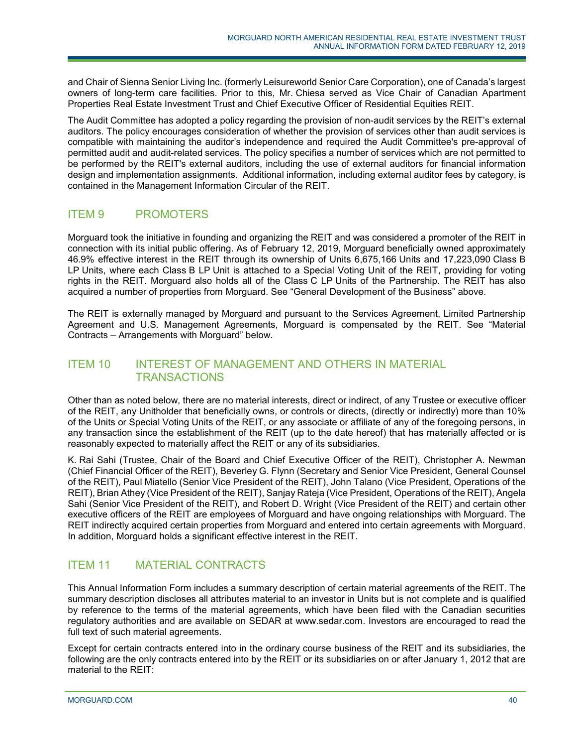and Chair of Sienna Senior Living Inc. (formerly Leisureworld Senior Care Corporation), one of Canada's largest owners of long-term care facilities. Prior to this, Mr. Chiesa served as Vice Chair of Canadian Apartment Properties Real Estate Investment Trust and Chief Executive Officer of Residential Equities REIT.

The Audit Committee has adopted a policy regarding the provision of non-audit services by the REIT's external auditors. The policy encourages consideration of whether the provision of services other than audit services is compatible with maintaining the auditor's independence and required the Audit Committee's pre-approval of permitted audit and audit-related services. The policy specifies a number of services which are not permitted to be performed by the REIT's external auditors, including the use of external auditors for financial information design and implementation assignments. Additional information, including external auditor fees by category, is contained in the Management Information Circular of the REIT.

# ITEM 9 PROMOTERS

Morguard took the initiative in founding and organizing the REIT and was considered a promoter of the REIT in connection with its initial public offering. As of February 12, 2019, Morguard beneficially owned approximately 46.9% effective interest in the REIT through its ownership of Units 6,675,166 Units and 17,223,090 Class B LP Units, where each Class B LP Unit is attached to a Special Voting Unit of the REIT, providing for voting rights in the REIT. Morguard also holds all of the Class C LP Units of the Partnership. The REIT has also acquired a number of properties from Morguard. See "General Development of the Business" above.

The REIT is externally managed by Morguard and pursuant to the Services Agreement, Limited Partnership Agreement and U.S. Management Agreements, Morguard is compensated by the REIT. See "Material Contracts – Arrangements with Morguard" below.

# ITEM 10 INTEREST OF MANAGEMENT AND OTHERS IN MATERIAL **TRANSACTIONS**

Other than as noted below, there are no material interests, direct or indirect, of any Trustee or executive officer of the REIT, any Unitholder that beneficially owns, or controls or directs, (directly or indirectly) more than 10% of the Units or Special Voting Units of the REIT, or any associate or affiliate of any of the foregoing persons, in any transaction since the establishment of the REIT (up to the date hereof) that has materially affected or is reasonably expected to materially affect the REIT or any of its subsidiaries.

K. Rai Sahi (Trustee, Chair of the Board and Chief Executive Officer of the REIT), Christopher A. Newman (Chief Financial Officer of the REIT), Beverley G. Flynn (Secretary and Senior Vice President, General Counsel of the REIT), Paul Miatello (Senior Vice President of the REIT), John Talano (Vice President, Operations of the REIT), Brian Athey (Vice President of the REIT), Sanjay Rateja (Vice President, Operations of the REIT), Angela Sahi (Senior Vice President of the REIT), and Robert D. Wright (Vice President of the REIT) and certain other executive officers of the REIT are employees of Morguard and have ongoing relationships with Morguard. The REIT indirectly acquired certain properties from Morguard and entered into certain agreements with Morguard. In addition, Morguard holds a significant effective interest in the REIT.

# ITEM 11 MATERIAL CONTRACTS

This Annual Information Form includes a summary description of certain material agreements of the REIT. The summary description discloses all attributes material to an investor in Units but is not complete and is qualified by reference to the terms of the material agreements, which have been filed with the Canadian securities regulatory authorities and are available on SEDAR at www.sedar.com. Investors are encouraged to read the full text of such material agreements.

Except for certain contracts entered into in the ordinary course business of the REIT and its subsidiaries, the following are the only contracts entered into by the REIT or its subsidiaries on or after January 1, 2012 that are material to the REIT: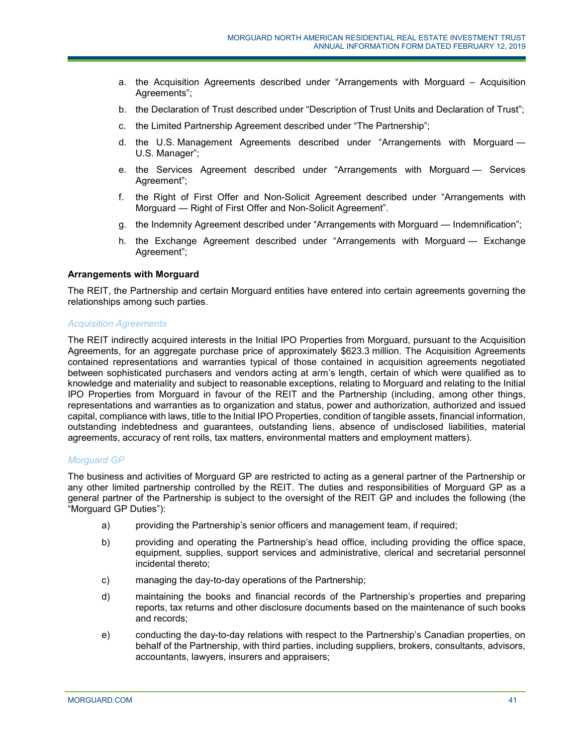- a. the Acquisition Agreements described under "Arrangements with Morguard Acquisition Agreements";
- b. the Declaration of Trust described under "Description of Trust Units and Declaration of Trust";
- c. the Limited Partnership Agreement described under "The Partnership";
- d. the U.S. Management Agreements described under "Arrangements with Morguard U.S. Manager";
- e. the Services Agreement described under "Arrangements with Morguard Services Agreement";
- f. the Right of First Offer and Non-Solicit Agreement described under "Arrangements with Morguard — Right of First Offer and Non-Solicit Agreement".
- g. the Indemnity Agreement described under "Arrangements with Morguard Indemnification";
- h. the Exchange Agreement described under "Arrangements with Morguard Exchange Agreement";

# **Arrangements with Morguard**

The REIT, the Partnership and certain Morguard entities have entered into certain agreements governing the relationships among such parties.

## *Acquisition Agreements*

The REIT indirectly acquired interests in the Initial IPO Properties from Morguard, pursuant to the Acquisition Agreements, for an aggregate purchase price of approximately \$623.3 million. The Acquisition Agreements contained representations and warranties typical of those contained in acquisition agreements negotiated between sophisticated purchasers and vendors acting at arm's length, certain of which were qualified as to knowledge and materiality and subject to reasonable exceptions, relating to Morguard and relating to the Initial IPO Properties from Morguard in favour of the REIT and the Partnership (including, among other things, representations and warranties as to organization and status, power and authorization, authorized and issued capital, compliance with laws, title to the Initial IPO Properties, condition of tangible assets, financial information, outstanding indebtedness and guarantees, outstanding liens, absence of undisclosed liabilities, material agreements, accuracy of rent rolls, tax matters, environmental matters and employment matters).

# *Morguard GP*

The business and activities of Morguard GP are restricted to acting as a general partner of the Partnership or any other limited partnership controlled by the REIT. The duties and responsibilities of Morguard GP as a general partner of the Partnership is subject to the oversight of the REIT GP and includes the following (the "Morguard GP Duties"):

- a) providing the Partnership's senior officers and management team, if required;
- b) providing and operating the Partnership's head office, including providing the office space, equipment, supplies, support services and administrative, clerical and secretarial personnel incidental thereto;
- c) managing the day-to-day operations of the Partnership;
- d) maintaining the books and financial records of the Partnership's properties and preparing reports, tax returns and other disclosure documents based on the maintenance of such books and records;
- e) conducting the day-to-day relations with respect to the Partnership's Canadian properties, on behalf of the Partnership, with third parties, including suppliers, brokers, consultants, advisors, accountants, lawyers, insurers and appraisers;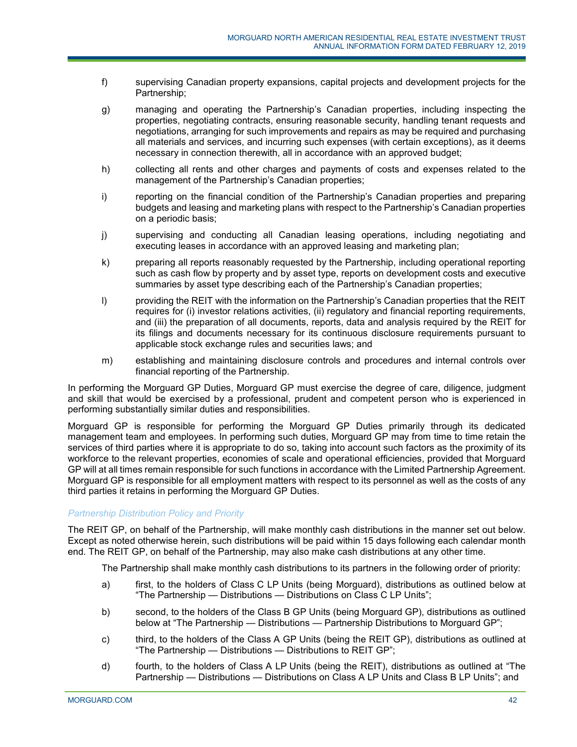- f) supervising Canadian property expansions, capital projects and development projects for the Partnership;
- g) managing and operating the Partnership's Canadian properties, including inspecting the properties, negotiating contracts, ensuring reasonable security, handling tenant requests and negotiations, arranging for such improvements and repairs as may be required and purchasing all materials and services, and incurring such expenses (with certain exceptions), as it deems necessary in connection therewith, all in accordance with an approved budget;
- h) collecting all rents and other charges and payments of costs and expenses related to the management of the Partnership's Canadian properties;
- i) reporting on the financial condition of the Partnership's Canadian properties and preparing budgets and leasing and marketing plans with respect to the Partnership's Canadian properties on a periodic basis;
- j) supervising and conducting all Canadian leasing operations, including negotiating and executing leases in accordance with an approved leasing and marketing plan;
- k) preparing all reports reasonably requested by the Partnership, including operational reporting such as cash flow by property and by asset type, reports on development costs and executive summaries by asset type describing each of the Partnership's Canadian properties;
- l) providing the REIT with the information on the Partnership's Canadian properties that the REIT requires for (i) investor relations activities, (ii) regulatory and financial reporting requirements, and (iii) the preparation of all documents, reports, data and analysis required by the REIT for its filings and documents necessary for its continuous disclosure requirements pursuant to applicable stock exchange rules and securities laws; and
- m) establishing and maintaining disclosure controls and procedures and internal controls over financial reporting of the Partnership.

In performing the Morguard GP Duties, Morguard GP must exercise the degree of care, diligence, judgment and skill that would be exercised by a professional, prudent and competent person who is experienced in performing substantially similar duties and responsibilities.

Morguard GP is responsible for performing the Morguard GP Duties primarily through its dedicated management team and employees. In performing such duties, Morguard GP may from time to time retain the services of third parties where it is appropriate to do so, taking into account such factors as the proximity of its workforce to the relevant properties, economies of scale and operational efficiencies, provided that Morguard GP will at all times remain responsible for such functions in accordance with the Limited Partnership Agreement. Morguard GP is responsible for all employment matters with respect to its personnel as well as the costs of any third parties it retains in performing the Morguard GP Duties.

# *Partnership Distribution Policy and Priority*

The REIT GP, on behalf of the Partnership, will make monthly cash distributions in the manner set out below. Except as noted otherwise herein, such distributions will be paid within 15 days following each calendar month end. The REIT GP, on behalf of the Partnership, may also make cash distributions at any other time.

The Partnership shall make monthly cash distributions to its partners in the following order of priority:

- a) first, to the holders of Class C LP Units (being Morguard), distributions as outlined below at "The Partnership — Distributions — Distributions on Class C LP Units";
- b) second, to the holders of the Class B GP Units (being Morguard GP), distributions as outlined below at "The Partnership — Distributions — Partnership Distributions to Morguard GP";
- c) third, to the holders of the Class A GP Units (being the REIT GP), distributions as outlined at "The Partnership — Distributions — Distributions to REIT GP";
- d) fourth, to the holders of Class A LP Units (being the REIT), distributions as outlined at "The Partnership — Distributions — Distributions on Class A LP Units and Class B LP Units"; and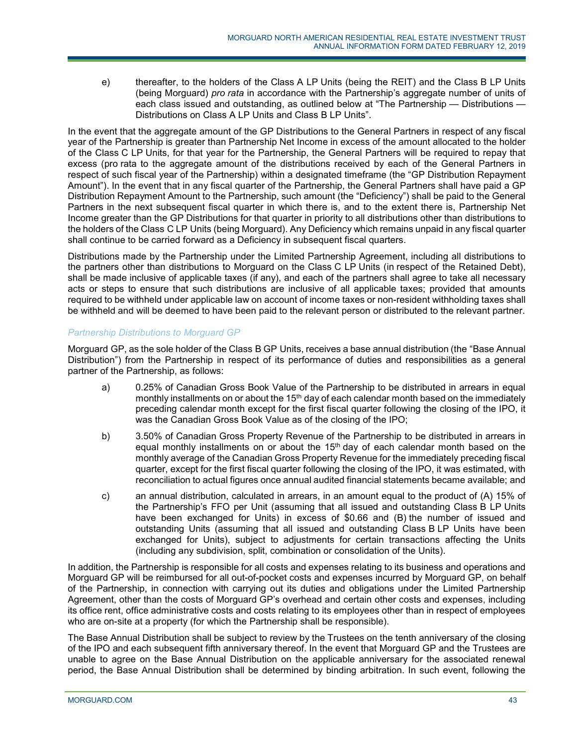e) thereafter, to the holders of the Class A LP Units (being the REIT) and the Class B LP Units (being Morguard) *pro rata* in accordance with the Partnership's aggregate number of units of each class issued and outstanding, as outlined below at "The Partnership — Distributions — Distributions on Class A LP Units and Class B LP Units".

In the event that the aggregate amount of the GP Distributions to the General Partners in respect of any fiscal year of the Partnership is greater than Partnership Net Income in excess of the amount allocated to the holder of the Class C LP Units, for that year for the Partnership, the General Partners will be required to repay that excess (pro rata to the aggregate amount of the distributions received by each of the General Partners in respect of such fiscal year of the Partnership) within a designated timeframe (the "GP Distribution Repayment Amount"). In the event that in any fiscal quarter of the Partnership, the General Partners shall have paid a GP Distribution Repayment Amount to the Partnership, such amount (the "Deficiency") shall be paid to the General Partners in the next subsequent fiscal quarter in which there is, and to the extent there is, Partnership Net Income greater than the GP Distributions for that quarter in priority to all distributions other than distributions to the holders of the Class C LP Units (being Morguard). Any Deficiency which remains unpaid in any fiscal quarter shall continue to be carried forward as a Deficiency in subsequent fiscal quarters.

Distributions made by the Partnership under the Limited Partnership Agreement, including all distributions to the partners other than distributions to Morguard on the Class C LP Units (in respect of the Retained Debt), shall be made inclusive of applicable taxes (if any), and each of the partners shall agree to take all necessary acts or steps to ensure that such distributions are inclusive of all applicable taxes; provided that amounts required to be withheld under applicable law on account of income taxes or non-resident withholding taxes shall be withheld and will be deemed to have been paid to the relevant person or distributed to the relevant partner.

# *Partnership Distributions to Morguard GP*

Morguard GP, as the sole holder of the Class B GP Units, receives a base annual distribution (the "Base Annual Distribution") from the Partnership in respect of its performance of duties and responsibilities as a general partner of the Partnership, as follows:

- a) 0.25% of Canadian Gross Book Value of the Partnership to be distributed in arrears in equal monthly installments on or about the 15<sup>th</sup> day of each calendar month based on the immediately preceding calendar month except for the first fiscal quarter following the closing of the IPO, it was the Canadian Gross Book Value as of the closing of the IPO;
- b) 3.50% of Canadian Gross Property Revenue of the Partnership to be distributed in arrears in equal monthly installments on or about the  $15<sup>th</sup>$  day of each calendar month based on the monthly average of the Canadian Gross Property Revenue for the immediately preceding fiscal quarter, except for the first fiscal quarter following the closing of the IPO, it was estimated, with reconciliation to actual figures once annual audited financial statements became available; and
- c) an annual distribution, calculated in arrears, in an amount equal to the product of (A) 15% of the Partnership's FFO per Unit (assuming that all issued and outstanding Class B LP Units have been exchanged for Units) in excess of \$0.66 and (B) the number of issued and outstanding Units (assuming that all issued and outstanding Class B LP Units have been exchanged for Units), subject to adjustments for certain transactions affecting the Units (including any subdivision, split, combination or consolidation of the Units).

In addition, the Partnership is responsible for all costs and expenses relating to its business and operations and Morguard GP will be reimbursed for all out-of-pocket costs and expenses incurred by Morguard GP, on behalf of the Partnership, in connection with carrying out its duties and obligations under the Limited Partnership Agreement, other than the costs of Morguard GP's overhead and certain other costs and expenses, including its office rent, office administrative costs and costs relating to its employees other than in respect of employees who are on-site at a property (for which the Partnership shall be responsible).

The Base Annual Distribution shall be subject to review by the Trustees on the tenth anniversary of the closing of the IPO and each subsequent fifth anniversary thereof. In the event that Morguard GP and the Trustees are unable to agree on the Base Annual Distribution on the applicable anniversary for the associated renewal period, the Base Annual Distribution shall be determined by binding arbitration. In such event, following the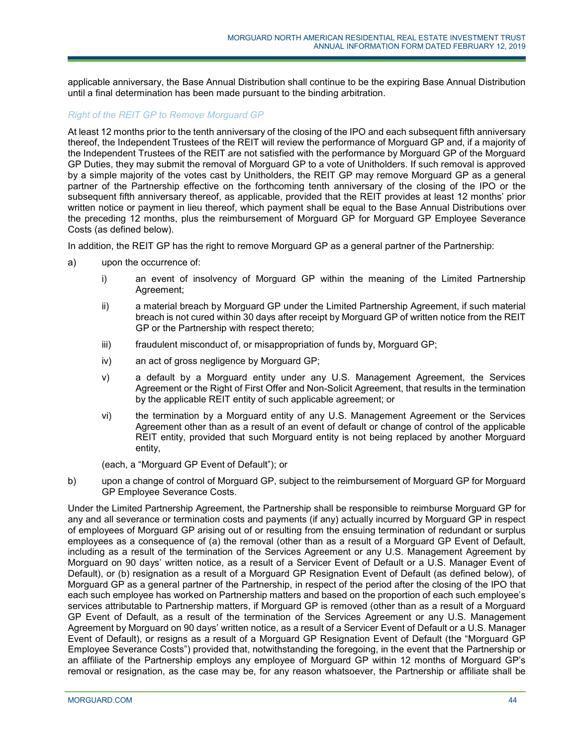applicable anniversary, the Base Annual Distribution shall continue to be the expiring Base Annual Distribution until a final determination has been made pursuant to the binding arbitration.

## *Right of the REIT GP to Remove Morguard GP*

At least 12 months prior to the tenth anniversary of the closing of the IPO and each subsequent fifth anniversary thereof, the Independent Trustees of the REIT will review the performance of Morguard GP and, if a majority of the Independent Trustees of the REIT are not satisfied with the performance by Morguard GP of the Morguard GP Duties, they may submit the removal of Morguard GP to a vote of Unitholders. If such removal is approved by a simple majority of the votes cast by Unitholders, the REIT GP may remove Morguard GP as a general partner of the Partnership effective on the forthcoming tenth anniversary of the closing of the IPO or the subsequent fifth anniversary thereof, as applicable, provided that the REIT provides at least 12 months' prior written notice or payment in lieu thereof, which payment shall be equal to the Base Annual Distributions over the preceding 12 months, plus the reimbursement of Morguard GP for Morguard GP Employee Severance Costs (as defined below).

In addition, the REIT GP has the right to remove Morguard GP as a general partner of the Partnership:

- a) upon the occurrence of:
	- i) an event of insolvency of Morguard GP within the meaning of the Limited Partnership Agreement;
	- ii) a material breach by Morguard GP under the Limited Partnership Agreement, if such material breach is not cured within 30 days after receipt by Morguard GP of written notice from the REIT GP or the Partnership with respect thereto;
	- iii) fraudulent misconduct of, or misappropriation of funds by, Morguard GP;
	- iv) an act of gross negligence by Morguard GP;
	- v) a default by a Morguard entity under any U.S. Management Agreement, the Services Agreement or the Right of First Offer and Non-Solicit Agreement, that results in the termination by the applicable REIT entity of such applicable agreement; or
	- vi) the termination by a Morguard entity of any U.S. Management Agreement or the Services Agreement other than as a result of an event of default or change of control of the applicable REIT entity, provided that such Morguard entity is not being replaced by another Morguard entity,

(each, a "Morguard GP Event of Default"); or

b) upon a change of control of Morguard GP, subject to the reimbursement of Morguard GP for Morguard GP Employee Severance Costs.

Under the Limited Partnership Agreement, the Partnership shall be responsible to reimburse Morguard GP for any and all severance or termination costs and payments (if any) actually incurred by Morguard GP in respect of employees of Morguard GP arising out of or resulting from the ensuing termination of redundant or surplus employees as a consequence of (a) the removal (other than as a result of a Morguard GP Event of Default, including as a result of the termination of the Services Agreement or any U.S. Management Agreement by Morguard on 90 days' written notice, as a result of a Servicer Event of Default or a U.S. Manager Event of Default), or (b) resignation as a result of a Morguard GP Resignation Event of Default (as defined below), of Morguard GP as a general partner of the Partnership, in respect of the period after the closing of the IPO that each such employee has worked on Partnership matters and based on the proportion of each such employee's services attributable to Partnership matters, if Morguard GP is removed (other than as a result of a Morguard GP Event of Default, as a result of the termination of the Services Agreement or any U.S. Management Agreement by Morguard on 90 days' written notice, as a result of a Servicer Event of Default or a U.S. Manager Event of Default), or resigns as a result of a Morguard GP Resignation Event of Default (the "Morguard GP Employee Severance Costs") provided that, notwithstanding the foregoing, in the event that the Partnership or an affiliate of the Partnership employs any employee of Morguard GP within 12 months of Morguard GP's removal or resignation, as the case may be, for any reason whatsoever, the Partnership or affiliate shall be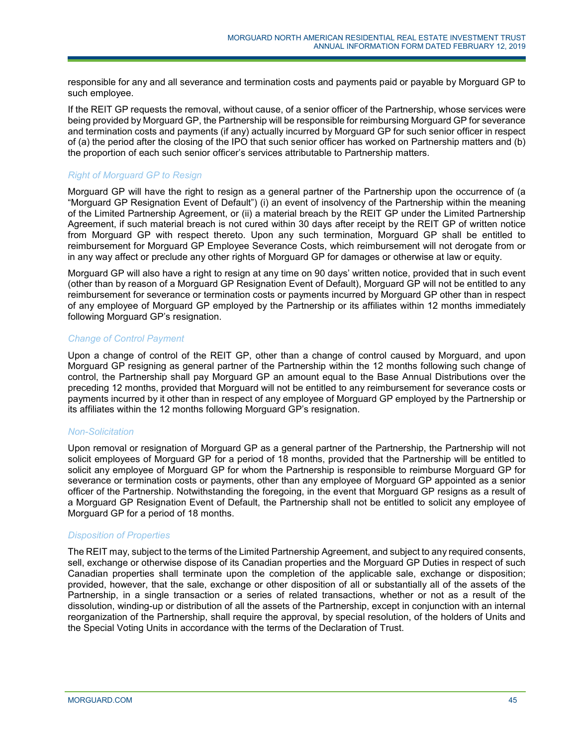responsible for any and all severance and termination costs and payments paid or payable by Morguard GP to such employee.

If the REIT GP requests the removal, without cause, of a senior officer of the Partnership, whose services were being provided by Morguard GP, the Partnership will be responsible for reimbursing Morguard GP for severance and termination costs and payments (if any) actually incurred by Morguard GP for such senior officer in respect of (a) the period after the closing of the IPO that such senior officer has worked on Partnership matters and (b) the proportion of each such senior officer's services attributable to Partnership matters.

## *Right of Morguard GP to Resign*

Morguard GP will have the right to resign as a general partner of the Partnership upon the occurrence of (a "Morguard GP Resignation Event of Default") (i) an event of insolvency of the Partnership within the meaning of the Limited Partnership Agreement, or (ii) a material breach by the REIT GP under the Limited Partnership Agreement, if such material breach is not cured within 30 days after receipt by the REIT GP of written notice from Morguard GP with respect thereto. Upon any such termination, Morguard GP shall be entitled to reimbursement for Morguard GP Employee Severance Costs, which reimbursement will not derogate from or in any way affect or preclude any other rights of Morguard GP for damages or otherwise at law or equity.

Morguard GP will also have a right to resign at any time on 90 days' written notice, provided that in such event (other than by reason of a Morguard GP Resignation Event of Default), Morguard GP will not be entitled to any reimbursement for severance or termination costs or payments incurred by Morguard GP other than in respect of any employee of Morguard GP employed by the Partnership or its affiliates within 12 months immediately following Morguard GP's resignation.

# *Change of Control Payment*

Upon a change of control of the REIT GP, other than a change of control caused by Morguard, and upon Morguard GP resigning as general partner of the Partnership within the 12 months following such change of control, the Partnership shall pay Morguard GP an amount equal to the Base Annual Distributions over the preceding 12 months, provided that Morguard will not be entitled to any reimbursement for severance costs or payments incurred by it other than in respect of any employee of Morguard GP employed by the Partnership or its affiliates within the 12 months following Morguard GP's resignation.

## *Non-Solicitation*

Upon removal or resignation of Morguard GP as a general partner of the Partnership, the Partnership will not solicit employees of Morguard GP for a period of 18 months, provided that the Partnership will be entitled to solicit any employee of Morguard GP for whom the Partnership is responsible to reimburse Morguard GP for severance or termination costs or payments, other than any employee of Morguard GP appointed as a senior officer of the Partnership. Notwithstanding the foregoing, in the event that Morguard GP resigns as a result of a Morguard GP Resignation Event of Default, the Partnership shall not be entitled to solicit any employee of Morguard GP for a period of 18 months.

## *Disposition of Properties*

The REIT may, subject to the terms of the Limited Partnership Agreement, and subject to any required consents, sell, exchange or otherwise dispose of its Canadian properties and the Morguard GP Duties in respect of such Canadian properties shall terminate upon the completion of the applicable sale, exchange or disposition; provided, however, that the sale, exchange or other disposition of all or substantially all of the assets of the Partnership, in a single transaction or a series of related transactions, whether or not as a result of the dissolution, winding-up or distribution of all the assets of the Partnership, except in conjunction with an internal reorganization of the Partnership, shall require the approval, by special resolution, of the holders of Units and the Special Voting Units in accordance with the terms of the Declaration of Trust.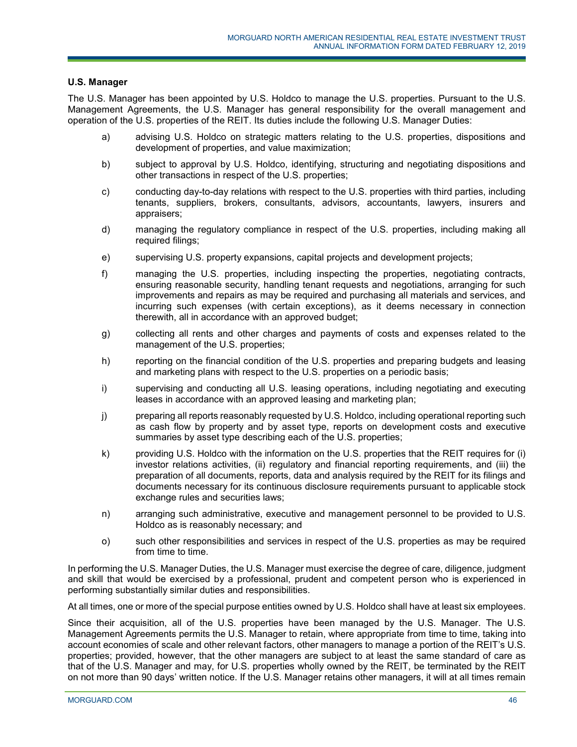## **U.S. Manager**

The U.S. Manager has been appointed by U.S. Holdco to manage the U.S. properties. Pursuant to the U.S. Management Agreements, the U.S. Manager has general responsibility for the overall management and operation of the U.S. properties of the REIT. Its duties include the following U.S. Manager Duties:

- a) advising U.S. Holdco on strategic matters relating to the U.S. properties, dispositions and development of properties, and value maximization;
- b) subject to approval by U.S. Holdco, identifying, structuring and negotiating dispositions and other transactions in respect of the U.S. properties;
- c) conducting day-to-day relations with respect to the U.S. properties with third parties, including tenants, suppliers, brokers, consultants, advisors, accountants, lawyers, insurers and appraisers;
- d) managing the regulatory compliance in respect of the U.S. properties, including making all required filings;
- e) supervising U.S. property expansions, capital projects and development projects;
- f) managing the U.S. properties, including inspecting the properties, negotiating contracts, ensuring reasonable security, handling tenant requests and negotiations, arranging for such improvements and repairs as may be required and purchasing all materials and services, and incurring such expenses (with certain exceptions), as it deems necessary in connection therewith, all in accordance with an approved budget;
- g) collecting all rents and other charges and payments of costs and expenses related to the management of the U.S. properties;
- h) reporting on the financial condition of the U.S. properties and preparing budgets and leasing and marketing plans with respect to the U.S. properties on a periodic basis;
- i) supervising and conducting all U.S. leasing operations, including negotiating and executing leases in accordance with an approved leasing and marketing plan;
- j) preparing all reports reasonably requested by U.S. Holdco, including operational reporting such as cash flow by property and by asset type, reports on development costs and executive summaries by asset type describing each of the U.S. properties;
- k) providing U.S. Holdco with the information on the U.S. properties that the REIT requires for (i) investor relations activities, (ii) regulatory and financial reporting requirements, and (iii) the preparation of all documents, reports, data and analysis required by the REIT for its filings and documents necessary for its continuous disclosure requirements pursuant to applicable stock exchange rules and securities laws;
- n) arranging such administrative, executive and management personnel to be provided to U.S. Holdco as is reasonably necessary; and
- o) such other responsibilities and services in respect of the U.S. properties as may be required from time to time.

In performing the U.S. Manager Duties, the U.S. Manager must exercise the degree of care, diligence, judgment and skill that would be exercised by a professional, prudent and competent person who is experienced in performing substantially similar duties and responsibilities.

At all times, one or more of the special purpose entities owned by U.S. Holdco shall have at least six employees.

Since their acquisition, all of the U.S. properties have been managed by the U.S. Manager. The U.S. Management Agreements permits the U.S. Manager to retain, where appropriate from time to time, taking into account economies of scale and other relevant factors, other managers to manage a portion of the REIT's U.S. properties; provided, however, that the other managers are subject to at least the same standard of care as that of the U.S. Manager and may, for U.S. properties wholly owned by the REIT, be terminated by the REIT on not more than 90 days' written notice. If the U.S. Manager retains other managers, it will at all times remain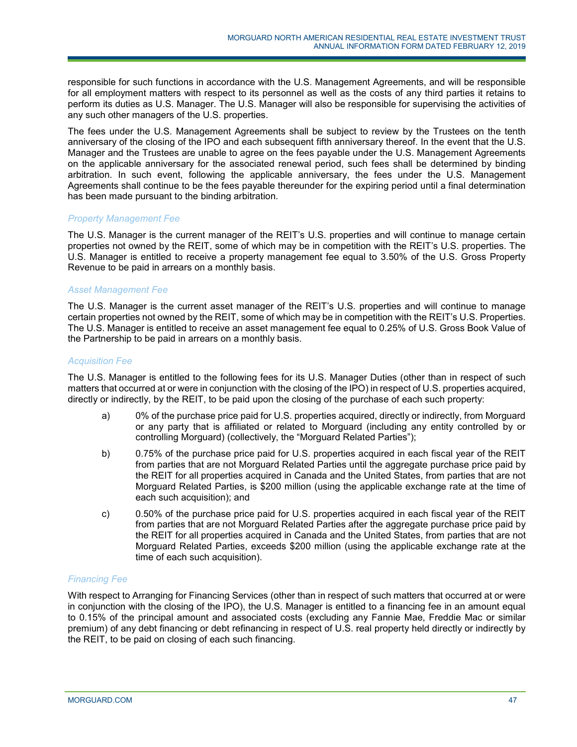responsible for such functions in accordance with the U.S. Management Agreements, and will be responsible for all employment matters with respect to its personnel as well as the costs of any third parties it retains to perform its duties as U.S. Manager. The U.S. Manager will also be responsible for supervising the activities of any such other managers of the U.S. properties.

The fees under the U.S. Management Agreements shall be subject to review by the Trustees on the tenth anniversary of the closing of the IPO and each subsequent fifth anniversary thereof. In the event that the U.S. Manager and the Trustees are unable to agree on the fees payable under the U.S. Management Agreements on the applicable anniversary for the associated renewal period, such fees shall be determined by binding arbitration. In such event, following the applicable anniversary, the fees under the U.S. Management Agreements shall continue to be the fees payable thereunder for the expiring period until a final determination has been made pursuant to the binding arbitration.

## *Property Management Fee*

The U.S. Manager is the current manager of the REIT's U.S. properties and will continue to manage certain properties not owned by the REIT, some of which may be in competition with the REIT's U.S. properties. The U.S. Manager is entitled to receive a property management fee equal to 3.50% of the U.S. Gross Property Revenue to be paid in arrears on a monthly basis.

## *Asset Management Fee*

The U.S. Manager is the current asset manager of the REIT's U.S. properties and will continue to manage certain properties not owned by the REIT, some of which may be in competition with the REIT's U.S. Properties. The U.S. Manager is entitled to receive an asset management fee equal to 0.25% of U.S. Gross Book Value of the Partnership to be paid in arrears on a monthly basis.

# *Acquisition Fee*

The U.S. Manager is entitled to the following fees for its U.S. Manager Duties (other than in respect of such matters that occurred at or were in conjunction with the closing of the IPO) in respect of U.S. properties acquired, directly or indirectly, by the REIT, to be paid upon the closing of the purchase of each such property:

- a) 0% of the purchase price paid for U.S. properties acquired, directly or indirectly, from Morguard or any party that is affiliated or related to Morguard (including any entity controlled by or controlling Morguard) (collectively, the "Morguard Related Parties");
- b) 0.75% of the purchase price paid for U.S. properties acquired in each fiscal year of the REIT from parties that are not Morguard Related Parties until the aggregate purchase price paid by the REIT for all properties acquired in Canada and the United States, from parties that are not Morguard Related Parties, is \$200 million (using the applicable exchange rate at the time of each such acquisition); and
- c) 0.50% of the purchase price paid for U.S. properties acquired in each fiscal year of the REIT from parties that are not Morguard Related Parties after the aggregate purchase price paid by the REIT for all properties acquired in Canada and the United States, from parties that are not Morguard Related Parties, exceeds \$200 million (using the applicable exchange rate at the time of each such acquisition).

## *Financing Fee*

With respect to Arranging for Financing Services (other than in respect of such matters that occurred at or were in conjunction with the closing of the IPO), the U.S. Manager is entitled to a financing fee in an amount equal to 0.15% of the principal amount and associated costs (excluding any Fannie Mae, Freddie Mac or similar premium) of any debt financing or debt refinancing in respect of U.S. real property held directly or indirectly by the REIT, to be paid on closing of each such financing.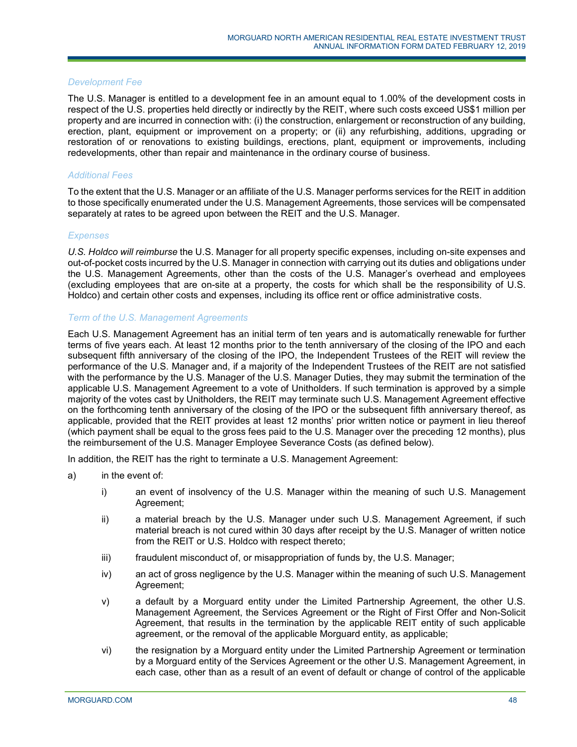### *Development Fee*

The U.S. Manager is entitled to a development fee in an amount equal to 1.00% of the development costs in respect of the U.S. properties held directly or indirectly by the REIT, where such costs exceed US\$1 million per property and are incurred in connection with: (i) the construction, enlargement or reconstruction of any building, erection, plant, equipment or improvement on a property; or (ii) any refurbishing, additions, upgrading or restoration of or renovations to existing buildings, erections, plant, equipment or improvements, including redevelopments, other than repair and maintenance in the ordinary course of business.

# *Additional Fees*

To the extent that the U.S. Manager or an affiliate of the U.S. Manager performs services for the REIT in addition to those specifically enumerated under the U.S. Management Agreements, those services will be compensated separately at rates to be agreed upon between the REIT and the U.S. Manager.

#### *Expenses*

*U.S. Holdco will reimburse* the U.S. Manager for all property specific expenses, including on-site expenses and out-of-pocket costs incurred by the U.S. Manager in connection with carrying out its duties and obligations under the U.S. Management Agreements, other than the costs of the U.S. Manager's overhead and employees (excluding employees that are on-site at a property, the costs for which shall be the responsibility of U.S. Holdco) and certain other costs and expenses, including its office rent or office administrative costs.

#### *Term of the U.S. Management Agreements*

Each U.S. Management Agreement has an initial term of ten years and is automatically renewable for further terms of five years each. At least 12 months prior to the tenth anniversary of the closing of the IPO and each subsequent fifth anniversary of the closing of the IPO, the Independent Trustees of the REIT will review the performance of the U.S. Manager and, if a majority of the Independent Trustees of the REIT are not satisfied with the performance by the U.S. Manager of the U.S. Manager Duties, they may submit the termination of the applicable U.S. Management Agreement to a vote of Unitholders. If such termination is approved by a simple majority of the votes cast by Unitholders, the REIT may terminate such U.S. Management Agreement effective on the forthcoming tenth anniversary of the closing of the IPO or the subsequent fifth anniversary thereof, as applicable, provided that the REIT provides at least 12 months' prior written notice or payment in lieu thereof (which payment shall be equal to the gross fees paid to the U.S. Manager over the preceding 12 months), plus the reimbursement of the U.S. Manager Employee Severance Costs (as defined below).

In addition, the REIT has the right to terminate a U.S. Management Agreement:

- a) in the event of:
	- i) an event of insolvency of the U.S. Manager within the meaning of such U.S. Management Agreement;
	- ii) a material breach by the U.S. Manager under such U.S. Management Agreement, if such material breach is not cured within 30 days after receipt by the U.S. Manager of written notice from the REIT or U.S. Holdco with respect thereto;
	- iii) fraudulent misconduct of, or misappropriation of funds by, the U.S. Manager;
	- iv) an act of gross negligence by the U.S. Manager within the meaning of such U.S. Management Agreement;
	- v) a default by a Morguard entity under the Limited Partnership Agreement, the other U.S. Management Agreement, the Services Agreement or the Right of First Offer and Non-Solicit Agreement, that results in the termination by the applicable REIT entity of such applicable agreement, or the removal of the applicable Morguard entity, as applicable;
	- vi) the resignation by a Morguard entity under the Limited Partnership Agreement or termination by a Morguard entity of the Services Agreement or the other U.S. Management Agreement, in each case, other than as a result of an event of default or change of control of the applicable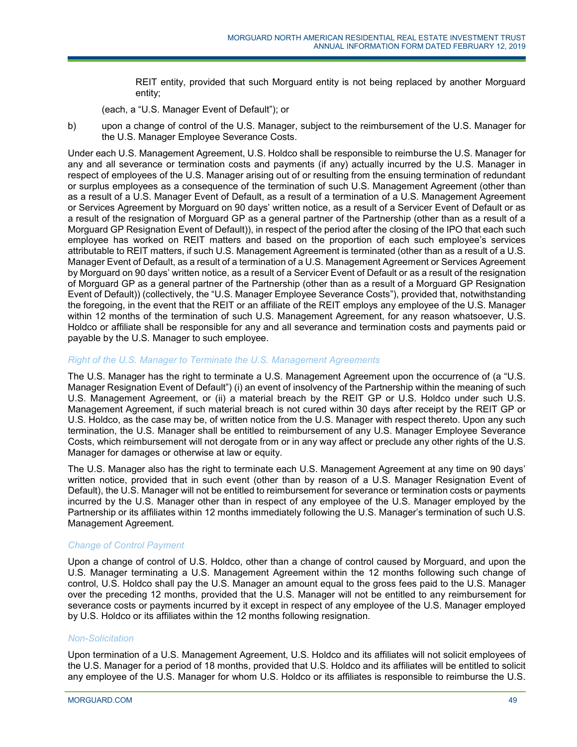REIT entity, provided that such Morguard entity is not being replaced by another Morguard entity;

(each, a "U.S. Manager Event of Default"); or

b) upon a change of control of the U.S. Manager, subject to the reimbursement of the U.S. Manager for the U.S. Manager Employee Severance Costs.

Under each U.S. Management Agreement, U.S. Holdco shall be responsible to reimburse the U.S. Manager for any and all severance or termination costs and payments (if any) actually incurred by the U.S. Manager in respect of employees of the U.S. Manager arising out of or resulting from the ensuing termination of redundant or surplus employees as a consequence of the termination of such U.S. Management Agreement (other than as a result of a U.S. Manager Event of Default, as a result of a termination of a U.S. Management Agreement or Services Agreement by Morguard on 90 days' written notice, as a result of a Servicer Event of Default or as a result of the resignation of Morguard GP as a general partner of the Partnership (other than as a result of a Morguard GP Resignation Event of Default)), in respect of the period after the closing of the IPO that each such employee has worked on REIT matters and based on the proportion of each such employee's services attributable to REIT matters, if such U.S. Management Agreement is terminated (other than as a result of a U.S. Manager Event of Default, as a result of a termination of a U.S. Management Agreement or Services Agreement by Morguard on 90 days' written notice, as a result of a Servicer Event of Default or as a result of the resignation of Morguard GP as a general partner of the Partnership (other than as a result of a Morguard GP Resignation Event of Default)) (collectively, the "U.S. Manager Employee Severance Costs"), provided that, notwithstanding the foregoing, in the event that the REIT or an affiliate of the REIT employs any employee of the U.S. Manager within 12 months of the termination of such U.S. Management Agreement, for any reason whatsoever, U.S. Holdco or affiliate shall be responsible for any and all severance and termination costs and payments paid or payable by the U.S. Manager to such employee.

## *Right of the U.S. Manager to Terminate the U.S. Management Agreements*

The U.S. Manager has the right to terminate a U.S. Management Agreement upon the occurrence of (a "U.S. Manager Resignation Event of Default") (i) an event of insolvency of the Partnership within the meaning of such U.S. Management Agreement, or (ii) a material breach by the REIT GP or U.S. Holdco under such U.S. Management Agreement, if such material breach is not cured within 30 days after receipt by the REIT GP or U.S. Holdco, as the case may be, of written notice from the U.S. Manager with respect thereto. Upon any such termination, the U.S. Manager shall be entitled to reimbursement of any U.S. Manager Employee Severance Costs, which reimbursement will not derogate from or in any way affect or preclude any other rights of the U.S. Manager for damages or otherwise at law or equity.

The U.S. Manager also has the right to terminate each U.S. Management Agreement at any time on 90 days' written notice, provided that in such event (other than by reason of a U.S. Manager Resignation Event of Default), the U.S. Manager will not be entitled to reimbursement for severance or termination costs or payments incurred by the U.S. Manager other than in respect of any employee of the U.S. Manager employed by the Partnership or its affiliates within 12 months immediately following the U.S. Manager's termination of such U.S. Management Agreement.

## *Change of Control Payment*

Upon a change of control of U.S. Holdco, other than a change of control caused by Morguard, and upon the U.S. Manager terminating a U.S. Management Agreement within the 12 months following such change of control, U.S. Holdco shall pay the U.S. Manager an amount equal to the gross fees paid to the U.S. Manager over the preceding 12 months, provided that the U.S. Manager will not be entitled to any reimbursement for severance costs or payments incurred by it except in respect of any employee of the U.S. Manager employed by U.S. Holdco or its affiliates within the 12 months following resignation.

## *Non-Solicitation*

Upon termination of a U.S. Management Agreement, U.S. Holdco and its affiliates will not solicit employees of the U.S. Manager for a period of 18 months, provided that U.S. Holdco and its affiliates will be entitled to solicit any employee of the U.S. Manager for whom U.S. Holdco or its affiliates is responsible to reimburse the U.S.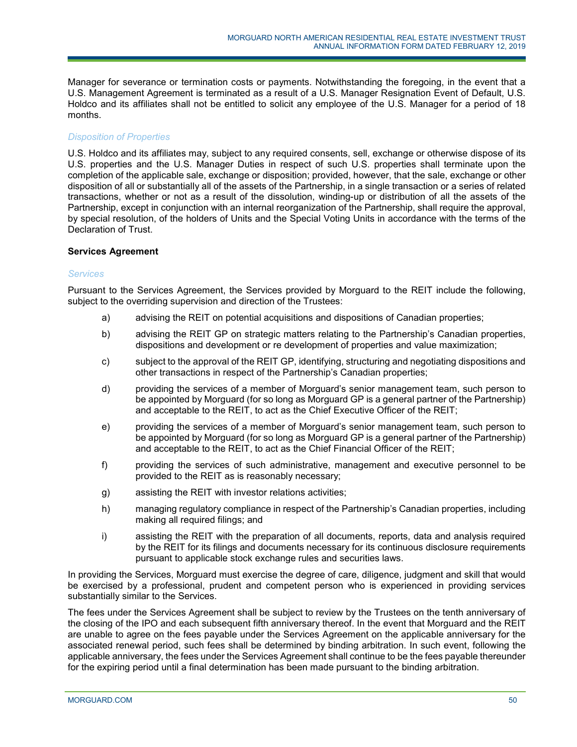Manager for severance or termination costs or payments. Notwithstanding the foregoing, in the event that a U.S. Management Agreement is terminated as a result of a U.S. Manager Resignation Event of Default, U.S. Holdco and its affiliates shall not be entitled to solicit any employee of the U.S. Manager for a period of 18 months.

# *Disposition of Properties*

U.S. Holdco and its affiliates may, subject to any required consents, sell, exchange or otherwise dispose of its U.S. properties and the U.S. Manager Duties in respect of such U.S. properties shall terminate upon the completion of the applicable sale, exchange or disposition; provided, however, that the sale, exchange or other disposition of all or substantially all of the assets of the Partnership, in a single transaction or a series of related transactions, whether or not as a result of the dissolution, winding-up or distribution of all the assets of the Partnership, except in conjunction with an internal reorganization of the Partnership, shall require the approval, by special resolution, of the holders of Units and the Special Voting Units in accordance with the terms of the Declaration of Trust.

## **Services Agreement**

## *Services*

Pursuant to the Services Agreement, the Services provided by Morguard to the REIT include the following, subject to the overriding supervision and direction of the Trustees:

- a) advising the REIT on potential acquisitions and dispositions of Canadian properties;
- b) advising the REIT GP on strategic matters relating to the Partnership's Canadian properties, dispositions and development or re development of properties and value maximization;
- c) subject to the approval of the REIT GP, identifying, structuring and negotiating dispositions and other transactions in respect of the Partnership's Canadian properties;
- d) providing the services of a member of Morguard's senior management team, such person to be appointed by Morguard (for so long as Morguard GP is a general partner of the Partnership) and acceptable to the REIT, to act as the Chief Executive Officer of the REIT;
- e) providing the services of a member of Morguard's senior management team, such person to be appointed by Morguard (for so long as Morguard GP is a general partner of the Partnership) and acceptable to the REIT, to act as the Chief Financial Officer of the REIT;
- f) providing the services of such administrative, management and executive personnel to be provided to the REIT as is reasonably necessary;
- g) assisting the REIT with investor relations activities;
- h) managing regulatory compliance in respect of the Partnership's Canadian properties, including making all required filings; and
- i) assisting the REIT with the preparation of all documents, reports, data and analysis required by the REIT for its filings and documents necessary for its continuous disclosure requirements pursuant to applicable stock exchange rules and securities laws.

In providing the Services, Morguard must exercise the degree of care, diligence, judgment and skill that would be exercised by a professional, prudent and competent person who is experienced in providing services substantially similar to the Services.

The fees under the Services Agreement shall be subject to review by the Trustees on the tenth anniversary of the closing of the IPO and each subsequent fifth anniversary thereof. In the event that Morguard and the REIT are unable to agree on the fees payable under the Services Agreement on the applicable anniversary for the associated renewal period, such fees shall be determined by binding arbitration. In such event, following the applicable anniversary, the fees under the Services Agreement shall continue to be the fees payable thereunder for the expiring period until a final determination has been made pursuant to the binding arbitration.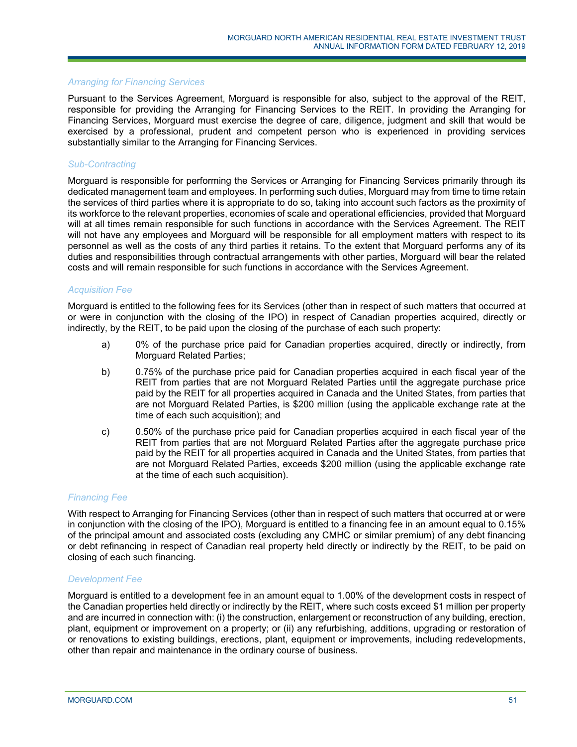## *Arranging for Financing Services*

Pursuant to the Services Agreement, Morguard is responsible for also, subject to the approval of the REIT, responsible for providing the Arranging for Financing Services to the REIT. In providing the Arranging for Financing Services, Morguard must exercise the degree of care, diligence, judgment and skill that would be exercised by a professional, prudent and competent person who is experienced in providing services substantially similar to the Arranging for Financing Services.

## *Sub-Contracting*

Morguard is responsible for performing the Services or Arranging for Financing Services primarily through its dedicated management team and employees. In performing such duties, Morguard may from time to time retain the services of third parties where it is appropriate to do so, taking into account such factors as the proximity of its workforce to the relevant properties, economies of scale and operational efficiencies, provided that Morguard will at all times remain responsible for such functions in accordance with the Services Agreement. The REIT will not have any employees and Morguard will be responsible for all employment matters with respect to its personnel as well as the costs of any third parties it retains. To the extent that Morguard performs any of its duties and responsibilities through contractual arrangements with other parties, Morguard will bear the related costs and will remain responsible for such functions in accordance with the Services Agreement.

## *Acquisition Fee*

Morguard is entitled to the following fees for its Services (other than in respect of such matters that occurred at or were in conjunction with the closing of the IPO) in respect of Canadian properties acquired, directly or indirectly, by the REIT, to be paid upon the closing of the purchase of each such property:

- a) 0% of the purchase price paid for Canadian properties acquired, directly or indirectly, from Morguard Related Parties;
- b) 0.75% of the purchase price paid for Canadian properties acquired in each fiscal year of the REIT from parties that are not Morguard Related Parties until the aggregate purchase price paid by the REIT for all properties acquired in Canada and the United States, from parties that are not Morguard Related Parties, is \$200 million (using the applicable exchange rate at the time of each such acquisition); and
- c) 0.50% of the purchase price paid for Canadian properties acquired in each fiscal year of the REIT from parties that are not Morguard Related Parties after the aggregate purchase price paid by the REIT for all properties acquired in Canada and the United States, from parties that are not Morguard Related Parties, exceeds \$200 million (using the applicable exchange rate at the time of each such acquisition).

## *Financing Fee*

With respect to Arranging for Financing Services (other than in respect of such matters that occurred at or were in conjunction with the closing of the IPO), Morguard is entitled to a financing fee in an amount equal to 0.15% of the principal amount and associated costs (excluding any CMHC or similar premium) of any debt financing or debt refinancing in respect of Canadian real property held directly or indirectly by the REIT, to be paid on closing of each such financing.

#### *Development Fee*

Morguard is entitled to a development fee in an amount equal to 1.00% of the development costs in respect of the Canadian properties held directly or indirectly by the REIT, where such costs exceed \$1 million per property and are incurred in connection with: (i) the construction, enlargement or reconstruction of any building, erection, plant, equipment or improvement on a property; or (ii) any refurbishing, additions, upgrading or restoration of or renovations to existing buildings, erections, plant, equipment or improvements, including redevelopments, other than repair and maintenance in the ordinary course of business.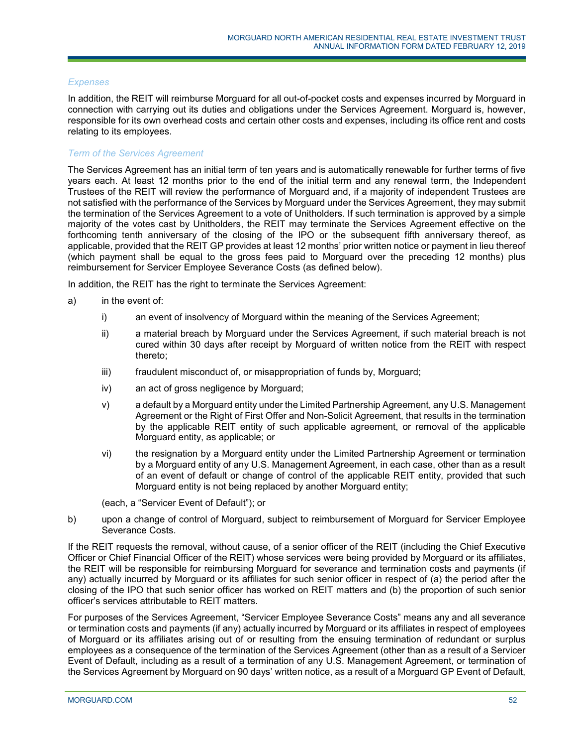## *Expenses*

In addition, the REIT will reimburse Morguard for all out-of-pocket costs and expenses incurred by Morguard in connection with carrying out its duties and obligations under the Services Agreement. Morguard is, however, responsible for its own overhead costs and certain other costs and expenses, including its office rent and costs relating to its employees.

## *Term of the Services Agreement*

The Services Agreement has an initial term of ten years and is automatically renewable for further terms of five years each. At least 12 months prior to the end of the initial term and any renewal term, the Independent Trustees of the REIT will review the performance of Morguard and, if a majority of independent Trustees are not satisfied with the performance of the Services by Morguard under the Services Agreement, they may submit the termination of the Services Agreement to a vote of Unitholders. If such termination is approved by a simple majority of the votes cast by Unitholders, the REIT may terminate the Services Agreement effective on the forthcoming tenth anniversary of the closing of the IPO or the subsequent fifth anniversary thereof, as applicable, provided that the REIT GP provides at least 12 months' prior written notice or payment in lieu thereof (which payment shall be equal to the gross fees paid to Morguard over the preceding 12 months) plus reimbursement for Servicer Employee Severance Costs (as defined below).

In addition, the REIT has the right to terminate the Services Agreement:

- a) in the event of:
	- i) an event of insolvency of Morguard within the meaning of the Services Agreement;
	- ii) a material breach by Morguard under the Services Agreement, if such material breach is not cured within 30 days after receipt by Morguard of written notice from the REIT with respect thereto;
	- iii) fraudulent misconduct of, or misappropriation of funds by, Morguard;
	- iv) an act of gross negligence by Morguard;
	- v) a default by a Morguard entity under the Limited Partnership Agreement, any U.S. Management Agreement or the Right of First Offer and Non-Solicit Agreement, that results in the termination by the applicable REIT entity of such applicable agreement, or removal of the applicable Morguard entity, as applicable; or
	- vi) the resignation by a Morguard entity under the Limited Partnership Agreement or termination by a Morguard entity of any U.S. Management Agreement, in each case, other than as a result of an event of default or change of control of the applicable REIT entity, provided that such Morguard entity is not being replaced by another Morguard entity;

(each, a "Servicer Event of Default"); or

b) upon a change of control of Morguard, subject to reimbursement of Morguard for Servicer Employee Severance Costs.

If the REIT requests the removal, without cause, of a senior officer of the REIT (including the Chief Executive Officer or Chief Financial Officer of the REIT) whose services were being provided by Morguard or its affiliates, the REIT will be responsible for reimbursing Morguard for severance and termination costs and payments (if any) actually incurred by Morguard or its affiliates for such senior officer in respect of (a) the period after the closing of the IPO that such senior officer has worked on REIT matters and (b) the proportion of such senior officer's services attributable to REIT matters.

For purposes of the Services Agreement, "Servicer Employee Severance Costs" means any and all severance or termination costs and payments (if any) actually incurred by Morguard or its affiliates in respect of employees of Morguard or its affiliates arising out of or resulting from the ensuing termination of redundant or surplus employees as a consequence of the termination of the Services Agreement (other than as a result of a Servicer Event of Default, including as a result of a termination of any U.S. Management Agreement, or termination of the Services Agreement by Morguard on 90 days' written notice, as a result of a Morguard GP Event of Default,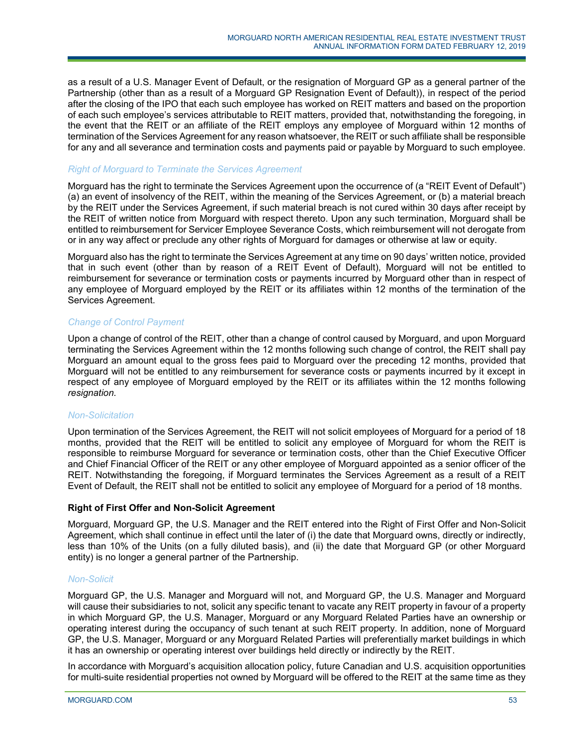as a result of a U.S. Manager Event of Default, or the resignation of Morguard GP as a general partner of the Partnership (other than as a result of a Morguard GP Resignation Event of Default)), in respect of the period after the closing of the IPO that each such employee has worked on REIT matters and based on the proportion of each such employee's services attributable to REIT matters, provided that, notwithstanding the foregoing, in the event that the REIT or an affiliate of the REIT employs any employee of Morguard within 12 months of termination of the Services Agreement for any reason whatsoever, the REIT or such affiliate shall be responsible for any and all severance and termination costs and payments paid or payable by Morguard to such employee.

## *Right of Morguard to Terminate the Services Agreement*

Morguard has the right to terminate the Services Agreement upon the occurrence of (a "REIT Event of Default") (a) an event of insolvency of the REIT, within the meaning of the Services Agreement, or (b) a material breach by the REIT under the Services Agreement, if such material breach is not cured within 30 days after receipt by the REIT of written notice from Morguard with respect thereto. Upon any such termination, Morguard shall be entitled to reimbursement for Servicer Employee Severance Costs, which reimbursement will not derogate from or in any way affect or preclude any other rights of Morguard for damages or otherwise at law or equity.

Morguard also has the right to terminate the Services Agreement at any time on 90 days' written notice, provided that in such event (other than by reason of a REIT Event of Default), Morguard will not be entitled to reimbursement for severance or termination costs or payments incurred by Morguard other than in respect of any employee of Morguard employed by the REIT or its affiliates within 12 months of the termination of the Services Agreement.

# *Change of Co*n*trol Payment*

Upon a change of control of the REIT, other than a change of control caused by Morguard, and upon Morguard terminating the Services Agreement within the 12 months following such change of control, the REIT shall pay Morguard an amount equal to the gross fees paid to Morguard over the preceding 12 months, provided that Morguard will not be entitled to any reimbursement for severance costs or payments incurred by it except in respect of any employee of Morguard employed by the REIT or its affiliates within the 12 months following *resignation.*

## *Non-Solicitation*

Upon termination of the Services Agreement, the REIT will not solicit employees of Morguard for a period of 18 months, provided that the REIT will be entitled to solicit any employee of Morguard for whom the REIT is responsible to reimburse Morguard for severance or termination costs, other than the Chief Executive Officer and Chief Financial Officer of the REIT or any other employee of Morguard appointed as a senior officer of the REIT. Notwithstanding the foregoing, if Morguard terminates the Services Agreement as a result of a REIT Event of Default, the REIT shall not be entitled to solicit any employee of Morguard for a period of 18 months.

## **Right of First Offer and Non-Solicit Agreement**

Morguard, Morguard GP, the U.S. Manager and the REIT entered into the Right of First Offer and Non-Solicit Agreement, which shall continue in effect until the later of (i) the date that Morguard owns, directly or indirectly, less than 10% of the Units (on a fully diluted basis), and (ii) the date that Morguard GP (or other Morguard entity) is no longer a general partner of the Partnership.

## *Non-Solicit*

Morguard GP, the U.S. Manager and Morguard will not, and Morguard GP, the U.S. Manager and Morguard will cause their subsidiaries to not, solicit any specific tenant to vacate any REIT property in favour of a property in which Morguard GP, the U.S. Manager, Morguard or any Morguard Related Parties have an ownership or operating interest during the occupancy of such tenant at such REIT property. In addition, none of Morguard GP, the U.S. Manager, Morguard or any Morguard Related Parties will preferentially market buildings in which it has an ownership or operating interest over buildings held directly or indirectly by the REIT.

In accordance with Morguard's acquisition allocation policy, future Canadian and U.S. acquisition opportunities for multi-suite residential properties not owned by Morguard will be offered to the REIT at the same time as they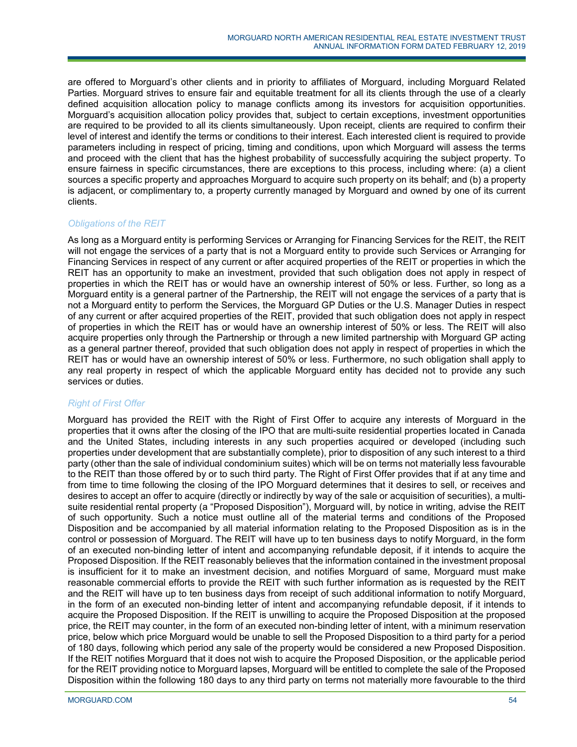are offered to Morguard's other clients and in priority to affiliates of Morguard, including Morguard Related Parties. Morguard strives to ensure fair and equitable treatment for all its clients through the use of a clearly defined acquisition allocation policy to manage conflicts among its investors for acquisition opportunities. Morguard's acquisition allocation policy provides that, subject to certain exceptions, investment opportunities are required to be provided to all its clients simultaneously. Upon receipt, clients are required to confirm their level of interest and identify the terms or conditions to their interest. Each interested client is required to provide parameters including in respect of pricing, timing and conditions, upon which Morguard will assess the terms and proceed with the client that has the highest probability of successfully acquiring the subject property. To ensure fairness in specific circumstances, there are exceptions to this process, including where: (a) a client sources a specific property and approaches Morguard to acquire such property on its behalf; and (b) a property is adjacent, or complimentary to, a property currently managed by Morguard and owned by one of its current clients.

# *Obligations of the REIT*

As long as a Morguard entity is performing Services or Arranging for Financing Services for the REIT, the REIT will not engage the services of a party that is not a Morguard entity to provide such Services or Arranging for Financing Services in respect of any current or after acquired properties of the REIT or properties in which the REIT has an opportunity to make an investment, provided that such obligation does not apply in respect of properties in which the REIT has or would have an ownership interest of 50% or less. Further, so long as a Morguard entity is a general partner of the Partnership, the REIT will not engage the services of a party that is not a Morguard entity to perform the Services, the Morguard GP Duties or the U.S. Manager Duties in respect of any current or after acquired properties of the REIT, provided that such obligation does not apply in respect of properties in which the REIT has or would have an ownership interest of 50% or less. The REIT will also acquire properties only through the Partnership or through a new limited partnership with Morguard GP acting as a general partner thereof, provided that such obligation does not apply in respect of properties in which the REIT has or would have an ownership interest of 50% or less. Furthermore, no such obligation shall apply to any real property in respect of which the applicable Morguard entity has decided not to provide any such services or duties.

# *Right of First Offer*

Morguard has provided the REIT with the Right of First Offer to acquire any interests of Morguard in the properties that it owns after the closing of the IPO that are multi-suite residential properties located in Canada and the United States, including interests in any such properties acquired or developed (including such properties under development that are substantially complete), prior to disposition of any such interest to a third party (other than the sale of individual condominium suites) which will be on terms not materially less favourable to the REIT than those offered by or to such third party. The Right of First Offer provides that if at any time and from time to time following the closing of the IPO Morguard determines that it desires to sell, or receives and desires to accept an offer to acquire (directly or indirectly by way of the sale or acquisition of securities), a multisuite residential rental property (a "Proposed Disposition"), Morguard will, by notice in writing, advise the REIT of such opportunity. Such a notice must outline all of the material terms and conditions of the Proposed Disposition and be accompanied by all material information relating to the Proposed Disposition as is in the control or possession of Morguard. The REIT will have up to ten business days to notify Morguard, in the form of an executed non-binding letter of intent and accompanying refundable deposit, if it intends to acquire the Proposed Disposition. If the REIT reasonably believes that the information contained in the investment proposal is insufficient for it to make an investment decision, and notifies Morguard of same, Morguard must make reasonable commercial efforts to provide the REIT with such further information as is requested by the REIT and the REIT will have up to ten business days from receipt of such additional information to notify Morguard, in the form of an executed non-binding letter of intent and accompanying refundable deposit, if it intends to acquire the Proposed Disposition. If the REIT is unwilling to acquire the Proposed Disposition at the proposed price, the REIT may counter, in the form of an executed non-binding letter of intent, with a minimum reservation price, below which price Morguard would be unable to sell the Proposed Disposition to a third party for a period of 180 days, following which period any sale of the property would be considered a new Proposed Disposition. If the REIT notifies Morguard that it does not wish to acquire the Proposed Disposition, or the applicable period for the REIT providing notice to Morguard lapses, Morguard will be entitled to complete the sale of the Proposed Disposition within the following 180 days to any third party on terms not materially more favourable to the third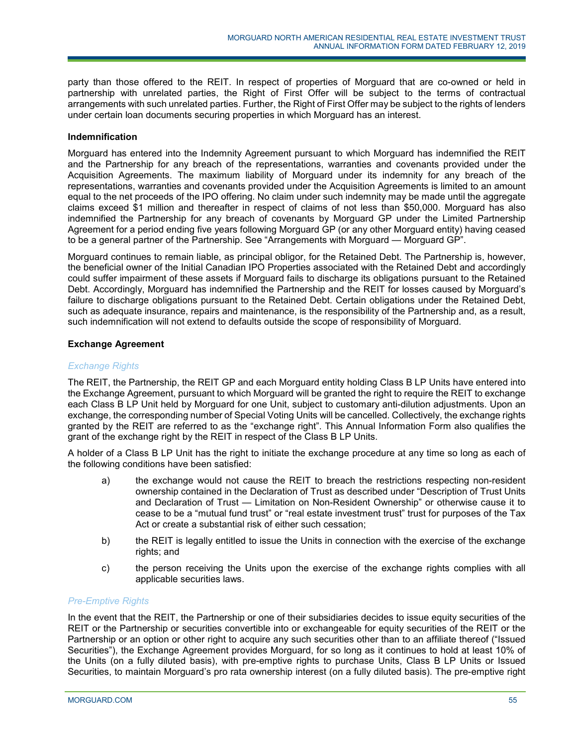party than those offered to the REIT. In respect of properties of Morguard that are co-owned or held in partnership with unrelated parties, the Right of First Offer will be subject to the terms of contractual arrangements with such unrelated parties. Further, the Right of First Offer may be subject to the rights of lenders under certain loan documents securing properties in which Morguard has an interest.

# **Indemnification**

Morguard has entered into the Indemnity Agreement pursuant to which Morguard has indemnified the REIT and the Partnership for any breach of the representations, warranties and covenants provided under the Acquisition Agreements. The maximum liability of Morguard under its indemnity for any breach of the representations, warranties and covenants provided under the Acquisition Agreements is limited to an amount equal to the net proceeds of the IPO offering. No claim under such indemnity may be made until the aggregate claims exceed \$1 million and thereafter in respect of claims of not less than \$50,000. Morguard has also indemnified the Partnership for any breach of covenants by Morguard GP under the Limited Partnership Agreement for a period ending five years following Morguard GP (or any other Morguard entity) having ceased to be a general partner of the Partnership. See "Arrangements with Morguard — Morguard GP".

Morguard continues to remain liable, as principal obligor, for the Retained Debt. The Partnership is, however, the beneficial owner of the Initial Canadian IPO Properties associated with the Retained Debt and accordingly could suffer impairment of these assets if Morguard fails to discharge its obligations pursuant to the Retained Debt. Accordingly, Morguard has indemnified the Partnership and the REIT for losses caused by Morguard's failure to discharge obligations pursuant to the Retained Debt. Certain obligations under the Retained Debt, such as adequate insurance, repairs and maintenance, is the responsibility of the Partnership and, as a result, such indemnification will not extend to defaults outside the scope of responsibility of Morguard.

# **Exchange Agreement**

# *Exchange Rights*

The REIT, the Partnership, the REIT GP and each Morguard entity holding Class B LP Units have entered into the Exchange Agreement, pursuant to which Morguard will be granted the right to require the REIT to exchange each Class B LP Unit held by Morguard for one Unit, subject to customary anti-dilution adjustments. Upon an exchange, the corresponding number of Special Voting Units will be cancelled. Collectively, the exchange rights granted by the REIT are referred to as the "exchange right". This Annual Information Form also qualifies the grant of the exchange right by the REIT in respect of the Class B LP Units.

A holder of a Class B LP Unit has the right to initiate the exchange procedure at any time so long as each of the following conditions have been satisfied:

- a) the exchange would not cause the REIT to breach the restrictions respecting non-resident ownership contained in the Declaration of Trust as described under "Description of Trust Units and Declaration of Trust — Limitation on Non-Resident Ownership" or otherwise cause it to cease to be a "mutual fund trust" or "real estate investment trust" trust for purposes of the Tax Act or create a substantial risk of either such cessation;
- b) the REIT is legally entitled to issue the Units in connection with the exercise of the exchange rights; and
- c) the person receiving the Units upon the exercise of the exchange rights complies with all applicable securities laws.

## *Pre-Emptive Rights*

In the event that the REIT, the Partnership or one of their subsidiaries decides to issue equity securities of the REIT or the Partnership or securities convertible into or exchangeable for equity securities of the REIT or the Partnership or an option or other right to acquire any such securities other than to an affiliate thereof ("Issued Securities"), the Exchange Agreement provides Morguard, for so long as it continues to hold at least 10% of the Units (on a fully diluted basis), with pre-emptive rights to purchase Units, Class B LP Units or Issued Securities, to maintain Morguard's pro rata ownership interest (on a fully diluted basis). The pre-emptive right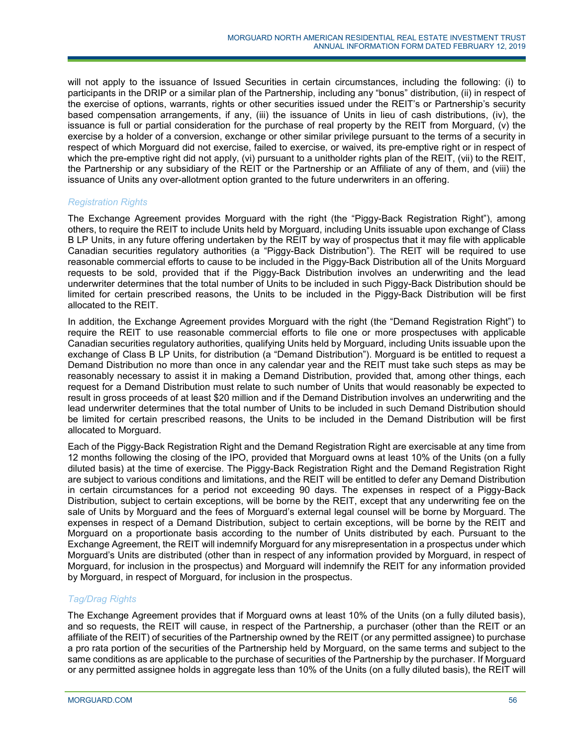will not apply to the issuance of Issued Securities in certain circumstances, including the following: (i) to participants in the DRIP or a similar plan of the Partnership, including any "bonus" distribution, (ii) in respect of the exercise of options, warrants, rights or other securities issued under the REIT's or Partnership's security based compensation arrangements, if any, (iii) the issuance of Units in lieu of cash distributions, (iv), the issuance is full or partial consideration for the purchase of real property by the REIT from Morguard, (v) the exercise by a holder of a conversion, exchange or other similar privilege pursuant to the terms of a security in respect of which Morguard did not exercise, failed to exercise, or waived, its pre-emptive right or in respect of which the pre-emptive right did not apply, (vi) pursuant to a unitholder rights plan of the REIT, (vii) to the REIT, the Partnership or any subsidiary of the REIT or the Partnership or an Affiliate of any of them, and (viii) the issuance of Units any over-allotment option granted to the future underwriters in an offering.

# *Registration Rights*

The Exchange Agreement provides Morguard with the right (the "Piggy-Back Registration Right"), among others, to require the REIT to include Units held by Morguard, including Units issuable upon exchange of Class B LP Units, in any future offering undertaken by the REIT by way of prospectus that it may file with applicable Canadian securities regulatory authorities (a "Piggy-Back Distribution"). The REIT will be required to use reasonable commercial efforts to cause to be included in the Piggy-Back Distribution all of the Units Morguard requests to be sold, provided that if the Piggy-Back Distribution involves an underwriting and the lead underwriter determines that the total number of Units to be included in such Piggy-Back Distribution should be limited for certain prescribed reasons, the Units to be included in the Piggy-Back Distribution will be first allocated to the REIT.

In addition, the Exchange Agreement provides Morguard with the right (the "Demand Registration Right") to require the REIT to use reasonable commercial efforts to file one or more prospectuses with applicable Canadian securities regulatory authorities, qualifying Units held by Morguard, including Units issuable upon the exchange of Class B LP Units, for distribution (a "Demand Distribution"). Morguard is be entitled to request a Demand Distribution no more than once in any calendar year and the REIT must take such steps as may be reasonably necessary to assist it in making a Demand Distribution, provided that, among other things, each request for a Demand Distribution must relate to such number of Units that would reasonably be expected to result in gross proceeds of at least \$20 million and if the Demand Distribution involves an underwriting and the lead underwriter determines that the total number of Units to be included in such Demand Distribution should be limited for certain prescribed reasons, the Units to be included in the Demand Distribution will be first allocated to Morguard.

Each of the Piggy-Back Registration Right and the Demand Registration Right are exercisable at any time from 12 months following the closing of the IPO, provided that Morguard owns at least 10% of the Units (on a fully diluted basis) at the time of exercise. The Piggy-Back Registration Right and the Demand Registration Right are subject to various conditions and limitations, and the REIT will be entitled to defer any Demand Distribution in certain circumstances for a period not exceeding 90 days. The expenses in respect of a Piggy-Back Distribution, subject to certain exceptions, will be borne by the REIT, except that any underwriting fee on the sale of Units by Morguard and the fees of Morguard's external legal counsel will be borne by Morguard. The expenses in respect of a Demand Distribution, subject to certain exceptions, will be borne by the REIT and Morguard on a proportionate basis according to the number of Units distributed by each. Pursuant to the Exchange Agreement, the REIT will indemnify Morguard for any misrepresentation in a prospectus under which Morguard's Units are distributed (other than in respect of any information provided by Morguard, in respect of Morguard, for inclusion in the prospectus) and Morguard will indemnify the REIT for any information provided by Morguard, in respect of Morguard, for inclusion in the prospectus.

# *Tag/Drag Rights*

The Exchange Agreement provides that if Morguard owns at least 10% of the Units (on a fully diluted basis), and so requests, the REIT will cause, in respect of the Partnership, a purchaser (other than the REIT or an affiliate of the REIT) of securities of the Partnership owned by the REIT (or any permitted assignee) to purchase a pro rata portion of the securities of the Partnership held by Morguard, on the same terms and subject to the same conditions as are applicable to the purchase of securities of the Partnership by the purchaser. If Morguard or any permitted assignee holds in aggregate less than 10% of the Units (on a fully diluted basis), the REIT will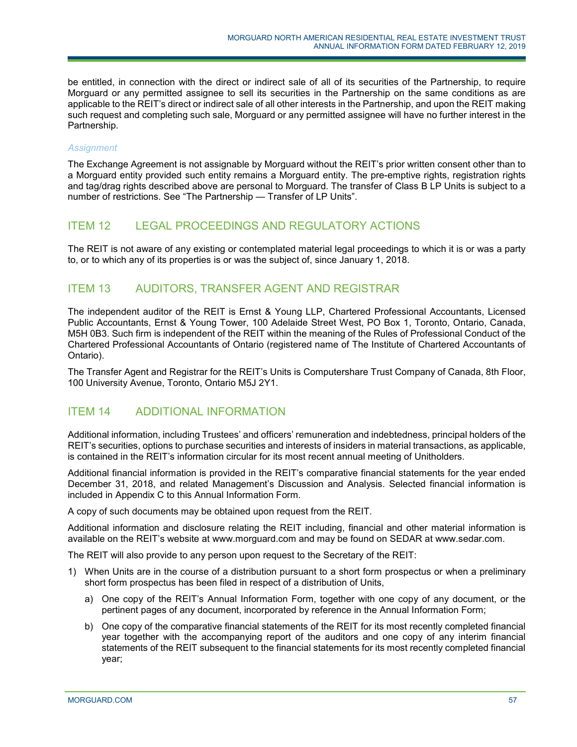be entitled, in connection with the direct or indirect sale of all of its securities of the Partnership, to require Morguard or any permitted assignee to sell its securities in the Partnership on the same conditions as are applicable to the REIT's direct or indirect sale of all other interests in the Partnership, and upon the REIT making such request and completing such sale, Morguard or any permitted assignee will have no further interest in the Partnership.

# *Assignment*

The Exchange Agreement is not assignable by Morguard without the REIT's prior written consent other than to a Morguard entity provided such entity remains a Morguard entity. The pre-emptive rights, registration rights and tag/drag rights described above are personal to Morguard. The transfer of Class B LP Units is subject to a number of restrictions. See "The Partnership — Transfer of LP Units".

# ITEM 12 LEGAL PROCEEDINGS AND REGULATORY ACTIONS

The REIT is not aware of any existing or contemplated material legal proceedings to which it is or was a party to, or to which any of its properties is or was the subject of, since January 1, 2018.

# ITEM 13 AUDITORS, TRANSFER AGENT AND REGISTRAR

The independent auditor of the REIT is Ernst & Young LLP, Chartered Professional Accountants, Licensed Public Accountants, Ernst & Young Tower, 100 Adelaide Street West, PO Box 1, Toronto, Ontario, Canada, M5H 0B3. Such firm is independent of the REIT within the meaning of the Rules of Professional Conduct of the Chartered Professional Accountants of Ontario (registered name of The Institute of Chartered Accountants of Ontario).

The Transfer Agent and Registrar for the REIT's Units is Computershare Trust Company of Canada, 8th Floor, 100 University Avenue, Toronto, Ontario M5J 2Y1.

# ITEM 14 ADDITIONAL INFORMATION

Additional information, including Trustees' and officers' remuneration and indebtedness, principal holders of the REIT's securities, options to purchase securities and interests of insiders in material transactions, as applicable, is contained in the REIT's information circular for its most recent annual meeting of Unitholders.

Additional financial information is provided in the REIT's comparative financial statements for the year ended December 31, 2018, and related Management's Discussion and Analysis. Selected financial information is included in Appendix [C](#page-79-0) to this Annual Information Form.

A copy of such documents may be obtained upon request from the REIT.

Additional information and disclosure relating the REIT including, financial and other material information is available on the REIT's website at www.morguard.com and may be found on SEDAR at www.sedar.com.

The REIT will also provide to any person upon request to the Secretary of the REIT:

- 1) When Units are in the course of a distribution pursuant to a short form prospectus or when a preliminary short form prospectus has been filed in respect of a distribution of Units,
	- a) One copy of the REIT's Annual Information Form, together with one copy of any document, or the pertinent pages of any document, incorporated by reference in the Annual Information Form;
	- b) One copy of the comparative financial statements of the REIT for its most recently completed financial year together with the accompanying report of the auditors and one copy of any interim financial statements of the REIT subsequent to the financial statements for its most recently completed financial year;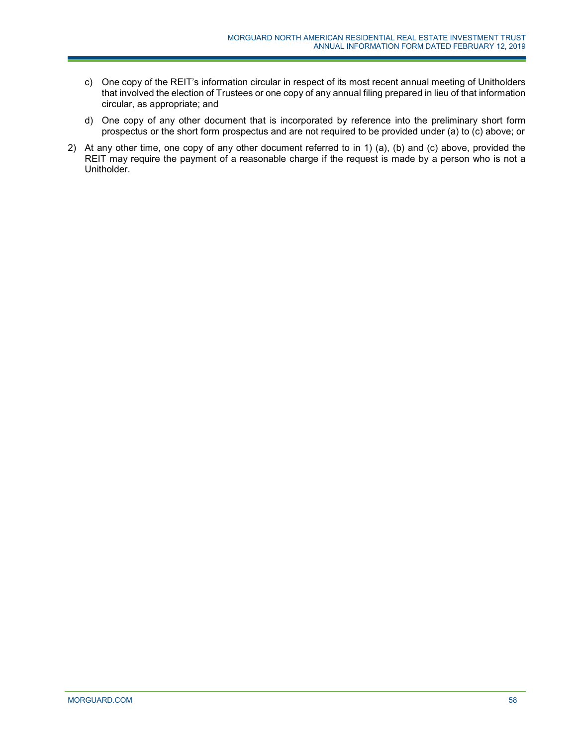- c) One copy of the REIT's information circular in respect of its most recent annual meeting of Unitholders that involved the election of Trustees or one copy of any annual filing prepared in lieu of that information circular, as appropriate; and
- d) One copy of any other document that is incorporated by reference into the preliminary short form prospectus or the short form prospectus and are not required to be provided under (a) to (c) above; or
- 2) At any other time, one copy of any other document referred to in 1) (a), (b) and (c) above, provided the REIT may require the payment of a reasonable charge if the request is made by a person who is not a Unitholder.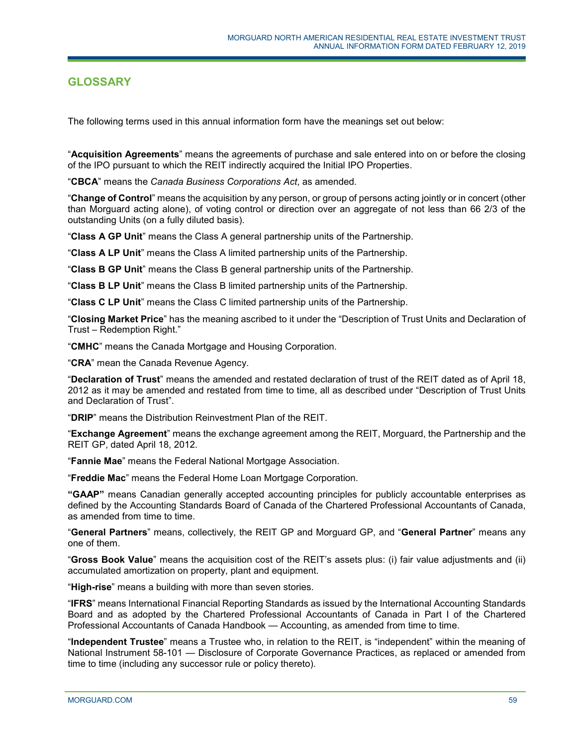# **GLOSSARY**

The following terms used in this annual information form have the meanings set out below:

"**Acquisition Agreements**" means the agreements of purchase and sale entered into on or before the closing of the IPO pursuant to which the REIT indirectly acquired the Initial IPO Properties.

"**CBCA**" means the *Canada Business Corporations Act*, as amended.

"**Change of Control**" means the acquisition by any person, or group of persons acting jointly or in concert (other than Morguard acting alone), of voting control or direction over an aggregate of not less than 66 2/3 of the outstanding Units (on a fully diluted basis).

"**Class A GP Unit**" means the Class A general partnership units of the Partnership.

"**Class A LP Unit**" means the Class A limited partnership units of the Partnership.

"**Class B GP Unit**" means the Class B general partnership units of the Partnership.

"**Class B LP Unit**" means the Class B limited partnership units of the Partnership.

"**Class C LP Unit**" means the Class C limited partnership units of the Partnership.

"**Closing Market Price**" has the meaning ascribed to it under the "Description of Trust Units and Declaration of Trust – Redemption Right."

"**CMHC**" means the Canada Mortgage and Housing Corporation.

"**CRA**" mean the Canada Revenue Agency.

"**Declaration of Trust**" means the amended and restated declaration of trust of the REIT dated as of April 18, 2012 as it may be amended and restated from time to time, all as described under "Description of Trust Units and Declaration of Trust".

"**DRIP**" means the Distribution Reinvestment Plan of the REIT.

"**Exchange Agreement**" means the exchange agreement among the REIT, Morguard, the Partnership and the REIT GP, dated April 18, 2012.

"**Fannie Mae**" means the Federal National Mortgage Association.

"**Freddie Mac**" means the Federal Home Loan Mortgage Corporation.

**"GAAP"** means Canadian generally accepted accounting principles for publicly accountable enterprises as defined by the Accounting Standards Board of Canada of the Chartered Professional Accountants of Canada, as amended from time to time.

"**General Partners**" means, collectively, the REIT GP and Morguard GP, and "**General Partner**" means any one of them.

"**Gross Book Value**" means the acquisition cost of the REIT's assets plus: (i) fair value adjustments and (ii) accumulated amortization on property, plant and equipment.

"**High-rise**" means a building with more than seven stories.

"**IFRS**" means International Financial Reporting Standards as issued by the International Accounting Standards Board and as adopted by the Chartered Professional Accountants of Canada in Part I of the Chartered Professional Accountants of Canada Handbook — Accounting, as amended from time to time.

"**Independent Trustee**" means a Trustee who, in relation to the REIT, is "independent" within the meaning of National Instrument 58-101 — Disclosure of Corporate Governance Practices, as replaced or amended from time to time (including any successor rule or policy thereto).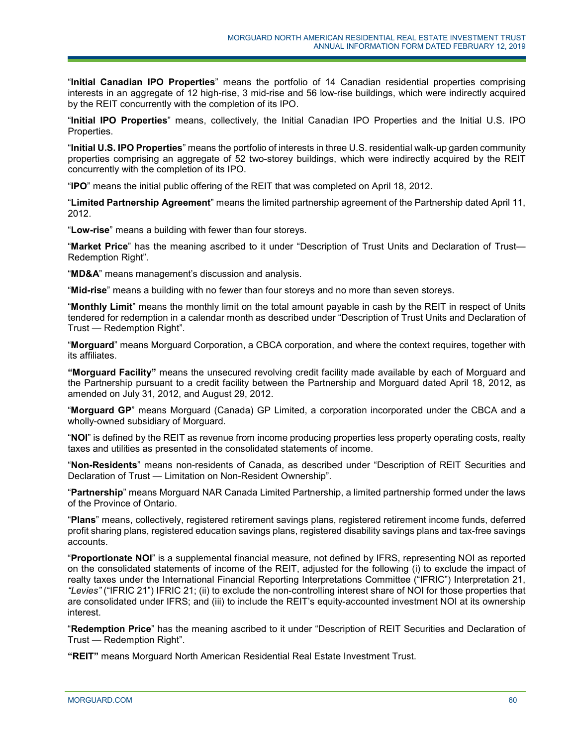"**Initial Canadian IPO Properties**" means the portfolio of 14 Canadian residential properties comprising interests in an aggregate of 12 high-rise, 3 mid-rise and 56 low-rise buildings, which were indirectly acquired by the REIT concurrently with the completion of its IPO.

"**Initial IPO Properties**" means, collectively, the Initial Canadian IPO Properties and the Initial U.S. IPO Properties.

"**Initial U.S. IPO Properties**" means the portfolio of interests in three U.S. residential walk-up garden community properties comprising an aggregate of 52 two-storey buildings, which were indirectly acquired by the REIT concurrently with the completion of its IPO.

"**IPO**" means the initial public offering of the REIT that was completed on April 18, 2012.

"**Limited Partnership Agreement**" means the limited partnership agreement of the Partnership dated April 11, 2012.

"**Low-rise**" means a building with fewer than four storeys.

"**Market Price**" has the meaning ascribed to it under "Description of Trust Units and Declaration of Trust— Redemption Right".

"**MD&A**" means management's discussion and analysis.

"**Mid-rise**" means a building with no fewer than four storeys and no more than seven storeys.

"**Monthly Limit**" means the monthly limit on the total amount payable in cash by the REIT in respect of Units tendered for redemption in a calendar month as described under "Description of Trust Units and Declaration of Trust — Redemption Right".

"**Morguard**" means Morguard Corporation, a CBCA corporation, and where the context requires, together with its affiliates.

**"Morguard Facility"** means the unsecured revolving credit facility made available by each of Morguard and the Partnership pursuant to a credit facility between the Partnership and Morguard dated April 18, 2012, as amended on July 31, 2012, and August 29, 2012.

"**Morguard GP**" means Morguard (Canada) GP Limited, a corporation incorporated under the CBCA and a wholly-owned subsidiary of Morguard.

"**NOI**" is defined by the REIT as revenue from income producing properties less property operating costs, realty taxes and utilities as presented in the consolidated statements of income.

"**Non-Residents**" means non-residents of Canada, as described under "Description of REIT Securities and Declaration of Trust — Limitation on Non-Resident Ownership".

"**Partnership**" means Morguard NAR Canada Limited Partnership, a limited partnership formed under the laws of the Province of Ontario.

"**Plans**" means, collectively, registered retirement savings plans, registered retirement income funds, deferred profit sharing plans, registered education savings plans, registered disability savings plans and tax-free savings accounts.

"**Proportionate NOI**" is a supplemental financial measure, not defined by IFRS, representing NOI as reported on the consolidated statements of income of the REIT, adjusted for the following (i) to exclude the impact of realty taxes under the International Financial Reporting Interpretations Committee ("IFRIC") Interpretation 21, *"Levies"* ("IFRIC 21") IFRIC 21; (ii) to exclude the non-controlling interest share of NOI for those properties that are consolidated under IFRS; and (iii) to include the REIT's equity-accounted investment NOI at its ownership interest.

"**Redemption Price**" has the meaning ascribed to it under "Description of REIT Securities and Declaration of Trust — Redemption Right".

**"REIT"** means Morguard North American Residential Real Estate Investment Trust.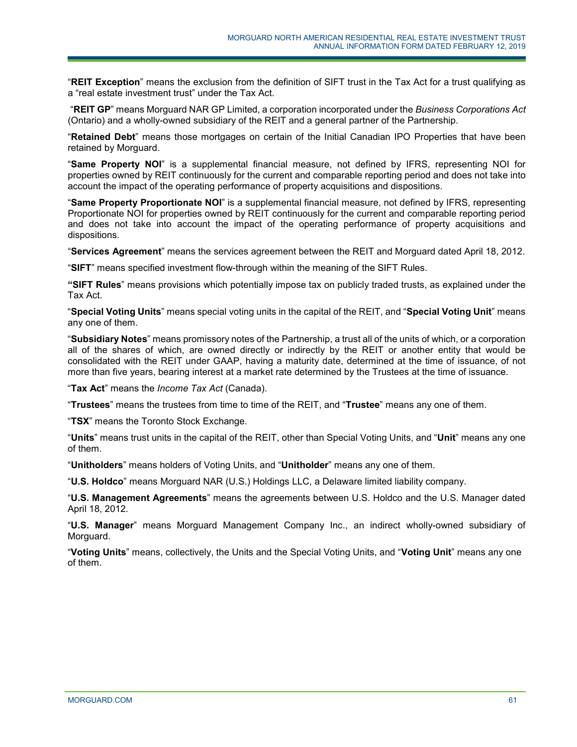"**REIT Exception**" means the exclusion from the definition of SIFT trust in the Tax Act for a trust qualifying as a "real estate investment trust" under the Tax Act.

"**REIT GP**" means Morguard NAR GP Limited, a corporation incorporated under the *Business Corporations Act* (Ontario) and a wholly-owned subsidiary of the REIT and a general partner of the Partnership.

"**Retained Debt**" means those mortgages on certain of the Initial Canadian IPO Properties that have been retained by Morguard.

"**Same Property NOI**" is a supplemental financial measure, not defined by IFRS, representing NOI for properties owned by REIT continuously for the current and comparable reporting period and does not take into account the impact of the operating performance of property acquisitions and dispositions.

"**Same Property Proportionate NOI**" is a supplemental financial measure, not defined by IFRS, representing Proportionate NOI for properties owned by REIT continuously for the current and comparable reporting period and does not take into account the impact of the operating performance of property acquisitions and dispositions.

"**Services Agreement**" means the services agreement between the REIT and Morguard dated April 18, 2012.

"**SIFT**" means specified investment flow-through within the meaning of the SIFT Rules.

**"SIFT Rules**" means provisions which potentially impose tax on publicly traded trusts, as explained under the Tax Act.

"**Special Voting Units**" means special voting units in the capital of the REIT, and "**Special Voting Unit**" means any one of them.

"**Subsidiary Notes**" means promissory notes of the Partnership, a trust all of the units of which, or a corporation all of the shares of which, are owned directly or indirectly by the REIT or another entity that would be consolidated with the REIT under GAAP, having a maturity date, determined at the time of issuance, of not more than five years, bearing interest at a market rate determined by the Trustees at the time of issuance.

"**Tax Act**" means the *Income Tax Act* (Canada).

"**Trustees**" means the trustees from time to time of the REIT, and "**Trustee**" means any one of them.

"**TSX**" means the Toronto Stock Exchange.

"**Units**" means trust units in the capital of the REIT, other than Special Voting Units, and "**Unit**" means any one of them.

"**Unitholders**" means holders of Voting Units, and "**Unitholder**" means any one of them.

"**U.S. Holdco**" means Morguard NAR (U.S.) Holdings LLC, a Delaware limited liability company.

"**U.S. Management Agreements**" means the agreements between U.S. Holdco and the U.S. Manager dated April 18, 2012.

"**U.S. Manager**" means Morguard Management Company Inc., an indirect wholly-owned subsidiary of Morguard.

"**Voting Units**" means, collectively, the Units and the Special Voting Units, and "**Voting Unit**" means any one of them.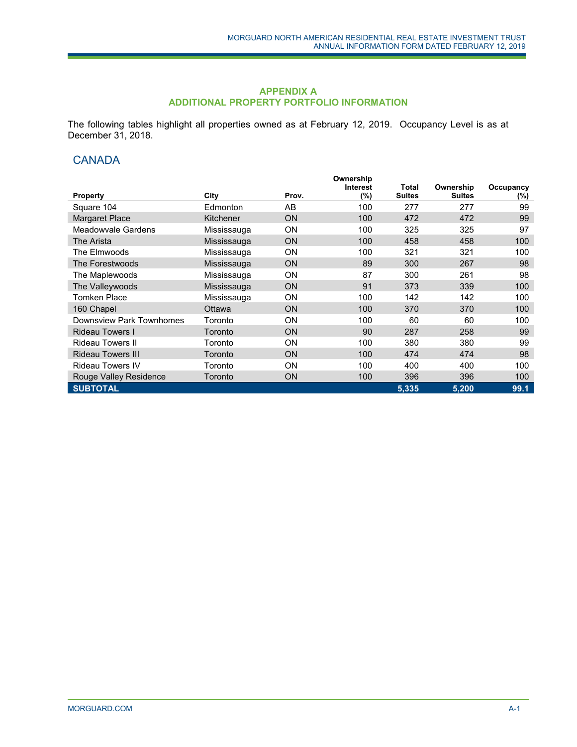## **APPENDIX A ADDITIONAL PROPERTY PORTFOLIO INFORMATION**

The following tables highlight all properties owned as at February 12, 2019. Occupancy Level is as at December 31, 2018.

# **CANADA**

|                          |               |           | Ownership<br>Interest | Total         | Ownership     |                  |
|--------------------------|---------------|-----------|-----------------------|---------------|---------------|------------------|
| <b>Property</b>          | City          | Prov.     | (%)                   | <b>Suites</b> | <b>Suites</b> | Occupancy<br>(%) |
| Square 104               | Edmonton      | AB        | 100                   | 277           | 277           | 99               |
| <b>Margaret Place</b>    | Kitchener     | <b>ON</b> | 100                   | 472           | 472           | 99               |
| Meadowvale Gardens       | Mississauga   | <b>ON</b> | 100                   | 325           | 325           | 97               |
| The Arista               | Mississauga   | <b>ON</b> | 100                   | 458           | 458           | 100              |
| The Elmwoods             | Mississauga   | <b>ON</b> | 100                   | 321           | 321           | 100              |
| The Forestwoods          | Mississauga   | <b>ON</b> | 89                    | 300           | 267           | 98               |
| The Maplewoods           | Mississauga   | <b>ON</b> | 87                    | 300           | 261           | 98               |
| The Valleywoods          | Mississauga   | <b>ON</b> | 91                    | 373           | 339           | 100              |
| <b>Tomken Place</b>      | Mississauga   | <b>ON</b> | 100                   | 142           | 142           | 100              |
| 160 Chapel               | <b>Ottawa</b> | <b>ON</b> | 100                   | 370           | 370           | 100              |
| Downsview Park Townhomes | Toronto       | <b>ON</b> | 100                   | 60            | 60            | 100              |
| <b>Rideau Towers I</b>   | Toronto       | <b>ON</b> | 90                    | 287           | 258           | 99               |
| <b>Rideau Towers II</b>  | Toronto       | <b>ON</b> | 100                   | 380           | 380           | 99               |
| <b>Rideau Towers III</b> | Toronto       | <b>ON</b> | 100                   | 474           | 474           | 98               |
| <b>Rideau Towers IV</b>  | Toronto       | <b>ON</b> | 100                   | 400           | 400           | 100              |
| Rouge Valley Residence   | Toronto       | <b>ON</b> | 100                   | 396           | 396           | 100              |
| <b>SUBTOTAL</b>          |               |           |                       | 5,335         | 5,200         | 99.1             |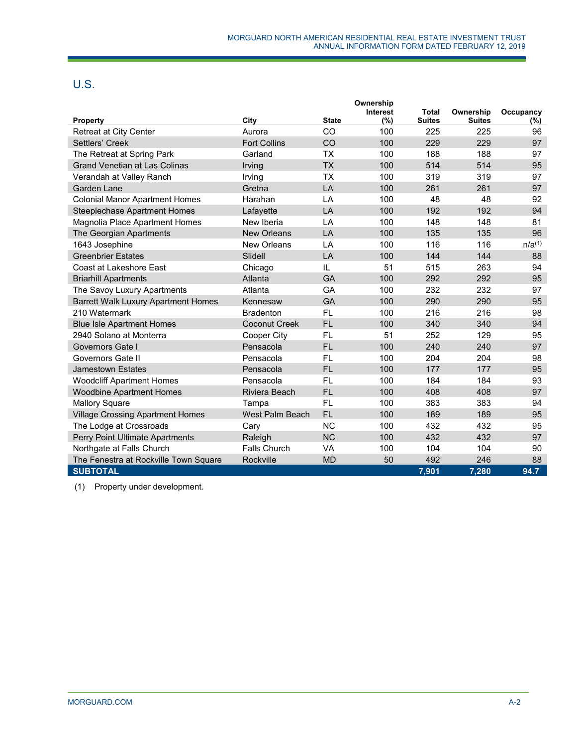# U.S.

|                                            |                     |           | Ownership<br><b>Interest</b> | <b>Total</b>  | Ownership     | Occupancy   |
|--------------------------------------------|---------------------|-----------|------------------------------|---------------|---------------|-------------|
| <b>Property</b>                            | City                | State     | (%)                          | <b>Suites</b> | <b>Suites</b> | $(\% )$     |
| <b>Retreat at City Center</b>              | Aurora              | CO        | 100                          | 225           | 225           | 96          |
| Settlers' Creek                            | <b>Fort Collins</b> | CO        | 100                          | 229           | 229           | 97          |
| The Retreat at Spring Park                 | Garland             | <b>TX</b> | 100                          | 188           | 188           | 97          |
| <b>Grand Venetian at Las Colinas</b>       | Irving              | <b>TX</b> | 100                          | 514           | 514           | 95          |
| Verandah at Valley Ranch                   | Irving              | <b>TX</b> | 100                          | 319           | 319           | 97          |
| Garden Lane                                | Gretna              | LA        | 100                          | 261           | 261           | 97          |
| <b>Colonial Manor Apartment Homes</b>      | Harahan             | LA        | 100                          | 48            | 48            | 92          |
| Steeplechase Apartment Homes               | Lafayette           | LA        | 100                          | 192           | 192           | 94          |
| Magnolia Place Apartment Homes             | New Iberia          | LA        | 100                          | 148           | 148           | 81          |
| The Georgian Apartments                    | <b>New Orleans</b>  | LA        | 100                          | 135           | 135           | 96          |
| 1643 Josephine                             | New Orleans         | LA        | 100                          | 116           | 116           | $n/a^{(1)}$ |
| <b>Greenbrier Estates</b>                  | Slidell             | LA        | 100                          | 144           | 144           | 88          |
| Coast at Lakeshore East                    | Chicago             | IL        | 51                           | 515           | 263           | 94          |
| <b>Briarhill Apartments</b>                | Atlanta             | GA        | 100                          | 292           | 292           | 95          |
| The Savoy Luxury Apartments                | Atlanta             | GA        | 100                          | 232           | 232           | 97          |
| <b>Barrett Walk Luxury Apartment Homes</b> | Kennesaw            | GA        | 100                          | 290           | 290           | 95          |
| 210 Watermark                              | <b>Bradenton</b>    | <b>FL</b> | 100                          | 216           | 216           | 98          |
| <b>Blue Isle Apartment Homes</b>           | Coconut Creek       | <b>FL</b> | 100                          | 340           | 340           | 94          |
| 2940 Solano at Monterra                    | Cooper City         | <b>FL</b> | 51                           | 252           | 129           | 95          |
| Governors Gate I                           | Pensacola           | <b>FL</b> | 100                          | 240           | 240           | 97          |
| Governors Gate II                          | Pensacola           | <b>FL</b> | 100                          | 204           | 204           | 98          |
| Jamestown Estates                          | Pensacola           | <b>FL</b> | 100                          | 177           | 177           | 95          |
| <b>Woodcliff Apartment Homes</b>           | Pensacola           | <b>FL</b> | 100                          | 184           | 184           | 93          |
| <b>Woodbine Apartment Homes</b>            | Riviera Beach       | <b>FL</b> | 100                          | 408           | 408           | 97          |
| <b>Mallory Square</b>                      | Tampa               | <b>FL</b> | 100                          | 383           | 383           | 94          |
| <b>Village Crossing Apartment Homes</b>    | West Palm Beach     | <b>FL</b> | 100                          | 189           | 189           | 95          |
| The Lodge at Crossroads                    | Cary                | <b>NC</b> | 100                          | 432           | 432           | 95          |
| Perry Point Ultimate Apartments            | Raleigh             | <b>NC</b> | 100                          | 432           | 432           | 97          |
| Northgate at Falls Church                  | <b>Falls Church</b> | <b>VA</b> | 100                          | 104           | 104           | 90          |
| The Fenestra at Rockville Town Square      | Rockville           | <b>MD</b> | 50                           | 492           | 246           | 88          |
| <b>SUBTOTAL</b>                            |                     |           |                              | 7,901         | 7,280         | 94.7        |

(1) Property under development.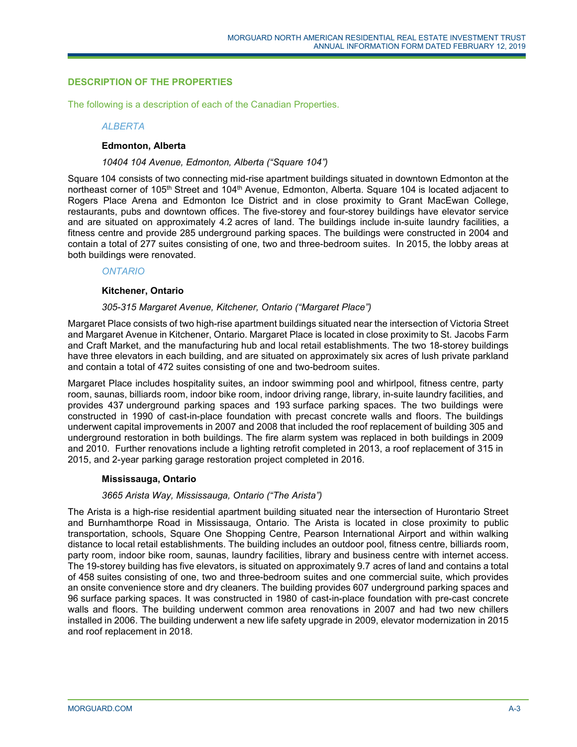# **DESCRIPTION OF THE PROPERTIES**

The following is a description of each of the Canadian Properties.

## *ALBERTA*

## **Edmonton, Alberta**

## *10404 104 Avenue, Edmonton, Alberta ("Square 104")*

Square 104 consists of two connecting mid-rise apartment buildings situated in downtown Edmonton at the northeast corner of 105<sup>th</sup> Street and 104<sup>th</sup> Avenue, Edmonton, Alberta. Square 104 is located adjacent to Rogers Place Arena and Edmonton Ice District and in close proximity to Grant MacEwan College, restaurants, pubs and downtown offices. The five-storey and four-storey buildings have elevator service and are situated on approximately 4.2 acres of land. The buildings include in-suite laundry facilities, a fitness centre and provide 285 underground parking spaces. The buildings were constructed in 2004 and contain a total of 277 suites consisting of one, two and three-bedroom suites. In 2015, the lobby areas at both buildings were renovated.

*ONTARIO*

## **Kitchener, Ontario**

## *305-315 Margaret Avenue, Kitchener, Ontario ("Margaret Place")*

Margaret Place consists of two high-rise apartment buildings situated near the intersection of Victoria Street and Margaret Avenue in Kitchener, Ontario. Margaret Place is located in close proximity to St. Jacobs Farm and Craft Market, and the manufacturing hub and local retail establishments. The two 18-storey buildings have three elevators in each building, and are situated on approximately six acres of lush private parkland and contain a total of 472 suites consisting of one and two-bedroom suites.

Margaret Place includes hospitality suites, an indoor swimming pool and whirlpool, fitness centre, party room, saunas, billiards room, indoor bike room, indoor driving range, library, in-suite laundry facilities, and provides 437 underground parking spaces and 193 surface parking spaces. The two buildings were constructed in 1990 of cast-in-place foundation with precast concrete walls and floors. The buildings underwent capital improvements in 2007 and 2008 that included the roof replacement of building 305 and underground restoration in both buildings. The fire alarm system was replaced in both buildings in 2009 and 2010. Further renovations include a lighting retrofit completed in 2013, a roof replacement of 315 in 2015, and 2-year parking garage restoration project completed in 2016.

# **Mississauga, Ontario**

## *3665 Arista Way, Mississauga, Ontario ("The Arista")*

The Arista is a high-rise residential apartment building situated near the intersection of Hurontario Street and Burnhamthorpe Road in Mississauga, Ontario. The Arista is located in close proximity to public transportation, schools, Square One Shopping Centre, Pearson International Airport and within walking distance to local retail establishments. The building includes an outdoor pool, fitness centre, billiards room, party room, indoor bike room, saunas, laundry facilities, library and business centre with internet access. The 19-storey building has five elevators, is situated on approximately 9.7 acres of land and contains a total of 458 suites consisting of one, two and three-bedroom suites and one commercial suite, which provides an onsite convenience store and dry cleaners. The building provides 607 underground parking spaces and 96 surface parking spaces. It was constructed in 1980 of cast-in-place foundation with pre-cast concrete walls and floors. The building underwent common area renovations in 2007 and had two new chillers installed in 2006. The building underwent a new life safety upgrade in 2009, elevator modernization in 2015 and roof replacement in 2018.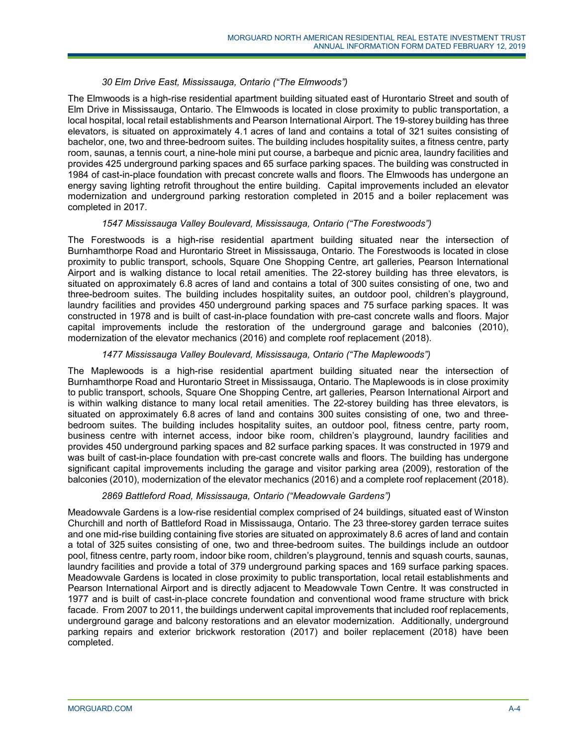# *30 Elm Drive East, Mississauga, Ontario ("The Elmwoods")*

The Elmwoods is a high-rise residential apartment building situated east of Hurontario Street and south of Elm Drive in Mississauga, Ontario. The Elmwoods is located in close proximity to public transportation, a local hospital, local retail establishments and Pearson International Airport. The 19-storey building has three elevators, is situated on approximately 4.1 acres of land and contains a total of 321 suites consisting of bachelor, one, two and three-bedroom suites. The building includes hospitality suites, a fitness centre, party room, saunas, a tennis court, a nine-hole mini put course, a barbeque and picnic area, laundry facilities and provides 425 underground parking spaces and 65 surface parking spaces. The building was constructed in 1984 of cast-in-place foundation with precast concrete walls and floors. The Elmwoods has undergone an energy saving lighting retrofit throughout the entire building. Capital improvements included an elevator modernization and underground parking restoration completed in 2015 and a boiler replacement was completed in 2017.

## *1547 Mississauga Valley Boulevard, Mississauga, Ontario ("The Forestwoods")*

The Forestwoods is a high-rise residential apartment building situated near the intersection of Burnhamthorpe Road and Hurontario Street in Mississauga, Ontario. The Forestwoods is located in close proximity to public transport, schools, Square One Shopping Centre, art galleries, Pearson International Airport and is walking distance to local retail amenities. The 22-storey building has three elevators, is situated on approximately 6.8 acres of land and contains a total of 300 suites consisting of one, two and three-bedroom suites. The building includes hospitality suites, an outdoor pool, children's playground, laundry facilities and provides 450 underground parking spaces and 75 surface parking spaces. It was constructed in 1978 and is built of cast-in-place foundation with pre-cast concrete walls and floors. Major capital improvements include the restoration of the underground garage and balconies (2010), modernization of the elevator mechanics (2016) and complete roof replacement (2018).

# *1477 Mississauga Valley Boulevard, Mississauga, Ontario ("The Maplewoods")*

The Maplewoods is a high-rise residential apartment building situated near the intersection of Burnhamthorpe Road and Hurontario Street in Mississauga, Ontario. The Maplewoods is in close proximity to public transport, schools, Square One Shopping Centre, art galleries, Pearson International Airport and is within walking distance to many local retail amenities. The 22-storey building has three elevators, is situated on approximately 6.8 acres of land and contains 300 suites consisting of one, two and threebedroom suites. The building includes hospitality suites, an outdoor pool, fitness centre, party room, business centre with internet access, indoor bike room, children's playground, laundry facilities and provides 450 underground parking spaces and 82 surface parking spaces. It was constructed in 1979 and was built of cast-in-place foundation with pre-cast concrete walls and floors. The building has undergone significant capital improvements including the garage and visitor parking area (2009), restoration of the balconies (2010), modernization of the elevator mechanics (2016) and a complete roof replacement (2018).

## *2869 Battleford Road, Mississauga, Ontario ("Meadowvale Gardens")*

Meadowvale Gardens is a low-rise residential complex comprised of 24 buildings, situated east of Winston Churchill and north of Battleford Road in Mississauga, Ontario. The 23 three-storey garden terrace suites and one mid-rise building containing five stories are situated on approximately 8.6 acres of land and contain a total of 325 suites consisting of one, two and three-bedroom suites. The buildings include an outdoor pool, fitness centre, party room, indoor bike room, children's playground, tennis and squash courts, saunas, laundry facilities and provide a total of 379 underground parking spaces and 169 surface parking spaces. Meadowvale Gardens is located in close proximity to public transportation, local retail establishments and Pearson International Airport and is directly adjacent to Meadowvale Town Centre. It was constructed in 1977 and is built of cast-in-place concrete foundation and conventional wood frame structure with brick facade. From 2007 to 2011, the buildings underwent capital improvements that included roof replacements, underground garage and balcony restorations and an elevator modernization. Additionally, underground parking repairs and exterior brickwork restoration (2017) and boiler replacement (2018) have been completed.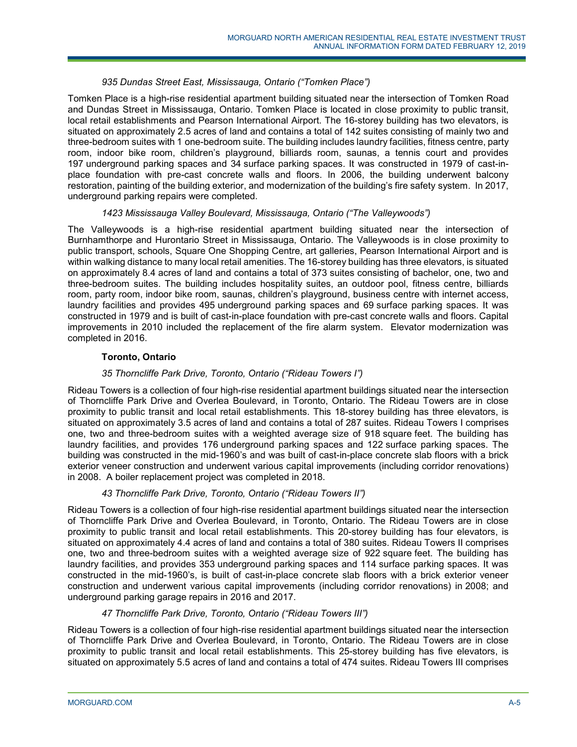# *935 Dundas Street East, Mississauga, Ontario ("Tomken Place")*

Tomken Place is a high-rise residential apartment building situated near the intersection of Tomken Road and Dundas Street in Mississauga, Ontario. Tomken Place is located in close proximity to public transit, local retail establishments and Pearson International Airport. The 16-storey building has two elevators, is situated on approximately 2.5 acres of land and contains a total of 142 suites consisting of mainly two and three-bedroom suites with 1 one-bedroom suite. The building includes laundry facilities, fitness centre, party room, indoor bike room, children's playground, billiards room, saunas, a tennis court and provides 197 underground parking spaces and 34 surface parking spaces. It was constructed in 1979 of cast-inplace foundation with pre-cast concrete walls and floors. In 2006, the building underwent balcony restoration, painting of the building exterior, and modernization of the building's fire safety system. In 2017, underground parking repairs were completed.

# *1423 Mississauga Valley Boulevard, Mississauga, Ontario ("The Valleywoods")*

The Valleywoods is a high-rise residential apartment building situated near the intersection of Burnhamthorpe and Hurontario Street in Mississauga, Ontario. The Valleywoods is in close proximity to public transport, schools, Square One Shopping Centre, art galleries, Pearson International Airport and is within walking distance to many local retail amenities. The 16-storey building has three elevators, is situated on approximately 8.4 acres of land and contains a total of 373 suites consisting of bachelor, one, two and three-bedroom suites. The building includes hospitality suites, an outdoor pool, fitness centre, billiards room, party room, indoor bike room, saunas, children's playground, business centre with internet access, laundry facilities and provides 495 underground parking spaces and 69 surface parking spaces. It was constructed in 1979 and is built of cast-in-place foundation with pre-cast concrete walls and floors. Capital improvements in 2010 included the replacement of the fire alarm system. Elevator modernization was completed in 2016.

# **Toronto, Ontario**

# *35 Thorncliffe Park Drive, Toronto, Ontario ("Rideau Towers I")*

Rideau Towers is a collection of four high-rise residential apartment buildings situated near the intersection of Thorncliffe Park Drive and Overlea Boulevard, in Toronto, Ontario. The Rideau Towers are in close proximity to public transit and local retail establishments. This 18-storey building has three elevators, is situated on approximately 3.5 acres of land and contains a total of 287 suites. Rideau Towers I comprises one, two and three-bedroom suites with a weighted average size of 918 square feet. The building has laundry facilities, and provides 176 underground parking spaces and 122 surface parking spaces. The building was constructed in the mid-1960's and was built of cast-in-place concrete slab floors with a brick exterior veneer construction and underwent various capital improvements (including corridor renovations) in 2008. A boiler replacement project was completed in 2018.

## *43 Thorncliffe Park Drive, Toronto, Ontario ("Rideau Towers II")*

Rideau Towers is a collection of four high-rise residential apartment buildings situated near the intersection of Thorncliffe Park Drive and Overlea Boulevard, in Toronto, Ontario. The Rideau Towers are in close proximity to public transit and local retail establishments. This 20-storey building has four elevators, is situated on approximately 4.4 acres of land and contains a total of 380 suites. Rideau Towers II comprises one, two and three-bedroom suites with a weighted average size of 922 square feet. The building has laundry facilities, and provides 353 underground parking spaces and 114 surface parking spaces. It was constructed in the mid-1960's, is built of cast-in-place concrete slab floors with a brick exterior veneer construction and underwent various capital improvements (including corridor renovations) in 2008; and underground parking garage repairs in 2016 and 2017.

## *47 Thorncliffe Park Drive, Toronto, Ontario ("Rideau Towers III")*

Rideau Towers is a collection of four high-rise residential apartment buildings situated near the intersection of Thorncliffe Park Drive and Overlea Boulevard, in Toronto, Ontario. The Rideau Towers are in close proximity to public transit and local retail establishments. This 25-storey building has five elevators, is situated on approximately 5.5 acres of land and contains a total of 474 suites. Rideau Towers III comprises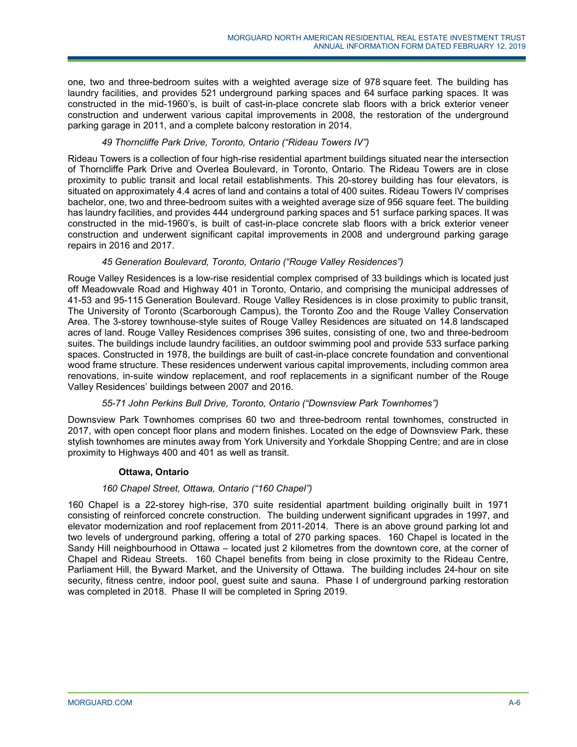one, two and three-bedroom suites with a weighted average size of 978 square feet. The building has laundry facilities, and provides 521 underground parking spaces and 64 surface parking spaces. It was constructed in the mid-1960's, is built of cast-in-place concrete slab floors with a brick exterior veneer construction and underwent various capital improvements in 2008, the restoration of the underground parking garage in 2011, and a complete balcony restoration in 2014.

# *49 Thorncliffe Park Drive, Toronto, Ontario ("Rideau Towers IV")*

Rideau Towers is a collection of four high-rise residential apartment buildings situated near the intersection of Thorncliffe Park Drive and Overlea Boulevard, in Toronto, Ontario. The Rideau Towers are in close proximity to public transit and local retail establishments. This 20-storey building has four elevators, is situated on approximately 4.4 acres of land and contains a total of 400 suites. Rideau Towers IV comprises bachelor, one, two and three-bedroom suites with a weighted average size of 956 square feet. The building has laundry facilities, and provides 444 underground parking spaces and 51 surface parking spaces. It was constructed in the mid-1960's, is built of cast-in-place concrete slab floors with a brick exterior veneer construction and underwent significant capital improvements in 2008 and underground parking garage repairs in 2016 and 2017.

# *45 Generation Boulevard, Toronto, Ontario ("Rouge Valley Residences")*

Rouge Valley Residences is a low-rise residential complex comprised of 33 buildings which is located just off Meadowvale Road and Highway 401 in Toronto, Ontario, and comprising the municipal addresses of 41-53 and 95-115 Generation Boulevard. Rouge Valley Residences is in close proximity to public transit, The University of Toronto (Scarborough Campus), the Toronto Zoo and the Rouge Valley Conservation Area. The 3-storey townhouse-style suites of Rouge Valley Residences are situated on 14.8 landscaped acres of land. Rouge Valley Residences comprises 396 suites, consisting of one, two and three-bedroom suites. The buildings include laundry facilities, an outdoor swimming pool and provide 533 surface parking spaces. Constructed in 1978, the buildings are built of cast-in-place concrete foundation and conventional wood frame structure. These residences underwent various capital improvements, including common area renovations, in-suite window replacement, and roof replacements in a significant number of the Rouge Valley Residences' buildings between 2007 and 2016.

## *55-71 John Perkins Bull Drive, Toronto, Ontario ("Downsview Park Townhomes")*

Downsview Park Townhomes comprises 60 two and three-bedroom rental townhomes, constructed in 2017, with open concept floor plans and modern finishes. Located on the edge of Downsview Park, these stylish townhomes are minutes away from York University and Yorkdale Shopping Centre; and are in close proximity to Highways 400 and 401 as well as transit.

## **Ottawa, Ontario**

## *160 Chapel Street, Ottawa, Ontario ("160 Chapel")*

160 Chapel is a 22-storey high-rise, 370 suite residential apartment building originally built in 1971 consisting of reinforced concrete construction. The building underwent significant upgrades in 1997, and elevator modernization and roof replacement from 2011-2014. There is an above ground parking lot and two levels of underground parking, offering a total of 270 parking spaces. 160 Chapel is located in the Sandy Hill neighbourhood in Ottawa – located just 2 kilometres from the downtown core, at the corner of Chapel and Rideau Streets. 160 Chapel benefits from being in close proximity to the Rideau Centre, Parliament Hill, the Byward Market, and the University of Ottawa. The building includes 24-hour on site security, fitness centre, indoor pool, guest suite and sauna. Phase I of underground parking restoration was completed in 2018. Phase II will be completed in Spring 2019.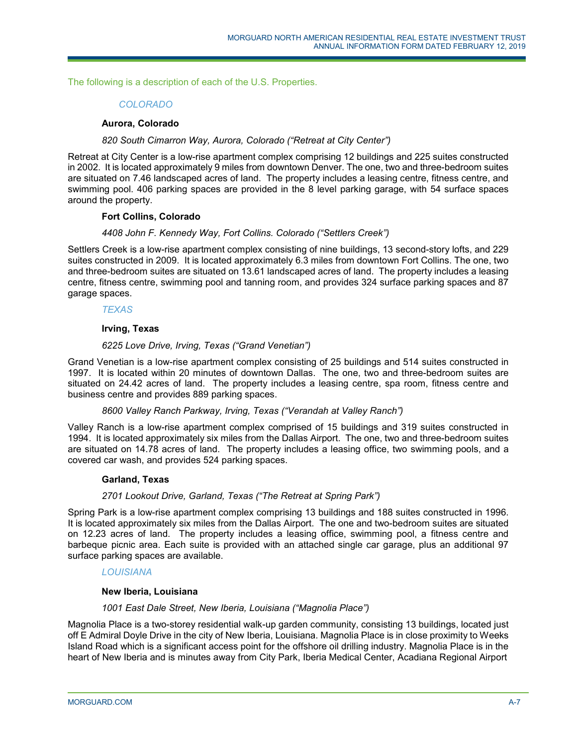The following is a description of each of the U.S. Properties.

# *COLORADO*

## **Aurora, Colorado**

## *820 South Cimarron Way, Aurora, Colorado ("Retreat at City Center")*

Retreat at City Center is a low-rise apartment complex comprising 12 buildings and 225 suites constructed in 2002. It is located approximately 9 miles from downtown Denver. The one, two and three-bedroom suites are situated on 7.46 landscaped acres of land. The property includes a leasing centre, fitness centre, and swimming pool. 406 parking spaces are provided in the 8 level parking garage, with 54 surface spaces around the property.

#### **Fort Collins, Colorado**

## *4408 John F. Kennedy Way, Fort Collins. Colorado ("Settlers Creek")*

Settlers Creek is a low-rise apartment complex consisting of nine buildings, 13 second-story lofts, and 229 suites constructed in 2009. It is located approximately 6.3 miles from downtown Fort Collins. The one, two and three-bedroom suites are situated on 13.61 landscaped acres of land. The property includes a leasing centre, fitness centre, swimming pool and tanning room, and provides 324 surface parking spaces and 87 garage spaces.

## *TEXAS*

## **Irving, Texas**

## *6225 Love Drive, Irving, Texas ("Grand Venetian")*

Grand Venetian is a low-rise apartment complex consisting of 25 buildings and 514 suites constructed in 1997. It is located within 20 minutes of downtown Dallas. The one, two and three-bedroom suites are situated on 24.42 acres of land. The property includes a leasing centre, spa room, fitness centre and business centre and provides 889 parking spaces.

#### *8600 Valley Ranch Parkway, Irving, Texas ("Verandah at Valley Ranch")*

Valley Ranch is a low-rise apartment complex comprised of 15 buildings and 319 suites constructed in 1994. It is located approximately six miles from the Dallas Airport. The one, two and three-bedroom suites are situated on 14.78 acres of land. The property includes a leasing office, two swimming pools, and a covered car wash, and provides 524 parking spaces.

#### **Garland, Texas**

## *2701 Lookout Drive, Garland, Texas ("The Retreat at Spring Park")*

Spring Park is a low-rise apartment complex comprising 13 buildings and 188 suites constructed in 1996. It is located approximately six miles from the Dallas Airport. The one and two-bedroom suites are situated on 12.23 acres of land. The property includes a leasing office, swimming pool, a fitness centre and barbeque picnic area. Each suite is provided with an attached single car garage, plus an additional 97 surface parking spaces are available.

## *LOUISIANA*

## **New Iberia, Louisiana**

#### *1001 East Dale Street, New Iberia, Louisiana ("Magnolia Place")*

Magnolia Place is a two-storey residential walk-up garden community, consisting 13 buildings, located just off E Admiral Doyle Drive in the city of New Iberia, Louisiana. Magnolia Place is in close proximity to Weeks Island Road which is a significant access point for the offshore oil drilling industry. Magnolia Place is in the heart of New Iberia and is minutes away from City Park, Iberia Medical Center, Acadiana Regional Airport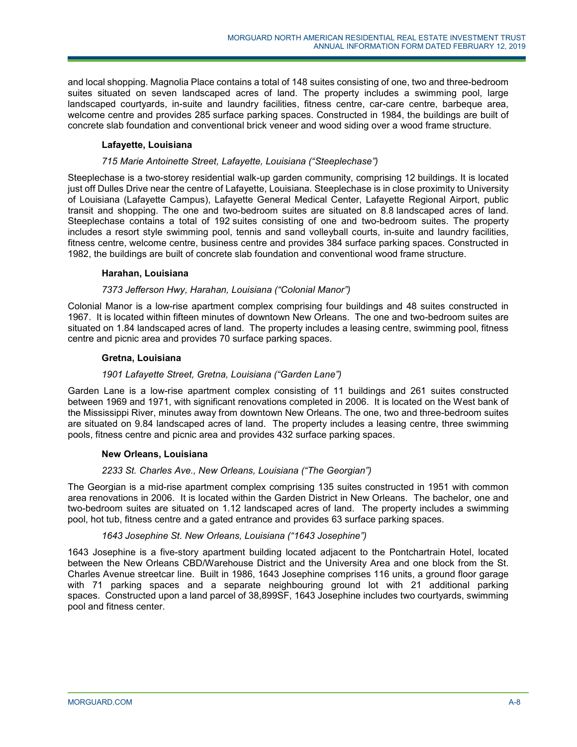and local shopping. Magnolia Place contains a total of 148 suites consisting of one, two and three-bedroom suites situated on seven landscaped acres of land. The property includes a swimming pool, large landscaped courtyards, in-suite and laundry facilities, fitness centre, car-care centre, barbeque area, welcome centre and provides 285 surface parking spaces. Constructed in 1984, the buildings are built of concrete slab foundation and conventional brick veneer and wood siding over a wood frame structure.

# **Lafayette, Louisiana**

## *715 Marie Antoinette Street, Lafayette, Louisiana ("Steeplechase")*

Steeplechase is a two-storey residential walk-up garden community, comprising 12 buildings. It is located just off Dulles Drive near the centre of Lafayette, Louisiana. Steeplechase is in close proximity to University of Louisiana (Lafayette Campus), Lafayette General Medical Center, Lafayette Regional Airport, public transit and shopping. The one and two-bedroom suites are situated on 8.8 landscaped acres of land. Steeplechase contains a total of 192 suites consisting of one and two-bedroom suites. The property includes a resort style swimming pool, tennis and sand volleyball courts, in-suite and laundry facilities, fitness centre, welcome centre, business centre and provides 384 surface parking spaces. Constructed in 1982, the buildings are built of concrete slab foundation and conventional wood frame structure.

## **Harahan, Louisiana**

# *7373 Jefferson Hwy, Harahan, Louisiana ("Colonial Manor")*

Colonial Manor is a low-rise apartment complex comprising four buildings and 48 suites constructed in 1967. It is located within fifteen minutes of downtown New Orleans. The one and two-bedroom suites are situated on 1.84 landscaped acres of land. The property includes a leasing centre, swimming pool, fitness centre and picnic area and provides 70 surface parking spaces.

## **Gretna, Louisiana**

# *1901 Lafayette Street, Gretna, Louisiana ("Garden Lane")*

Garden Lane is a low-rise apartment complex consisting of 11 buildings and 261 suites constructed between 1969 and 1971, with significant renovations completed in 2006. It is located on the West bank of the Mississippi River, minutes away from downtown New Orleans. The one, two and three-bedroom suites are situated on 9.84 landscaped acres of land. The property includes a leasing centre, three swimming pools, fitness centre and picnic area and provides 432 surface parking spaces.

## **New Orleans, Louisiana**

## *2233 St. Charles Ave., New Orleans, Louisiana ("The Georgian")*

The Georgian is a mid-rise apartment complex comprising 135 suites constructed in 1951 with common area renovations in 2006. It is located within the Garden District in New Orleans. The bachelor, one and two-bedroom suites are situated on 1.12 landscaped acres of land. The property includes a swimming pool, hot tub, fitness centre and a gated entrance and provides 63 surface parking spaces.

## *1643 Josephine St. New Orleans, Louisiana ("1643 Josephine")*

1643 Josephine is a five-story apartment building located adjacent to the Pontchartrain Hotel, located between the New Orleans CBD/Warehouse District and the University Area and one block from the St. Charles Avenue streetcar line. Built in 1986, 1643 Josephine comprises 116 units, a ground floor garage with 71 parking spaces and a separate neighbouring ground lot with 21 additional parking spaces. Constructed upon a land parcel of 38,899SF, 1643 Josephine includes two courtyards, swimming pool and fitness center.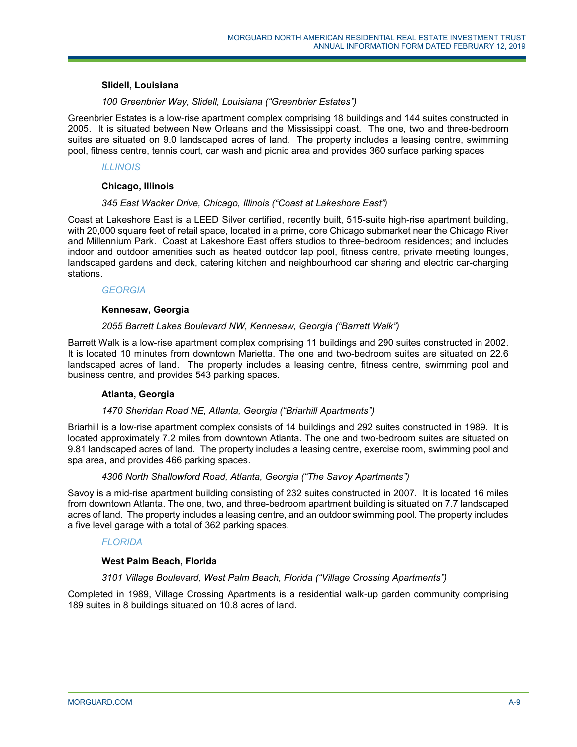## **Slidell, Louisiana**

## *100 Greenbrier Way, Slidell, Louisiana ("Greenbrier Estates")*

Greenbrier Estates is a low-rise apartment complex comprising 18 buildings and 144 suites constructed in 2005. It is situated between New Orleans and the Mississippi coast. The one, two and three-bedroom suites are situated on 9.0 landscaped acres of land. The property includes a leasing centre, swimming pool, fitness centre, tennis court, car wash and picnic area and provides 360 surface parking spaces

## *ILLINOIS*

### **Chicago, Illinois**

## *345 East Wacker Drive, Chicago, Illinois ("Coast at Lakeshore East")*

Coast at Lakeshore East is a LEED Silver certified, recently built, 515-suite high-rise apartment building, with 20,000 square feet of retail space, located in a prime, core Chicago submarket near the Chicago River and Millennium Park. Coast at Lakeshore East offers studios to three-bedroom residences; and includes indoor and outdoor amenities such as heated outdoor lap pool, fitness centre, private meeting lounges, landscaped gardens and deck, catering kitchen and neighbourhood car sharing and electric car-charging stations.

## *GEORGIA*

## **Kennesaw, Georgia**

## *2055 Barrett Lakes Boulevard NW, Kennesaw, Georgia ("Barrett Walk")*

Barrett Walk is a low-rise apartment complex comprising 11 buildings and 290 suites constructed in 2002. It is located 10 minutes from downtown Marietta. The one and two-bedroom suites are situated on 22.6 landscaped acres of land. The property includes a leasing centre, fitness centre, swimming pool and business centre, and provides 543 parking spaces.

## **Atlanta, Georgia**

# *1470 Sheridan Road NE, Atlanta, Georgia ("Briarhill Apartments")*

Briarhill is a low-rise apartment complex consists of 14 buildings and 292 suites constructed in 1989. It is located approximately 7.2 miles from downtown Atlanta. The one and two-bedroom suites are situated on 9.81 landscaped acres of land. The property includes a leasing centre, exercise room, swimming pool and spa area, and provides 466 parking spaces.

# *4306 North Shallowford Road, Atlanta, Georgia ("The Savoy Apartments")*

Savoy is a mid-rise apartment building consisting of 232 suites constructed in 2007. It is located 16 miles from downtown Atlanta. The one, two, and three-bedroom apartment building is situated on 7.7 landscaped acres of land. The property includes a leasing centre, and an outdoor swimming pool. The property includes a five level garage with a total of 362 parking spaces.

## *FLORIDA*

## **West Palm Beach, Florida**

## *3101 Village Boulevard, West Palm Beach, Florida ("Village Crossing Apartments")*

Completed in 1989, Village Crossing Apartments is a residential walk-up garden community comprising 189 suites in 8 buildings situated on 10.8 acres of land.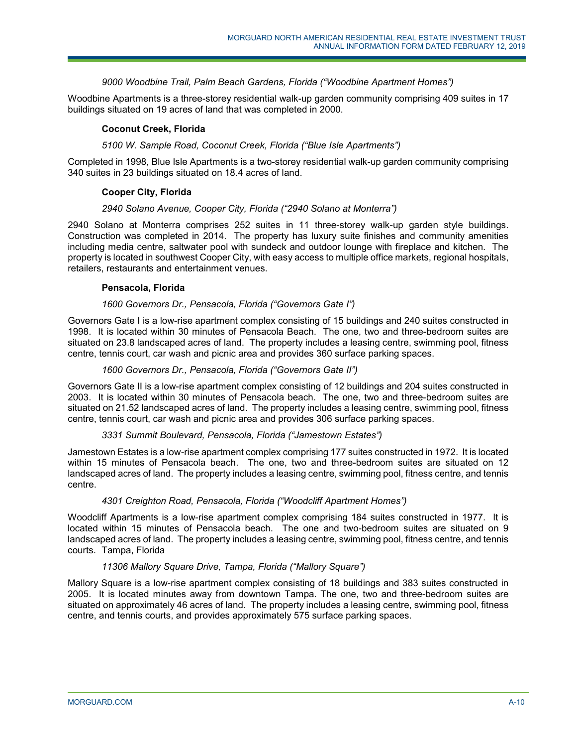## *9000 Woodbine Trail, Palm Beach Gardens, Florida ("Woodbine Apartment Homes")*

Woodbine Apartments is a three-storey residential walk-up garden community comprising 409 suites in 17 buildings situated on 19 acres of land that was completed in 2000.

## **Coconut Creek, Florida**

## *5100 W. Sample Road, Coconut Creek, Florida ("Blue Isle Apartments")*

Completed in 1998, Blue Isle Apartments is a two-storey residential walk-up garden community comprising 340 suites in 23 buildings situated on 18.4 acres of land.

## **Cooper City, Florida**

#### *2940 Solano Avenue, Cooper City, Florida ("2940 Solano at Monterra")*

2940 Solano at Monterra comprises 252 suites in 11 three-storey walk-up garden style buildings. Construction was completed in 2014. The property has luxury suite finishes and community amenities including media centre, saltwater pool with sundeck and outdoor lounge with fireplace and kitchen. The property is located in southwest Cooper City, with easy access to multiple office markets, regional hospitals, retailers, restaurants and entertainment venues.

## **Pensacola, Florida**

#### *1600 Governors Dr., Pensacola, Florida ("Governors Gate I")*

Governors Gate I is a low-rise apartment complex consisting of 15 buildings and 240 suites constructed in 1998. It is located within 30 minutes of Pensacola Beach. The one, two and three-bedroom suites are situated on 23.8 landscaped acres of land. The property includes a leasing centre, swimming pool, fitness centre, tennis court, car wash and picnic area and provides 360 surface parking spaces.

## *1600 Governors Dr., Pensacola, Florida ("Governors Gate II")*

Governors Gate II is a low-rise apartment complex consisting of 12 buildings and 204 suites constructed in 2003. It is located within 30 minutes of Pensacola beach. The one, two and three-bedroom suites are situated on 21.52 landscaped acres of land. The property includes a leasing centre, swimming pool, fitness centre, tennis court, car wash and picnic area and provides 306 surface parking spaces.

### *3331 Summit Boulevard, Pensacola, Florida ("Jamestown Estates")*

Jamestown Estates is a low-rise apartment complex comprising 177 suites constructed in 1972. It is located within 15 minutes of Pensacola beach. The one, two and three-bedroom suites are situated on 12 landscaped acres of land. The property includes a leasing centre, swimming pool, fitness centre, and tennis centre.

## *4301 Creighton Road, Pensacola, Florida ("Woodcliff Apartment Homes")*

Woodcliff Apartments is a low-rise apartment complex comprising 184 suites constructed in 1977. It is located within 15 minutes of Pensacola beach. The one and two-bedroom suites are situated on 9 landscaped acres of land. The property includes a leasing centre, swimming pool, fitness centre, and tennis courts. Tampa, Florida

#### *11306 Mallory Square Drive, Tampa, Florida ("Mallory Square")*

Mallory Square is a low-rise apartment complex consisting of 18 buildings and 383 suites constructed in 2005. It is located minutes away from downtown Tampa. The one, two and three-bedroom suites are situated on approximately 46 acres of land. The property includes a leasing centre, swimming pool, fitness centre, and tennis courts, and provides approximately 575 surface parking spaces.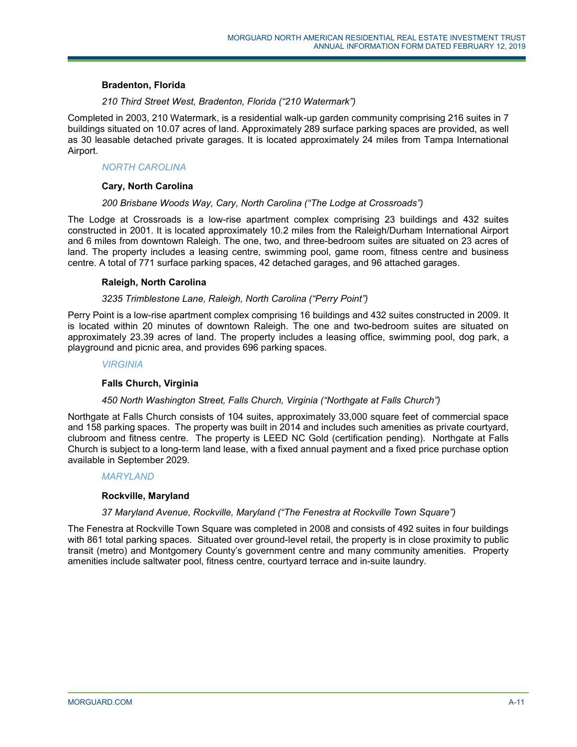## **Bradenton, Florida**

## *210 Third Street West, Bradenton, Florida ("210 Watermark")*

Completed in 2003, 210 Watermark, is a residential walk-up garden community comprising 216 suites in 7 buildings situated on 10.07 acres of land. Approximately 289 surface parking spaces are provided, as well as 30 leasable detached private garages. It is located approximately 24 miles from Tampa International Airport.

## *NORTH CAROLINA*

## **Cary, North Carolina**

## *200 Brisbane Woods Way, Cary, North Carolina ("The Lodge at Crossroads")*

The Lodge at Crossroads is a low-rise apartment complex comprising 23 buildings and 432 suites constructed in 2001. It is located approximately 10.2 miles from the Raleigh/Durham International Airport and 6 miles from downtown Raleigh. The one, two, and three-bedroom suites are situated on 23 acres of land. The property includes a leasing centre, swimming pool, game room, fitness centre and business centre. A total of 771 surface parking spaces, 42 detached garages, and 96 attached garages.

## **Raleigh, North Carolina**

## *3235 Trimblestone Lane, Raleigh, North Carolina ("Perry Point")*

Perry Point is a low-rise apartment complex comprising 16 buildings and 432 suites constructed in 2009. It is located within 20 minutes of downtown Raleigh. The one and two-bedroom suites are situated on approximately 23.39 acres of land. The property includes a leasing office, swimming pool, dog park, a playground and picnic area, and provides 696 parking spaces.

#### *VIRGINIA*

## **Falls Church, Virginia**

#### *450 North Washington Street, Falls Church, Virginia ("Northgate at Falls Church")*

Northgate at Falls Church consists of 104 suites, approximately 33,000 square feet of commercial space and 158 parking spaces. The property was built in 2014 and includes such amenities as private courtyard, clubroom and fitness centre. The property is LEED NC Gold (certification pending). Northgate at Falls Church is subject to a long-term land lease, with a fixed annual payment and a fixed price purchase option available in September 2029.

#### *MARYLAND*

#### **Rockville, Maryland**

#### *37 Maryland Avenue, Rockville, Maryland ("The Fenestra at Rockville Town Square")*

The Fenestra at Rockville Town Square was completed in 2008 and consists of 492 suites in four buildings with 861 total parking spaces. Situated over ground-level retail, the property is in close proximity to public transit (metro) and Montgomery County's government centre and many community amenities. Property amenities include saltwater pool, fitness centre, courtyard terrace and in-suite laundry.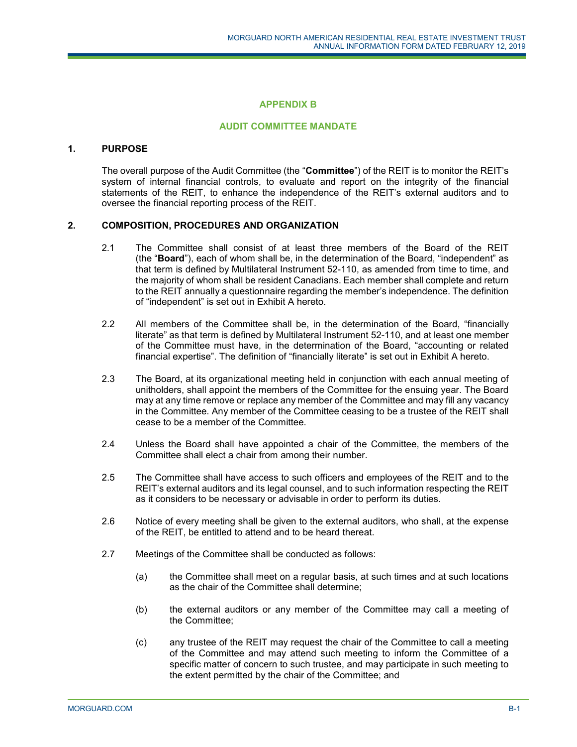## **APPENDIX B**

### **AUDIT COMMITTEE MANDATE**

### **1. PURPOSE**

The overall purpose of the Audit Committee (the "**Committee**") of the REIT is to monitor the REIT's system of internal financial controls, to evaluate and report on the integrity of the financial statements of the REIT, to enhance the independence of the REIT's external auditors and to oversee the financial reporting process of the REIT.

### **2. COMPOSITION, PROCEDURES AND ORGANIZATION**

- 2.1 The Committee shall consist of at least three members of the Board of the REIT (the "**Board**"), each of whom shall be, in the determination of the Board, "independent" as that term is defined by Multilateral Instrument 52-110, as amended from time to time, and the majority of whom shall be resident Canadians. Each member shall complete and return to the REIT annually a questionnaire regarding the member's independence. The definition of "independent" is set out in Exhibit A hereto.
- 2.2 All members of the Committee shall be, in the determination of the Board, "financially literate" as that term is defined by Multilateral Instrument 52-110, and at least one member of the Committee must have, in the determination of the Board, "accounting or related financial expertise". The definition of "financially literate" is set out in Exhibit A hereto.
- 2.3 The Board, at its organizational meeting held in conjunction with each annual meeting of unitholders, shall appoint the members of the Committee for the ensuing year. The Board may at any time remove or replace any member of the Committee and may fill any vacancy in the Committee. Any member of the Committee ceasing to be a trustee of the REIT shall cease to be a member of the Committee.
- 2.4 Unless the Board shall have appointed a chair of the Committee, the members of the Committee shall elect a chair from among their number.
- 2.5 The Committee shall have access to such officers and employees of the REIT and to the REIT's external auditors and its legal counsel, and to such information respecting the REIT as it considers to be necessary or advisable in order to perform its duties.
- 2.6 Notice of every meeting shall be given to the external auditors, who shall, at the expense of the REIT, be entitled to attend and to be heard thereat.
- 2.7 Meetings of the Committee shall be conducted as follows:
	- (a) the Committee shall meet on a regular basis, at such times and at such locations as the chair of the Committee shall determine;
	- (b) the external auditors or any member of the Committee may call a meeting of the Committee;
	- (c) any trustee of the REIT may request the chair of the Committee to call a meeting of the Committee and may attend such meeting to inform the Committee of a specific matter of concern to such trustee, and may participate in such meeting to the extent permitted by the chair of the Committee; and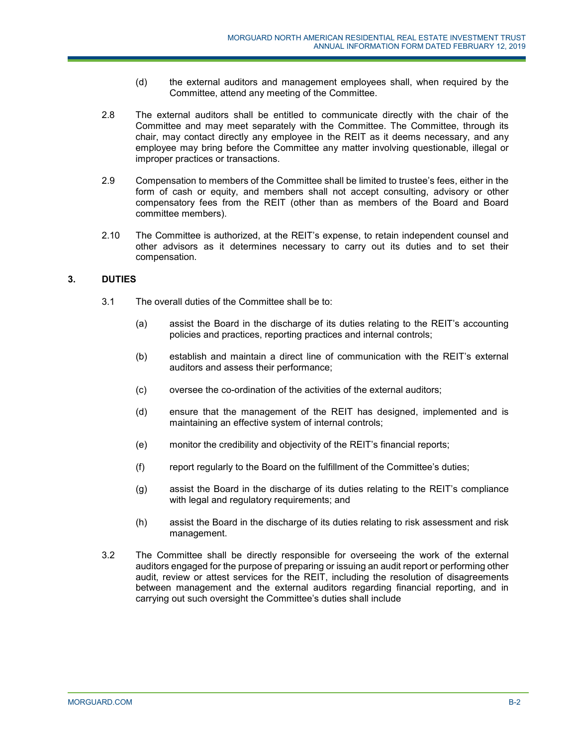- (d) the external auditors and management employees shall, when required by the Committee, attend any meeting of the Committee.
- 2.8 The external auditors shall be entitled to communicate directly with the chair of the Committee and may meet separately with the Committee. The Committee, through its chair, may contact directly any employee in the REIT as it deems necessary, and any employee may bring before the Committee any matter involving questionable, illegal or improper practices or transactions.
- 2.9 Compensation to members of the Committee shall be limited to trustee's fees, either in the form of cash or equity, and members shall not accept consulting, advisory or other compensatory fees from the REIT (other than as members of the Board and Board committee members).
- 2.10 The Committee is authorized, at the REIT's expense, to retain independent counsel and other advisors as it determines necessary to carry out its duties and to set their compensation.

# **3. DUTIES**

- 3.1 The overall duties of the Committee shall be to:
	- (a) assist the Board in the discharge of its duties relating to the REIT's accounting policies and practices, reporting practices and internal controls;
	- (b) establish and maintain a direct line of communication with the REIT's external auditors and assess their performance;
	- (c) oversee the co-ordination of the activities of the external auditors;
	- (d) ensure that the management of the REIT has designed, implemented and is maintaining an effective system of internal controls;
	- (e) monitor the credibility and objectivity of the REIT's financial reports;
	- (f) report regularly to the Board on the fulfillment of the Committee's duties;
	- (g) assist the Board in the discharge of its duties relating to the REIT's compliance with legal and regulatory requirements; and
	- (h) assist the Board in the discharge of its duties relating to risk assessment and risk management.
- 3.2 The Committee shall be directly responsible for overseeing the work of the external auditors engaged for the purpose of preparing or issuing an audit report or performing other audit, review or attest services for the REIT, including the resolution of disagreements between management and the external auditors regarding financial reporting, and in carrying out such oversight the Committee's duties shall include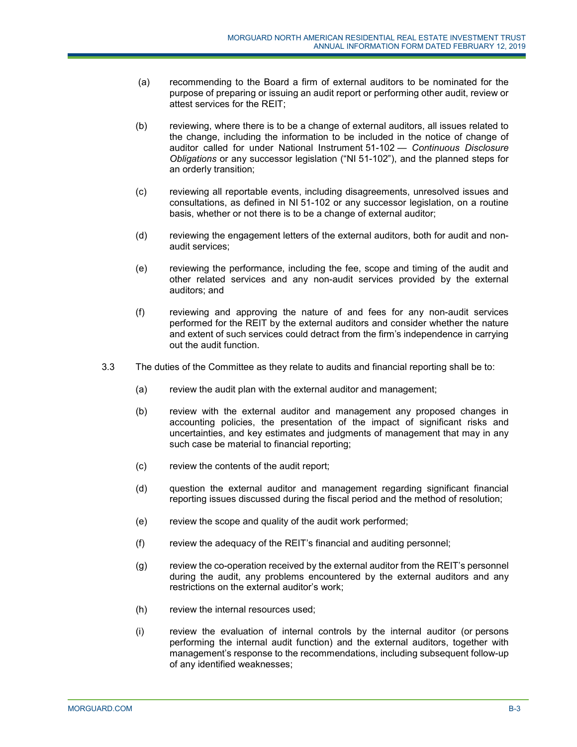- (a) recommending to the Board a firm of external auditors to be nominated for the purpose of preparing or issuing an audit report or performing other audit, review or attest services for the REIT;
- (b) reviewing, where there is to be a change of external auditors, all issues related to the change, including the information to be included in the notice of change of auditor called for under National Instrument 51-102 — *Continuous Disclosure Obligations* or any successor legislation ("NI 51-102"), and the planned steps for an orderly transition;
- (c) reviewing all reportable events, including disagreements, unresolved issues and consultations, as defined in NI 51-102 or any successor legislation, on a routine basis, whether or not there is to be a change of external auditor;
- (d) reviewing the engagement letters of the external auditors, both for audit and nonaudit services;
- (e) reviewing the performance, including the fee, scope and timing of the audit and other related services and any non-audit services provided by the external auditors; and
- (f) reviewing and approving the nature of and fees for any non-audit services performed for the REIT by the external auditors and consider whether the nature and extent of such services could detract from the firm's independence in carrying out the audit function.
- 3.3 The duties of the Committee as they relate to audits and financial reporting shall be to:
	- (a) review the audit plan with the external auditor and management;
	- (b) review with the external auditor and management any proposed changes in accounting policies, the presentation of the impact of significant risks and uncertainties, and key estimates and judgments of management that may in any such case be material to financial reporting;
	- (c) review the contents of the audit report;
	- (d) question the external auditor and management regarding significant financial reporting issues discussed during the fiscal period and the method of resolution;
	- (e) review the scope and quality of the audit work performed;
	- (f) review the adequacy of the REIT's financial and auditing personnel;
	- (g) review the co-operation received by the external auditor from the REIT's personnel during the audit, any problems encountered by the external auditors and any restrictions on the external auditor's work;
	- (h) review the internal resources used;
	- (i) review the evaluation of internal controls by the internal auditor (or persons performing the internal audit function) and the external auditors, together with management's response to the recommendations, including subsequent follow-up of any identified weaknesses;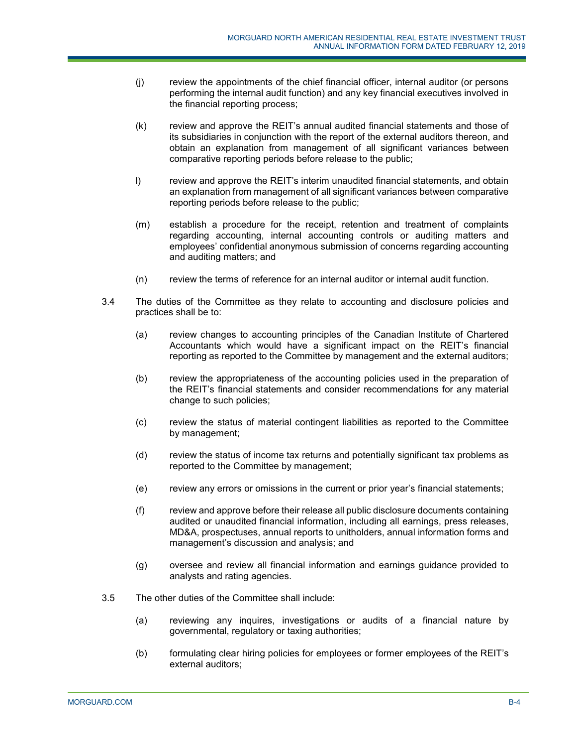- (j) review the appointments of the chief financial officer, internal auditor (or persons performing the internal audit function) and any key financial executives involved in the financial reporting process;
- (k) review and approve the REIT's annual audited financial statements and those of its subsidiaries in conjunction with the report of the external auditors thereon, and obtain an explanation from management of all significant variances between comparative reporting periods before release to the public;
- l) review and approve the REIT's interim unaudited financial statements, and obtain an explanation from management of all significant variances between comparative reporting periods before release to the public;
- (m) establish a procedure for the receipt, retention and treatment of complaints regarding accounting, internal accounting controls or auditing matters and employees' confidential anonymous submission of concerns regarding accounting and auditing matters; and
- (n) review the terms of reference for an internal auditor or internal audit function.
- 3.4 The duties of the Committee as they relate to accounting and disclosure policies and practices shall be to:
	- (a) review changes to accounting principles of the Canadian Institute of Chartered Accountants which would have a significant impact on the REIT's financial reporting as reported to the Committee by management and the external auditors;
	- (b) review the appropriateness of the accounting policies used in the preparation of the REIT's financial statements and consider recommendations for any material change to such policies;
	- (c) review the status of material contingent liabilities as reported to the Committee by management;
	- (d) review the status of income tax returns and potentially significant tax problems as reported to the Committee by management;
	- (e) review any errors or omissions in the current or prior year's financial statements;
	- (f) review and approve before their release all public disclosure documents containing audited or unaudited financial information, including all earnings, press releases, MD&A, prospectuses, annual reports to unitholders, annual information forms and management's discussion and analysis; and
	- (g) oversee and review all financial information and earnings guidance provided to analysts and rating agencies.
- 3.5 The other duties of the Committee shall include:
	- (a) reviewing any inquires, investigations or audits of a financial nature by governmental, regulatory or taxing authorities;
	- (b) formulating clear hiring policies for employees or former employees of the REIT's external auditors;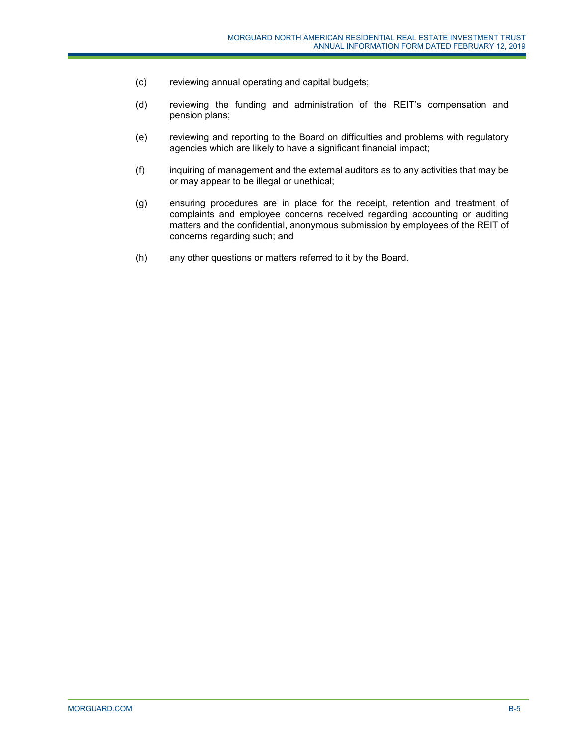- (c) reviewing annual operating and capital budgets;
- (d) reviewing the funding and administration of the REIT's compensation and pension plans;
- (e) reviewing and reporting to the Board on difficulties and problems with regulatory agencies which are likely to have a significant financial impact;
- (f) inquiring of management and the external auditors as to any activities that may be or may appear to be illegal or unethical;
- (g) ensuring procedures are in place for the receipt, retention and treatment of complaints and employee concerns received regarding accounting or auditing matters and the confidential, anonymous submission by employees of the REIT of concerns regarding such; and
- (h) any other questions or matters referred to it by the Board.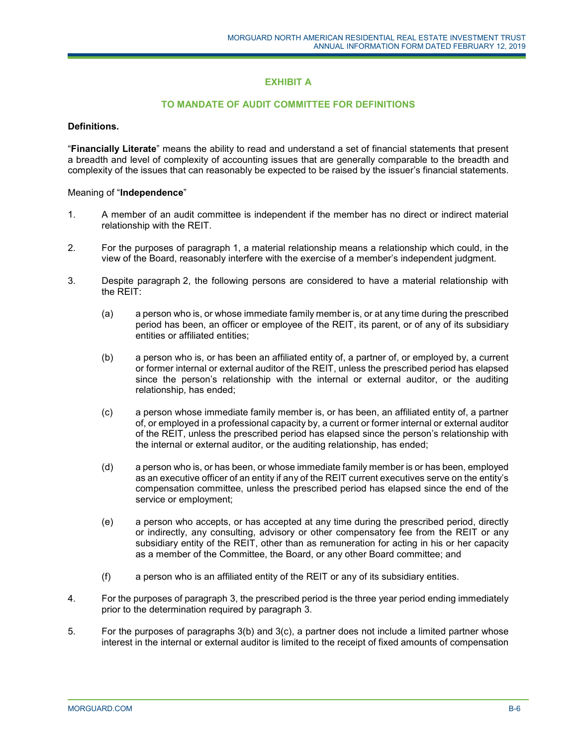# **EXHIBIT A**

## **TO MANDATE OF AUDIT COMMITTEE FOR DEFINITIONS**

### **Definitions.**

"**Financially Literate**" means the ability to read and understand a set of financial statements that present a breadth and level of complexity of accounting issues that are generally comparable to the breadth and complexity of the issues that can reasonably be expected to be raised by the issuer's financial statements.

#### Meaning of "**Independence**"

- 1. A member of an audit committee is independent if the member has no direct or indirect material relationship with the REIT.
- 2. For the purposes of paragraph 1, a material relationship means a relationship which could, in the view of the Board, reasonably interfere with the exercise of a member's independent judgment.
- 3. Despite paragraph 2, the following persons are considered to have a material relationship with the REIT:
	- (a) a person who is, or whose immediate family member is, or at any time during the prescribed period has been, an officer or employee of the REIT, its parent, or of any of its subsidiary entities or affiliated entities;
	- (b) a person who is, or has been an affiliated entity of, a partner of, or employed by, a current or former internal or external auditor of the REIT, unless the prescribed period has elapsed since the person's relationship with the internal or external auditor, or the auditing relationship, has ended;
	- (c) a person whose immediate family member is, or has been, an affiliated entity of, a partner of, or employed in a professional capacity by, a current or former internal or external auditor of the REIT, unless the prescribed period has elapsed since the person's relationship with the internal or external auditor, or the auditing relationship, has ended;
	- (d) a person who is, or has been, or whose immediate family member is or has been, employed as an executive officer of an entity if any of the REIT current executives serve on the entity's compensation committee, unless the prescribed period has elapsed since the end of the service or employment;
	- (e) a person who accepts, or has accepted at any time during the prescribed period, directly or indirectly, any consulting, advisory or other compensatory fee from the REIT or any subsidiary entity of the REIT, other than as remuneration for acting in his or her capacity as a member of the Committee, the Board, or any other Board committee; and
	- (f) a person who is an affiliated entity of the REIT or any of its subsidiary entities.
- 4. For the purposes of paragraph 3, the prescribed period is the three year period ending immediately prior to the determination required by paragraph 3.
- 5. For the purposes of paragraphs 3(b) and 3(c), a partner does not include a limited partner whose interest in the internal or external auditor is limited to the receipt of fixed amounts of compensation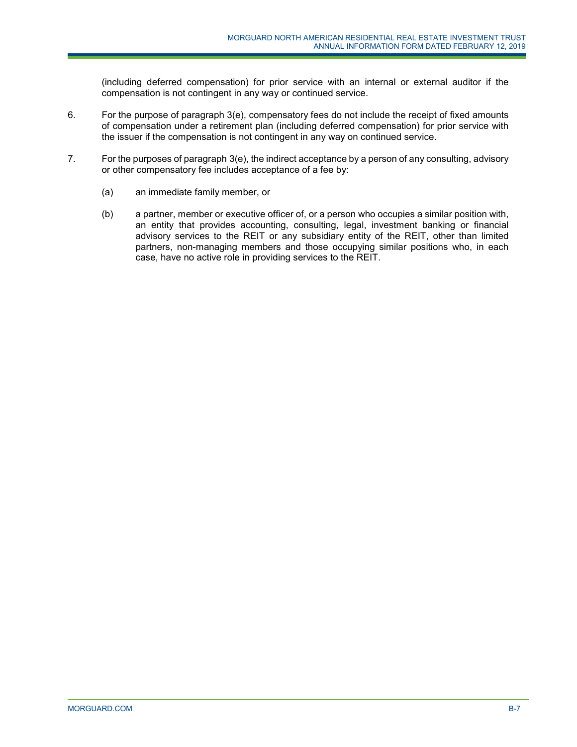(including deferred compensation) for prior service with an internal or external auditor if the compensation is not contingent in any way or continued service.

- 6. For the purpose of paragraph 3(e), compensatory fees do not include the receipt of fixed amounts of compensation under a retirement plan (including deferred compensation) for prior service with the issuer if the compensation is not contingent in any way on continued service.
- 7. For the purposes of paragraph 3(e), the indirect acceptance by a person of any consulting, advisory or other compensatory fee includes acceptance of a fee by:
	- (a) an immediate family member, or
	- (b) a partner, member or executive officer of, or a person who occupies a similar position with, an entity that provides accounting, consulting, legal, investment banking or financial advisory services to the REIT or any subsidiary entity of the REIT, other than limited partners, non-managing members and those occupying similar positions who, in each case, have no active role in providing services to the REIT.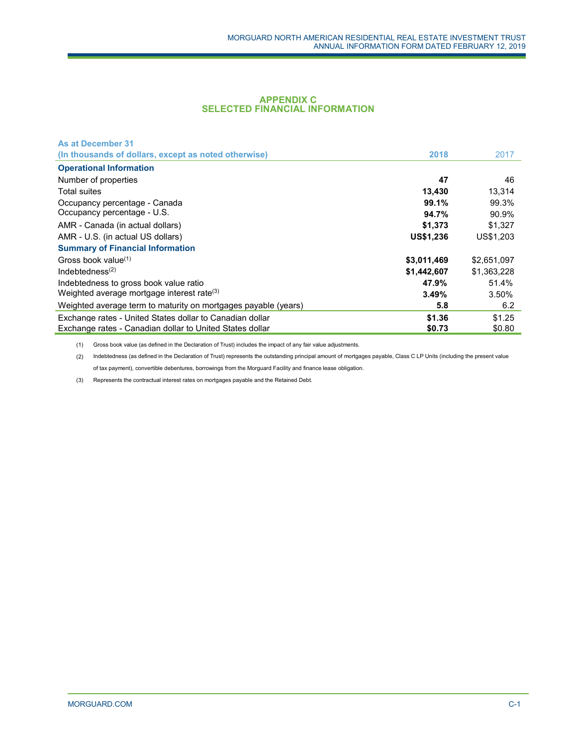#### **APPENDIX C SELECTED FINANCIAL INFORMATION**

| <b>As at December 31</b>                                       |                  |             |
|----------------------------------------------------------------|------------------|-------------|
| (In thousands of dollars, except as noted otherwise)           | 2018             | 2017        |
| <b>Operational Information</b>                                 |                  |             |
| Number of properties                                           | 47               | 46          |
| <b>Total suites</b>                                            | 13,430           | 13,314      |
| Occupancy percentage - Canada                                  | 99.1%            | 99.3%       |
| Occupancy percentage - U.S.                                    | 94.7%            | 90.9%       |
| AMR - Canada (in actual dollars)                               | \$1,373          | \$1.327     |
| AMR - U.S. (in actual US dollars)                              | <b>US\$1,236</b> | US\$1,203   |
| <b>Summary of Financial Information</b>                        |                  |             |
| Gross book value $(1)$                                         | \$3,011,469      | \$2,651,097 |
| Indebtedness $(2)$                                             | \$1,442,607      | \$1,363,228 |
| Indebtedness to gross book value ratio                         | 47.9%            | 51.4%       |
| Weighted average mortgage interest rate <sup>(3)</sup>         | 3.49%            | 3.50%       |
| Weighted average term to maturity on mortgages payable (years) | 5.8              | 6.2         |
| Exchange rates - United States dollar to Canadian dollar       | \$1.36           | \$1.25      |
| Exchange rates - Canadian dollar to United States dollar       | \$0.73           | \$0.80      |

(1) Gross book value (as defined in the Declaration of Trust) includes the impact of any fair value adjustments.

(2) Indebtedness (as defined in the Declaration of Trust) represents the outstanding principal amount of mortgages payable, Class C LP Units (including the present value of tax payment), convertible debentures, borrowings from the Morguard Facility and finance lease obligation.

(3) Represents the contractual interest rates on mortgages payable and the Retained Debt.